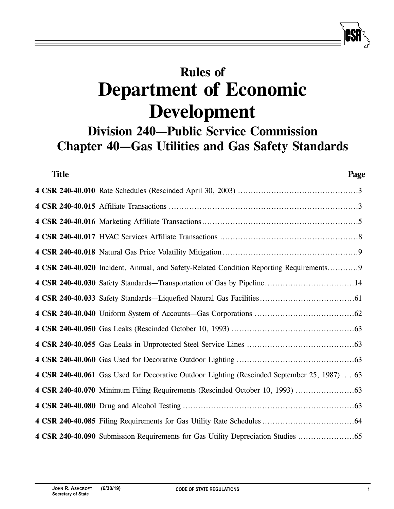# **Rules of Department of Economic Development**

# **Division 240—Public Service Commission Chapter 40—Gas Utilities and Gas Safety Standards**

| <b>Title</b> | Page                                                                                        |
|--------------|---------------------------------------------------------------------------------------------|
|              |                                                                                             |
|              |                                                                                             |
|              |                                                                                             |
|              |                                                                                             |
|              |                                                                                             |
|              | 4 CSR 240-40.020 Incident, Annual, and Safety-Related Condition Reporting Requirements9     |
|              |                                                                                             |
|              |                                                                                             |
|              |                                                                                             |
|              |                                                                                             |
|              |                                                                                             |
|              |                                                                                             |
|              | 4 CSR 240-40.061 Gas Used for Decorative Outdoor Lighting (Rescinded September 25, 1987) 63 |
|              |                                                                                             |
|              |                                                                                             |
|              |                                                                                             |
|              | 4 CSR 240-40.090 Submission Requirements for Gas Utility Depreciation Studies               |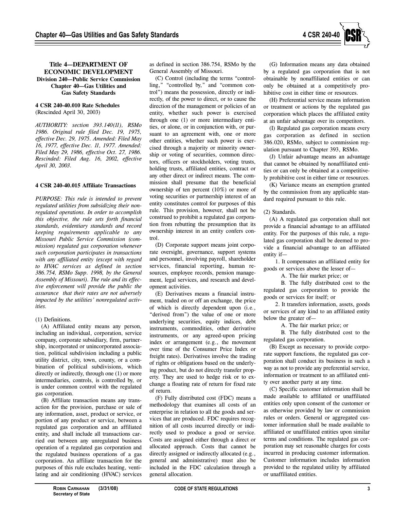

# **Title 4—DEPARTMENT OF ECONOMIC DEVELOPMENT Division 240—Public Service Commission Chapter 40—Gas Utilities and Gas Safety Standards**

# **4 CSR 240-40.010 Rate Schedules** (Rescinded April 30, 2003)

*AUTHORITY: section 393.140(11), RSMo 1986. Original rule filed Dec. 19, 1975, effective Dec. 29, 1975. Amended: Filed May 16, 1977, effective Dec. 11, 1977. Amended: Filed May 29, 1986, effective Oct. 27, 1986. Rescinded: Filed Aug. 16, 2002, effective April 30, 2003.*

# **4 CSR 240-40.015 Affiliate Transactions**

*PURPOSE: This rule is intended to prevent regulated utilities from subsidizing their nonregulated operations. In order to accomplish this objective, the rule sets forth financial standards, evidentiary standards and record keeping requirements applicable to any Missouri Public Service Commission (commission) regulated gas corporation whenever such corporation participates in transactions with any affiliated entity (except with regard to HVAC services as defined in section 386.754, RSMo Supp. 1998, by the General Assembly of Missouri). The rule and its effective enforcement will provide the public the assurance that their rates are not adversely impacted by the utilities' nonregulated activities.*

# (1) Definitions.

(A) Affiliated entity means any person, including an individual, corporation, service company, corporate subsidiary, firm, partnership, incorporated or unincorporated association, political subdivision including a public utility district, city, town, county, or a combination of political subdivisions, which directly or indirectly, through one (1) or more intermediaries, controls, is controlled by, or is under common control with the regulated gas corporation.

(B) Affiliate transaction means any transaction for the provision, purchase or sale of any information, asset, product or service, or portion of any product or service, between a regulated gas corporation and an affiliated entity, and shall include all transactions carried out between any unregulated business operation of a regulated gas corporation and the regulated business operations of a gas corporation. An affiliate transaction for the purposes of this rule excludes heating, ventilating and air conditioning (HVAC) services

as defined in section 386.754, RSMo by the General Assembly of Missouri.

(C) Control (including the terms "controlling," "controlled by," and "common control") means the possession, directly or indirectly, of the power to direct, or to cause the direction of the management or policies of an entity, whether such power is exercised through one (1) or more intermediary entities, or alone, or in conjunction with, or pursuant to an agreement with, one or more other entities, whether such power is exercised through a majority or minority ownership or voting of securities, common directors, officers or stockholders, voting trusts, holding trusts, affiliated entities, contract or any other direct or indirect means. The commission shall presume that the beneficial ownership of ten percent (10%) or more of voting securities or partnership interest of an entity constitutes control for purposes of this rule. This provision, however, shall not be construed to prohibit a regulated gas corporation from rebutting the presumption that its ownership interest in an entity confers control.

(D) Corporate support means joint corporate oversight, governance, support systems and personnel, involving payroll, shareholder services, financial reporting, human resources, employee records, pension management, legal services, and research and development activities.

(E) Derivatives means a financial instrument, traded on or off an exchange, the price of which is directly dependent upon (i.e., "derived from") the value of one or more underlying securities, equity indices, debt instruments, commodities, other derivative instruments, or any agreed-upon pricing index or arrangement (e.g., the movement over time of the Consumer Price Index or freight rates). Derivatives involve the trading of rights or obligations based on the underlying product, but do not directly transfer property. They are used to hedge risk or to exchange a floating rate of return for fixed rate of return.

(F) Fully distributed cost (FDC) means a methodology that examines all costs of an enterprise in relation to all the goods and services that are produced. FDC requires recognition of all costs incurred directly or indirectly used to produce a good or service. Costs are assigned either through a direct or allocated approach. Costs that cannot be directly assigned or indirectly allocated (e.g., general and administrative) must also be included in the FDC calculation through a general allocation.

(G) Information means any data obtained by a regulated gas corporation that is not obtainable by nonaffiliated entities or can only be obtained at a competitively prohibitive cost in either time or resources.

(H) Preferential service means information or treatment or actions by the regulated gas corporation which places the affiliated entity at an unfair advantage over its competitors.

(I) Regulated gas corporation means every gas corporation as defined in section 386.020, RSMo, subject to commission regulation pursuant to Chapter 393, RSMo.

(J) Unfair advantage means an advantage that cannot be obtained by nonaffiliated entities or can only be obtained at a competitively prohibitive cost in either time or resources.

(K) Variance means an exemption granted by the commission from any applicable standard required pursuant to this rule.

## (2) Standards.

(A) A regulated gas corporation shall not provide a financial advantage to an affiliated entity. For the purposes of this rule, a regulated gas corporation shall be deemed to provide a financial advantage to an affiliated entity if—

1. It compensates an affiliated entity for goods or services above the lesser of—

A. The fair market price; or

B. The fully distributed cost to the regulated gas corporation to provide the goods or services for itself; or

2. It transfers information, assets, goods or services of any kind to an affiliated entity below the greater of—

A. The fair market price; or

B. The fully distributed cost to the regulated gas corporation.

(B) Except as necessary to provide corporate support functions, the regulated gas corporation shall conduct its business in such a way as not to provide any preferential service, information or treatment to an affiliated entity over another party at any time.

(C) Specific customer information shall be made available to affiliated or unaffiliated entities only upon consent of the customer or as otherwise provided by law or commission rules or orders. General or aggregated customer information shall be made available to affiliated or unaffiliated entities upon similar terms and conditions. The regulated gas corporation may set reasonable charges for costs incurred in producing customer information. Customer information includes information provided to the regulated utility by affiliated or unaffiliated entities.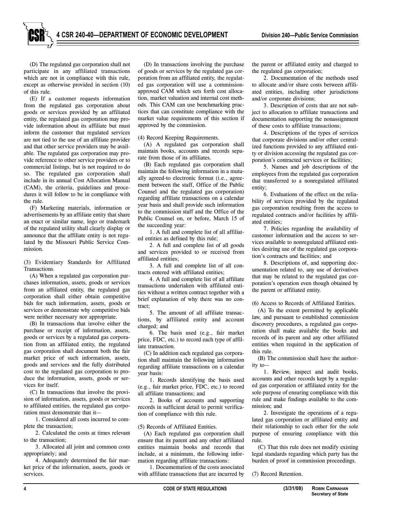(D) The regulated gas corporation shall not participate in any affiliated transactions which are not in compliance with this rule, except as otherwise provided in section (10) of this rule.

(E) If a customer requests information from the regulated gas corporation about goods or services provided by an affiliated entity, the regulated gas corporation may provide information about its affiliate but must inform the customer that regulated services are not tied to the use of an affiliate provider and that other service providers may be available. The regulated gas corporation may provide reference to other service providers or to commercial listings, but is not required to do so. The regulated gas corporation shall include in its annual Cost Allocation Manual (CAM), the criteria, guidelines and procedures it will follow to be in compliance with the rule.

(F) Marketing materials, information or advertisements by an affiliate entity that share an exact or similar name, logo or trademark of the regulated utility shall clearly display or announce that the affiliate entity is not regulated by the Missouri Public Service Commission.

(3) Evidentiary Standards for Affiliated Transactions.

(A) When a regulated gas corporation purchases information, assets, goods or services from an affiliated entity, the regulated gas corporation shall either obtain competitive bids for such information, assets, goods or services or demonstrate why competitive bids were neither necessary nor appropriate.

(B) In transactions that involve either the purchase or receipt of information, assets, goods or services by a regulated gas corporation from an affiliated entity, the regulated gas corporation shall document both the fair market price of such information, assets, goods and services and the fully distributed cost to the regulated gas corporation to produce the information, assets, goods or services for itself.

(C) In transactions that involve the provision of information, assets, goods or services to affiliated entities, the regulated gas corporation must demonstrate that it—

1. Considered all costs incurred to complete the transaction;

2. Calculated the costs at times relevant to the transaction;

3. Allocated all joint and common costs appropriately; and

4. Adequately determined the fair market price of the information, assets, goods or services.

(D) In transactions involving the purchase of goods or services by the regulated gas corporation from an affiliated entity, the regulated gas corporation will use a commissionapproved CAM which sets forth cost allocation, market valuation and internal cost methods. This CAM can use benchmarking practices that can constitute compliance with the market value requirements of this section if approved by the commission.

#### (4) Record Keeping Requirements.

(A) A regulated gas corporation shall maintain books, accounts and records separate from those of its affiliates.

(B) Each regulated gas corporation shall maintain the following information in a mutually agreed-to electronic format (i.e., agreement between the staff, Office of the Public Counsel and the regulated gas corporation) regarding affiliate transactions on a calendar year basis and shall provide such information to the commission staff and the Office of the Public Counsel on, or before, March 15 of the succeeding year:

1. A full and complete list of all affiliated entities as defined by this rule;

2. A full and complete list of all goods and services provided to or received from affiliated entities;

3. A full and complete list of all contracts entered with affiliated entities;

4. A full and complete list of all affiliate transactions undertaken with affiliated entities without a written contract together with a brief explanation of why there was no contract;

5. The amount of all affiliate transactions, by affiliated entity and account charged; and

6. The basis used (e.g., fair market price, FDC, etc.) to record each type of affiliate transaction.

(C) In addition each regulated gas corporation shall maintain the following information regarding affiliate transactions on a calendar year basis:

1. Records identifying the basis used (e.g., fair market price, FDC, etc.) to record all affiliate transactions; and

2. Books of accounts and supporting records in sufficient detail to permit verification of compliance with this rule.

(5) Records of Affiliated Entities.

(A) Each regulated gas corporation shall ensure that its parent and any other affiliated entities maintain books and records that include, at a minimum, the following information regarding affiliate transactions:

1. Documentation of the costs associated with affiliate transactions that are incurred by

the parent or affiliated entity and charged to the regulated gas corporation;

2. Documentation of the methods used to allocate and/or share costs between affiliated entities, including other jurisdictions and/or corporate divisions;

3. Description of costs that are not subject to allocation to affiliate transactions and documentation supporting the nonassignment of these costs to affiliate transactions;

4. Descriptions of the types of services that corporate divisions and/or other centralized functions provided to any affiliated entity or division accessing the regulated gas corporation's contracted services or facilities;

5. Names and job descriptions of the employees from the regulated gas corporation that transferred to a nonregulated affiliated entity;

6. Evaluations of the effect on the reliability of services provided by the regulated gas corporation resulting from the access to regulated contracts and/or facilities by affiliated entities;

7. Policies regarding the availability of customer information and the access to services available to nonregulated affiliated entities desiring use of the regulated gas corporation's contracts and facilities; and

8. Descriptions of, and supporting documentation related to, any use of derivatives that may be related to the regulated gas corporation's operation even though obtained by the parent or affiliated entity.

(6) Access to Records of Affiliated Entities.

(A) To the extent permitted by applicable law, and pursuant to established commission discovery procedures, a regulated gas corporation shall make available the books and records of its parent and any other affiliated entities when required in the application of this rule.

(B) The commission shall have the authority to—

1. Review, inspect and audit books, accounts and other records kept by a regulated gas corporation or affiliated entity for the sole purpose of ensuring compliance with this rule and make findings available to the commission; and

2. Investigate the operations of a regulated gas corporation or affiliated entity and their relationship to each other for the sole purpose of ensuring compliance with this rule.

(C) That this rule does not modify existing legal standards regarding which party has the burden of proof in commission proceedings.

(7) Record Retention.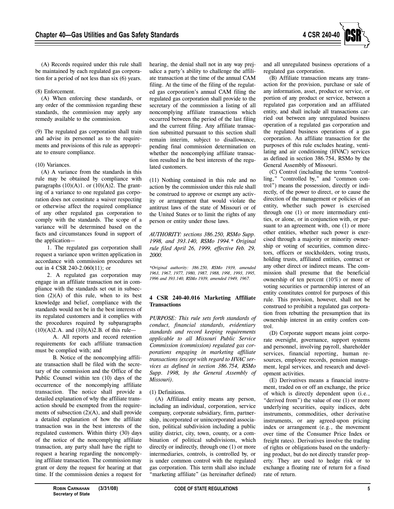

(A) Records required under this rule shall be maintained by each regulated gas corporation for a period of not less than six (6) years.

#### (8) Enforcement.

(A) When enforcing these standards, or any order of the commission regarding these standards, the commission may apply any remedy available to the commission.

(9) The regulated gas corporation shall train and advise its personnel as to the requirements and provisions of this rule as appropriate to ensure compliance.

### (10) Variances.

(A) A variance from the standards in this rule may be obtained by compliance with paragraphs  $(10)(A)1$ . or  $(10)(A)2$ . The granting of a variance to one regulated gas corporation does not constitute a waiver respecting or otherwise affect the required compliance of any other regulated gas corporation to comply with the standards. The scope of a variance will be determined based on the facts and circumstances found in support of the application—

1. The regulated gas corporation shall request a variance upon written application in accordance with commission procedures set out in 4 CSR 240-2.060(11); or

2. A regulated gas corporation may engage in an affiliate transaction not in compliance with the standards set out in subsection  $(2)(A)$  of this rule, when to its best knowledge and belief, compliance with the standards would not be in the best interests of its regulated customers and it complies with the procedures required by subparagraphs  $(10)(A)2.A.$  and  $(10)(A)2.B.$  of this rule—

A. All reports and record retention requirements for each affiliate transaction must be complied with; and

B. Notice of the noncomplying affiliate transaction shall be filed with the secretary of the commission and the Office of the Public Counsel within ten (10) days of the occurrence of the noncomplying affiliate transaction. The notice shall provide a detailed explanation of why the affiliate transaction should be exempted from the requirements of subsection (2)(A), and shall provide a detailed explanation of how the affiliate transaction was in the best interests of the regulated customers. Within thirty (30) days of the notice of the noncomplying affiliate transaction, any party shall have the right to request a hearing regarding the noncomplying affiliate transaction. The commission may grant or deny the request for hearing at that time. If the commission denies a request for

hearing, the denial shall not in any way prejudice a party's ability to challenge the affiliate transaction at the time of the annual CAM filing. At the time of the filing of the regulated gas corporation's annual CAM filing the regulated gas corporation shall provide to the secretary of the commission a listing of all noncomplying affiliate transactions which occurred between the period of the last filing and the current filing. Any affiliate transaction submitted pursuant to this section shall remain interim, subject to disallowance, pending final commission determination on whether the noncomplying affiliate transaction resulted in the best interests of the regulated customers.

(11) Nothing contained in this rule and no action by the commission under this rule shall be construed to approve or exempt any activity or arrangement that would violate the antitrust laws of the state of Missouri or of the United States or to limit the rights of any person or entity under those laws.

*AUTHORITY: sections 386.250, RSMo Supp. 1998, and 393.140, RSMo 1994.\* Original rule filed April 26, 1999, effective Feb. 29, 2000.*

*\*Original authority: 386.250, RSMo 1939, amended 1963, 1967, 1977, 1980, 1987, 1988, 1991, 1993, 1995, 1996 and 393.140, RSMo 1939, amended 1949, 1967.*

### **4 CSR 240-40.016 Marketing Affiliate Transactions**

*PURPOSE: This rule sets forth standards of conduct, financial standards, evidentiary standards and record keeping requirements applicable to all Missouri Public Service Commission (commission) regulated gas corporations engaging in marketing affiliate transactions (except with regard to HVAC services as defined in section 386.754, RSMo Supp. 1998, by the General Assembly of Missouri).*

# (1) Definitions.

(A) Affiliated entity means any person, including an individual, corporation, service company, corporate subsidiary, firm, partnership, incorporated or unincorporated association, political subdivision including a public utility district, city, town, county, or a combination of political subdivisions, which directly or indirectly, through one (1) or more intermediaries, controls, is controlled by, or is under common control with the regulated gas corporation. This term shall also include "marketing affiliate" (as hereinafter defined) and all unregulated business operations of a regulated gas corporation.

(B) Affiliate transaction means any transaction for the provision, purchase or sale of any information, asset, product or service, or portion of any product or service, between a regulated gas corporation and an affiliated entity, and shall include all transactions carried out between any unregulated business operation of a regulated gas corporation and the regulated business operations of a gas corporation. An affiliate transaction for the purposes of this rule excludes heating, ventilating and air conditioning (HVAC) services as defined in section 386.754, RSMo by the General Assembly of Missouri.

(C) Control (including the terms "controlling," "controlled by," and "common control") means the possession, directly or indirectly, of the power to direct, or to cause the direction of the management or policies of an entity, whether such power is exercised through one (1) or more intermediary entities, or alone, or in conjunction with, or pursuant to an agreement with, one (1) or more other entities, whether such power is exercised through a majority or minority ownership or voting of securities, common directors, officers or stockholders, voting trusts, holding trusts, affiliated entities, contract or any other direct or indirect means. The commission shall presume that the beneficial ownership of ten percent (10%) or more of voting securities or partnership interest of an entity constitutes control for purposes of this rule. This provision, however, shall not be construed to prohibit a regulated gas corporation from rebutting the presumption that its ownership interest in an entity confers control.

(D) Corporate support means joint corporate oversight, governance, support systems and personnel, involving payroll, shareholder services, financial reporting, human resources, employee records, pension management, legal services, and research and development activities.

(E) Derivatives means a financial instrument, traded on or off an exchange, the price of which is directly dependent upon (i.e., "derived from") the value of one (1) or more underlying securities, equity indices, debt instruments, commodities, other derivative instruments, or any agreed-upon pricing index or arrangement (e.g., the movement over time of the Consumer Price Index or freight rates). Derivatives involve the trading of rights or obligations based on the underlying product, but do not directly transfer property. They are used to hedge risk or to exchange a floating rate of return for a fixed rate of return.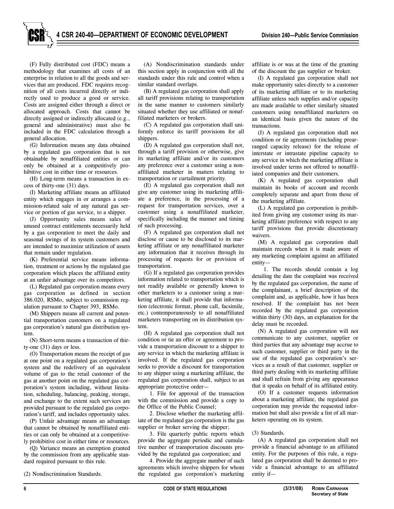(F) Fully distributed cost (FDC) means a methodology that examines all costs of an enterprise in relation to all the goods and services that are produced. FDC requires recognition of all costs incurred directly or indirectly used to produce a good or service. Costs are assigned either through a direct or allocated approach. Costs that cannot be directly assigned or indirectly allocated (e.g., general and administrative) must also be included in the FDC calculation through a general allocation.

(G) Information means any data obtained by a regulated gas corporation that is not obtainable by nonaffiliated entities or can only be obtained at a competitively prohibitive cost in either time or resources.

(H) Long-term means a transaction in excess of thirty-one (31) days.

(I) Marketing affiliate means an affiliated entity which engages in or arranges a commission-related sale of any natural gas service or portion of gas service, to a shipper.

(J) Opportunity sales means sales of unused contract entitlements necessarily held by a gas corporation to meet the daily and seasonal swings of its system customers and are intended to maximize utilization of assets that remain under regulation.

(K) Preferential service means information, treatment or actions by the regulated gas corporation which places the affiliated entity at an unfair advantage over its competitors.

(L) Regulated gas corporation means every gas corporation as defined in section 386.020, RSMo, subject to commission regulation pursuant to Chapter 393, RSMo.

(M) Shippers means all current and potential transportation customers on a regulated gas corporation's natural gas distribution system.

(N) Short-term means a transaction of thirty-one (31) days or less.

(O) Transportation means the receipt of gas at one point on a regulated gas corporation's system and the redelivery of an equivalent volume of gas to the retail customer of the gas at another point on the regulated gas corporation's system including, without limitation, scheduling, balancing, peaking, storage, and exchange to the extent such services are provided pursuant to the regulated gas corporation's tariff, and includes opportunity sales.

(P) Unfair advantage means an advantage that cannot be obtained by nonaffiliated entities or can only be obtained at a competitively prohibitive cost in either time or resources.

(Q) Variance means an exemption granted by the commission from any applicable standard required pursuant to this rule.

(2) Nondiscrimination Standards.

(A) Nondiscrimination standards under this section apply in conjunction with all the standards under this rule and control when a similar standard overlaps.

(B) A regulated gas corporation shall apply all tariff provisions relating to transportation in the same manner to customers similarly situated whether they use affiliated or nonaffiliated marketers or brokers.

(C) A regulated gas corporation shall uniformly enforce its tariff provisions for all shippers.

(D) A regulated gas corporation shall not, through a tariff provision or otherwise, give its marketing affiliate and/or its customers any preference over a customer using a nonaffiliated marketer in matters relating to transportation or curtailment priority.

(E) A regulated gas corporation shall not give any customer using its marketing affiliate a preference, in the processing of a request for transportation services, over a customer using a nonaffiliated marketer, specifically including the manner and timing of such processing.

(F) A regulated gas corporation shall not disclose or cause to be disclosed to its marketing affiliate or any nonaffiliated marketer any information that it receives through its processing of requests for or provision of transportation.

(G) If a regulated gas corporation provides information related to transportation which is not readily available or generally known to other marketers to a customer using a marketing affiliate, it shall provide that information (electronic format, phone call, facsimile, etc.) contemporaneously to all nonaffiliated marketers transporting on its distribution system.

(H) A regulated gas corporation shall not condition or tie an offer or agreement to provide a transportation discount to a shipper to any service in which the marketing affiliate is involved. If the regulated gas corporation seeks to provide a discount for transportation to any shipper using a marketing affiliate, the regulated gas corporation shall, subject to an appropriate protective order—

1. File for approval of the transaction with the commission and provide a copy to the Office of the Public Counsel;

2. Disclose whether the marketing affiliate of the regulated gas corporation is the gas supplier or broker serving the shipper;

3. File quarterly public reports which provide the aggregate periodic and cumulative number of transportation discounts provided by the regulated gas corporation; and

4. Provide the aggregate number of such agreements which involve shippers for whom the regulated gas corporation's marketing

affiliate is or was at the time of the granting of the discount the gas supplier or broker.

(I) A regulated gas corporation shall not make opportunity sales directly to a customer of its marketing affiliate or to its marketing affiliate unless such supplies and/or capacity are made available to other similarly situated customers using nonaffiliated marketers on an identical basis given the nature of the transactions.

(J) A regulated gas corporation shall not condition or tie agreements (including prearranged capacity release) for the release of interstate or intrastate pipeline capacity to any service in which the marketing affiliate is involved under terms not offered to nonaffiliated companies and their customers.

(K) A regulated gas corporation shall maintain its books of account and records completely separate and apart from those of the marketing affiliate.

(L) A regulated gas corporation is prohibited from giving any customer using its marketing affiliate preference with respect to any tariff provisions that provide discretionary waivers.

(M) A regulated gas corporation shall maintain records when it is made aware of any marketing complaint against an affiliated entity—

1. The records should contain a log detailing the date the complaint was received by the regulated gas corporation, the name of the complainant, a brief description of the complaint and, as applicable, how it has been resolved. If the complaint has not been recorded by the regulated gas corporation within thirty (30) days, an explanation for the delay must be recorded.

(N) A regulated gas corporation will not communicate to any customer, supplier or third parties that any advantage may accrue to such customer, supplier or third party in the use of the regulated gas corporation's services as a result of that customer, supplier or third party dealing with its marketing affiliate and shall refrain from giving any appearance that it speaks on behalf of its affiliated entity.

(O) If a customer requests information about a marketing affiliate, the regulated gas corporation may provide the requested information but shall also provide a list of all marketers operating on its system.

(3) Standards.

(A) A regulated gas corporation shall not provide a financial advantage to an affiliated entity. For the purposes of this rule, a regulated gas corporation shall be deemed to provide a financial advantage to an affiliated entity if—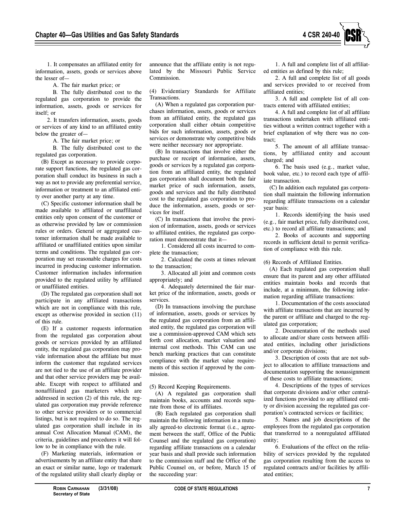

1. It compensates an affiliated entity for information, assets, goods or services above the lesser of—

A. The fair market price; or

B. The fully distributed cost to the regulated gas corporation to provide the information, assets, goods or services for itself; or

2. It transfers information, assets, goods or services of any kind to an affiliated entity below the greater of—

A. The fair market price; or

B. The fully distributed cost to the regulated gas corporation.

(B) Except as necessary to provide corporate support functions, the regulated gas corporation shall conduct its business in such a way as not to provide any preferential service, information or treatment to an affiliated entity over another party at any time.

(C) Specific customer information shall be made available to affiliated or unaffiliated entities only upon consent of the customer or as otherwise provided by law or commission rules or orders. General or aggregated customer information shall be made available to affiliated or unaffiliated entities upon similar terms and conditions. The regulated gas corporation may set reasonable charges for costs incurred in producing customer information. Customer information includes information provided to the regulated utility by affiliated or unaffiliated entities.

(D) The regulated gas corporation shall not participate in any affiliated transactions which are not in compliance with this rule, except as otherwise provided in section (11) of this rule.

(E) If a customer requests information from the regulated gas corporation about goods or services provided by an affiliated entity, the regulated gas corporation may provide information about the affiliate but must inform the customer that regulated services are not tied to the use of an affiliate provider and that other service providers may be available. Except with respect to affiliated and nonaffiliated gas marketers which are addressed in section (2) of this rule, the regulated gas corporation may provide reference to other service providers or to commercial listings, but is not required to do so. The regulated gas corporation shall include in its annual Cost Allocation Manual (CAM), the criteria, guidelines and procedures it will follow to be in compliance with the rule.

(F) Marketing materials, information or advertisements by an affiliate entity that share an exact or similar name, logo or trademark of the regulated utility shall clearly display or

announce that the affiliate entity is not regulated by the Missouri Public Service Commission.

(4) Evidentiary Standards for Affiliate Transactions.

(A) When a regulated gas corporation purchases information, assets, goods or services from an affiliated entity, the regulated gas corporation shall either obtain competitive bids for such information, assets, goods or services or demonstrate why competitive bids were neither necessary nor appropriate.

(B) In transactions that involve either the purchase or receipt of information, assets, goods or services by a regulated gas corporation from an affiliated entity, the regulated gas corporation shall document both the fair market price of such information, assets, goods and services and the fully distributed cost to the regulated gas corporation to produce the information, assets, goods or services for itself.

(C) In transactions that involve the provision of information, assets, goods or services to affiliated entities, the regulated gas corporation must demonstrate that it—

1. Considered all costs incurred to complete the transaction;

2. Calculated the costs at times relevant to the transaction;

3. Allocated all joint and common costs appropriately; and

4. Adequately determined the fair market price of the information, assets, goods or services.

(D) In transactions involving the purchase of information, assets, goods or services by the regulated gas corporation from an affiliated entity, the regulated gas corporation will use a commission-approved CAM which sets forth cost allocation, market valuation and internal cost methods. This CAM can use bench marking practices that can constitute compliance with the market value requirements of this section if approved by the commission.

(5) Record Keeping Requirements.

(A) A regulated gas corporation shall maintain books, accounts and records separate from those of its affiliates.

(B) Each regulated gas corporation shall maintain the following information in a mutually agreed-to electronic format (i.e., agreement between the staff, Office of the Public Counsel and the regulated gas corporation) regarding affiliate transactions on a calendar year basis and shall provide such information to the commission staff and the Office of the Public Counsel on, or before, March 15 of the succeeding year:

1. A full and complete list of all affiliated entities as defined by this rule;

2. A full and complete list of all goods and services provided to or received from affiliated entities;

3. A full and complete list of all contracts entered with affiliated entities;

4. A full and complete list of all affiliate transactions undertaken with affiliated entities without a written contract together with a brief explanation of why there was no contract;

5. The amount of all affiliate transactions, by affiliated entity and account charged; and

6. The basis used (e.g., market value, book value, etc.) to record each type of affiliate transaction.

(C) In addition each regulated gas corporation shall maintain the following information regarding affiliate transactions on a calendar year basis:

1. Records identifying the basis used (e.g., fair market price, fully distributed cost, etc.) to record all affiliate transactions; and

2. Books of accounts and supporting records in sufficient detail to permit verification of compliance with this rule.

(6) Records of Affiliated Entities.

(A) Each regulated gas corporation shall ensure that its parent and any other affiliated entities maintain books and records that include, at a minimum, the following information regarding affiliate transactions:

1. Documentation of the costs associated with affiliate transactions that are incurred by the parent or affiliate and charged to the regulated gas corporation;

2. Documentation of the methods used to allocate and/or share costs between affiliated entities, including other jurisdictions and/or corporate divisions;

3. Description of costs that are not subject to allocation to affiliate transactions and documentation supporting the nonassignment of these costs to affiliate transactions;

4. Descriptions of the types of services that corporate divisions and/or other centralized functions provided to any affiliated entity or division accessing the regulated gas corporation's contracted services or facilities;

5. Names and job descriptions of the employees from the regulated gas corporation that transferred to a nonregulated affiliated entity;

6. Evaluations of the effect on the reliability of services provided by the regulated gas corporation resulting from the access to regulated contracts and/or facilities by affiliated entities;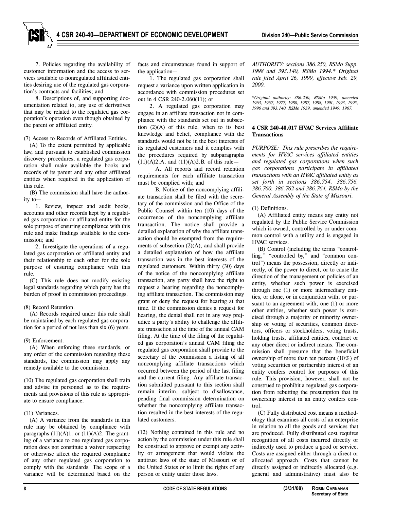7. Policies regarding the availability of customer information and the access to services available to nonregulated affiliated entities desiring use of the regulated gas corporation's contracts and facilities; and

8. Descriptions of, and supporting documentation related to, any use of derivatives that may be related to the regulated gas corporation's operation even though obtained by the parent or affiliated entity.

(7) Access to Records of Affiliated Entities.

(A) To the extent permitted by applicable law, and pursuant to established commission discovery procedures, a regulated gas corporation shall make available the books and records of its parent and any other affiliated entities when required in the application of this rule.

(B) The commission shall have the authority to—

1. Review, inspect and audit books, accounts and other records kept by a regulated gas corporation or affiliated entity for the sole purpose of ensuring compliance with this rule and make findings available to the commission; and

2. Investigate the operations of a regulated gas corporation or affiliated entity and their relationship to each other for the sole purpose of ensuring compliance with this rule.

(C) This rule does not modify existing legal standards regarding which party has the burden of proof in commission proceedings.

# (8) Record Retention.

(A) Records required under this rule shall be maintained by each regulated gas corporation for a period of not less than six (6) years.

(9) Enforcement.

(A) When enforcing these standards, or any order of the commission regarding these standards, the commission may apply any remedy available to the commission.

(10) The regulated gas corporation shall train and advise its personnel as to the requirements and provisions of this rule as appropriate to ensure compliance.

# (11) Variances.

(A) A variance from the standards in this rule may be obtained by compliance with paragraphs  $(11)(A)1$ . or  $(11)(A)2$ . The granting of a variance to one regulated gas corporation does not constitute a waiver respecting or otherwise affect the required compliance of any other regulated gas corporation to comply with the standards. The scope of a variance will be determined based on the

facts and circumstances found in support of the application—

1. The regulated gas corporation shall request a variance upon written application in accordance with commission procedures set out in 4 CSR 240-2.060(11); or

2. A regulated gas corporation may engage in an affiliate transaction not in compliance with the standards set out in subsection  $(2)(A)$  of this rule, when to its best knowledge and belief, compliance with the standards would not be in the best interests of its regulated customers and it complies with the procedures required by subparagraphs  $(11)(A)2.A.$  and  $(11)(A)2.B.$  of this rule-

A. All reports and record retention requirements for each affiliate transaction must be complied with; and

B. Notice of the noncomplying affiliate transaction shall be filed with the secretary of the commission and the Office of the Public Counsel within ten (10) days of the occurrence of the noncomplying affiliate transaction. The notice shall provide a detailed explanation of why the affiliate transaction should be exempted from the requirements of subsection (2)(A), and shall provide a detailed explanation of how the affiliate transaction was in the best interests of the regulated customers. Within thirty (30) days of the notice of the noncomplying affiliate transaction, any party shall have the right to request a hearing regarding the noncomplying affiliate transaction. The commission may grant or deny the request for hearing at that time. If the commission denies a request for hearing, the denial shall not in any way prejudice a party's ability to challenge the affiliate transaction at the time of the annual CAM filing. At the time of the filing of the regulated gas corporation's annual CAM filing the regulated gas corporation shall provide to the secretary of the commission a listing of all noncomplying affiliate transactions which occurred between the period of the last filing and the current filing. Any affiliate transaction submitted pursuant to this section shall remain interim, subject to disallowance, pending final commission determination on whether the noncomplying affiliate transaction resulted in the best interests of the regulated customers.

(12) Nothing contained in this rule and no action by the commission under this rule shall be construed to approve or exempt any activity or arrangement that would violate the antitrust laws of the state of Missouri or of the United States or to limit the rights of any person or entity under those laws.

*AUTHORITY: sections 386.250, RSMo Supp. 1998 and 393.140, RSMo 1994.\* Original rule filed April 26, 1999, effective Feb. 29, 2000.*

*\*Original authority: 386.250, RSMo 1939, amended 1963, 1967, 1977, 1980, 1987, 1988, 1991, 1993, 1995, 1996 and 393.140, RSMo 1939, amended 1949, 1967.*

# **4 CSR 240-40.017 HVAC Services Affiliate Transactions**

*PURPOSE: This rule prescribes the requirements for HVAC services affiliated entities and regulated gas corporations when such gas corporations participate in affiliated transactions with an HVAC affiliated entity as set forth in sections 386.754, 386.756, 386.760, 386.762 and 386.764, RSMo by the General Assembly of the State of Missouri.*

(1) Definitions.

(A) Affiliated entity means any entity not regulated by the Public Service Commission which is owned, controlled by or under common control with a utility and is engaged in HVAC services.

(B) Control (including the terms "controlling," "controlled by," and "common control") means the possession, directly or indirectly, of the power to direct, or to cause the direction of the management or policies of an entity, whether such power is exercised through one (1) or more intermediary entities, or alone, or in conjunction with, or pursuant to an agreement with, one (1) or more other entities, whether such power is exercised through a majority or minority ownership or voting of securities, common directors, officers or stockholders, voting trusts, holding trusts, affiliated entities, contract or any other direct or indirect means. The commission shall presume that the beneficial ownership of more than ten percent (10%) of voting securities or partnership interest of an entity confers control for purposes of this rule. This provision, however, shall not be construed to prohibit a regulated gas corporation from rebutting the presumption that its ownership interest in an entity confers control.

(C) Fully distributed cost means a methodology that examines all costs of an enterprise in relation to all the goods and services that are produced. Fully distributed cost requires recognition of all costs incurred directly or indirectly used to produce a good or service. Costs are assigned either through a direct or allocated approach. Costs that cannot be directly assigned or indirectly allocated (e.g. general and administrative) must also be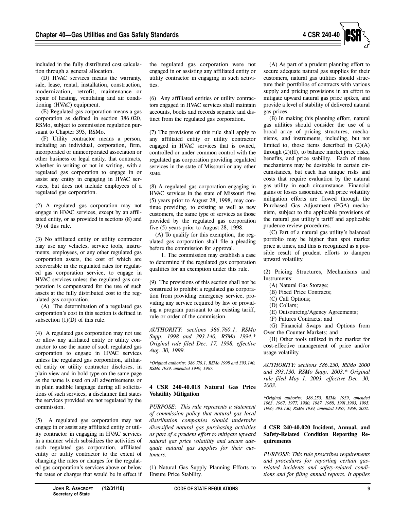

included in the fully distributed cost calculation through a general allocation.

(D) HVAC services means the warranty, sale, lease, rental, installation, construction, modernization, retrofit, maintenance or repair of heating, ventilating and air conditioning (HVAC) equipment.

(E) Regulated gas corporation means a gas corporation as defined in section 386.020, RSMo, subject to commission regulation pursuant to Chapter 393, RSMo.

(F) Utility contractor means a person, including an individual, corporation, firm, incorporated or unincorporated association or other business or legal entity, that contracts, whether in writing or not in writing, with a regulated gas corporation to engage in or assist any entity in engaging in HVAC services, but does not include employees of a regulated gas corporation.

(2) A regulated gas corporation may not engage in HVAC services, except by an affiliated entity, or as provided in sections (8) and (9) of this rule.

(3) No affiliated entity or utility contractor may use any vehicles, service tools, instruments, employees, or any other regulated gas corporation assets, the cost of which are recoverable in the regulated rates for regulated gas corporation service, to engage in HVAC services unless the regulated gas corporation is compensated for the use of such assets at the fully distributed cost to the regulated gas corporation.

(A) The determination of a regulated gas corporation's cost in this section is defined in subsection  $(1)(D)$  of this rule.

(4) A regulated gas corporation may not use or allow any affiliated entity or utility contractor to use the name of such regulated gas corporation to engage in HVAC services unless the regulated gas corporation, affiliated entity or utility contractor discloses, in plain view and in bold type on the same page as the name is used on all advertisements or in plain audible language during all solicitations of such services, a disclaimer that states the services provided are not regulated by the commission.

(5) A regulated gas corporation may not engage in or assist any affiliated entity or utility contractor in engaging in HVAC services in a manner which subsidizes the activities of such regulated gas corporation, affiliated entity or utility contractor to the extent of changing the rates or charges for the regulated gas corporation's services above or below the rates or charges that would be in effect if the regulated gas corporation were not engaged in or assisting any affiliated entity or utility contractor in engaging in such activities.

(6) Any affiliated entities or utility contractors engaged in HVAC services shall maintain accounts, books and records separate and distinct from the regulated gas corporation.

(7) The provisions of this rule shall apply to any affiliated entity or utility contractor engaged in HVAC services that is owned, controlled or under common control with the regulated gas corporation providing regulated services in the state of Missouri or any other state.

(8) A regulated gas corporation engaging in HVAC services in the state of Missouri five (5) years prior to August 28, 1998, may continue providing, to existing as well as new customers, the same type of services as those provided by the regulated gas corporation five (5) years prior to August 28, 1998.

(A) To qualify for this exemption, the regulated gas corporation shall file a pleading before the commission for approval.

1. The commission may establish a case to determine if the regulated gas corporation qualifies for an exemption under this rule.

(9) The provisions of this section shall not be construed to prohibit a regulated gas corporation from providing emergency service, providing any service required by law or providing a program pursuant to an existing tariff, rule or order of the commission.

*AUTHORITY: sections 386.760.1, RSMo Supp. 1998 and 393.140, RSMo 1994.\* Original rule filed Dec. 17, 1998, effective Aug. 30, 1999.*

*\*Original authority: 386.710.1, RSMo 1998 and 393.140, RSMo 1939, amended 1949, 1967.*

# **4 CSR 240-40.018 Natural Gas Price Volatility Mitigation**

*PURPOSE: This rule represents a statement of commission policy that natural gas local distribution companies should undertake diversified natural gas purchasing activities as part of a prudent effort to mitigate upward natural gas price volatility and secure adequate natural gas supplies for their customers.* 

(1) Natural Gas Supply Planning Efforts to Ensure Price Stability.

(A) As part of a prudent planning effort to secure adequate natural gas supplies for their customers, natural gas utilities should structure their portfolios of contracts with various supply and pricing provisions in an effort to mitigate upward natural gas price spikes, and provide a level of stability of delivered natural gas prices.

(B) In making this planning effort, natural gas utilities should consider the use of a broad array of pricing structures, mechanisms, and instruments, including, but not limited to, those items described in  $(2)(A)$ through (2)(H), to balance market price risks, benefits, and price stability. Each of these mechanisms may be desirable in certain circumstances, but each has unique risks and costs that require evaluation by the natural gas utility in each circumstance. Financial gains or losses associated with price volatility mitigation efforts are flowed through the Purchased Gas Adjustment (PGA) mechanism, subject to the applicable provisions of the natural gas utility's tariff and applicable prudence review procedures.

(C) Part of a natural gas utility's balanced portfolio may be higher than spot market price at times, and this is recognized as a possible result of prudent efforts to dampen upward volatility.

(2) Pricing Structures, Mechanisms and Instruments:

- (A) Natural Gas Storage;
- (B) Fixed Price Contracts;
- (C) Call Options;
- (D) Collars;
- (E) Outsourcing/Agency Agreements;
- (F) Futures Contracts; and

(G) Financial Swaps and Options from Over the Counter Markets; and

(H) Other tools utilized in the market for cost-effective management of price and/or usage volatility.

*AUTHORITY: sections 386.250, RSMo 2000 and 393.130, RSMo Supp. 2003.\* Original rule filed May 1, 2003, effective Dec. 30, 2003.*

*\*Original authority: 386.250, RSMo 1939, amended 1963, 1967, 1977, 1980, 1987, 1988, 1991,1993, 1995, 1996; 393.130, RSMo 1939, amended 1967, 1969, 2002.*

# **4 CSR 240-40.020 Incident, Annual, and Safety-Related Condition Reporting Requirements**

*PURPOSE: This rule prescribes requirements and procedures for reporting certain gasrelated incidents and safety-related conditions and for filing annual reports. It applies*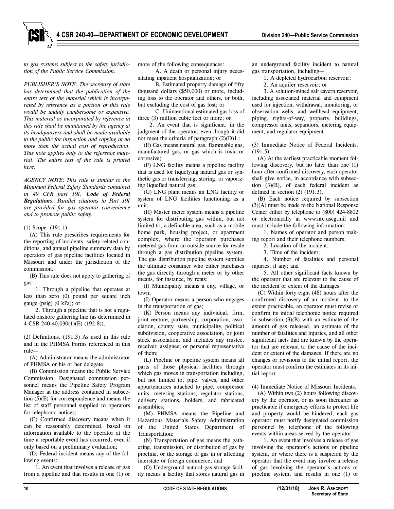*to gas systems subject to the safety jurisdiction of the Public Service Commission.*

*PUBLISHER'S NOTE: The secretary of state has determined that the publication of the entire text of the material which is incorporated by reference as a portion of this rule would be unduly cumbersome or expensive. This material as incorporated by reference in this rule shall be maintained by the agency at its headquarters and shall be made available to the public for inspection and copying at no more than the actual cost of reproduction. This note applies only to the reference material. The entire text of the rule is printed here.*

*AGENCY NOTE: This rule is similar to the Minimum Federal Safety Standards contained in 49 CFR part 191, Code of Federal Regulations. Parallel citations to Part 191 are provided for gas operator convenience and to promote public safety.*

(1) Scope. (191.1)

(A) This rule prescribes requirements for the reporting of incidents, safety-related conditions, and annual pipeline summary data by operators of gas pipeline facilities located in Missouri and under the jurisdiction of the commission.

(B) This rule does not apply to gathering of gas—

1. Through a pipeline that operates at less than zero (0) pound per square inch gauge (psig) (0 kPa); or

2. Through a pipeline that is not a regulated onshore gathering line (as determined in 4 CSR 240-40.030(1)(E) (192.8)).

(2) Definitions. (191.3) As used in this rule and in the PHMSA Forms referenced in this rule—

(A) Administrator means the administrator of PHMSA or his or her delegate;

(B) Commission means the Public Service Commission. Designated commission personnel means the Pipeline Safety Program Manager at the address contained in subsection (5)(E) for correspondence and means the list of staff personnel supplied to operators for telephonic notices;

(C) Confirmed discovery means when it can be reasonably determined, based on information available to the operator at the time a reportable event has occurred, even if only based on a preliminary evaluation;

(D) Federal incident means any of the following events:

1. An event that involves a release of gas from a pipeline and that results in one (1) or more of the following consequences:

A. A death or personal injury necessitating inpatient hospitalization; or

B. Estimated property damage of fifty thousand dollars (\$50,000) or more, including loss to the operator and others, or both, but excluding the cost of gas lost; or

C. Unintentional estimated gas loss of three (3) million cubic feet or more; or

2. An event that is significant, in the judgment of the operator, even though it did not meet the criteria of paragraph (2)(D)1.;

(E) Gas means natural gas, flammable gas, manufactured gas, or gas which is toxic or corrosive;

(F) LNG facility means a pipeline facility that is used for liquefying natural gas or synthetic gas or transferring, storing, or vaporizing liquefied natural gas;

(G) LNG plant means an LNG facility or system of LNG facilities functioning as a unit;

(H) Master meter system means a pipeline system for distributing gas within, but not limited to, a definable area, such as a mobile home park, housing project, or apartment complex, where the operator purchases metered gas from an outside source for resale through a gas distribution pipeline system. The gas distribution pipeline system supplies the ultimate consumer who either purchases the gas directly through a meter or by other means, for instance, by rents;

(I) Municipality means a city, village, or town;

(J) Operator means a person who engages in the transportation of gas;

(K) Person means any individual, firm, joint venture, partnership, corporation, association, county, state, municipality, political subdivision, cooperative association, or joint stock association, and includes any trustee, receiver, assignee, or personal representative of them;

(L) Pipeline or pipeline system means all parts of those physical facilities through which gas moves in transportation including, but not limited to, pipe, valves, and other appurtenances attached to pipe, compressor units, metering stations, regulator stations, delivery stations, holders, and fabricated assemblies;

(M) PHMSA means the Pipeline and Hazardous Materials Safety Administration of the United States Department of Transportation;

(N) Transportation of gas means the gathering, transmission, or distribution of gas by pipeline, or the storage of gas in or affecting interstate or foreign commerce; and

(O) Underground natural gas storage facility means a facility that stores natural gas in an underground facility incident to natural gas transportation, including—

1. A depleted hydrocarbon reservoir;

2. An aquifer reservoir; or

3. A solution-mined salt cavern reservoir, including associated material and equipment used for injection, withdrawal, monitoring, or observation wells, and wellhead equipment, piping, rights-of-way, property, buildings, compressor units, separators, metering equipment, and regulator equipment.

(3) Immediate Notice of Federal Incidents. (191.5)

(A) At the earliest practicable moment following discovery, but no later than one (1) hour after confirmed discovery, each operator shall give notice, in accordance with subsection (3)(B), of each federal incident as defined in section (2) (191.3).

(B) Each notice required by subsection (3)(A) must be made to the National Response Center either by telephone to (800) 424-8802 or electronically at www.nrc.uscg.mil and must include the following information:

1. Names of operator and person making report and their telephone numbers;

2. Location of the incident;

3. Time of the incident;

4. Number of fatalities and personal injuries, if any; and

5. All other significant facts known by the operator that are relevant to the cause of the incident or extent of the damages.

(C) Within forty-eight (48) hours after the confirmed discovery of an incident, to the extent practicable, an operator must revise or confirm its initial telephonic notice required in subsection (3)(B) with an estimate of the amount of gas released, an estimate of the number of fatalities and injuries, and all other significant facts that are known by the operator that are relevant to the cause of the incident or extent of the damages. If there are no changes or revisions to the initial report, the operator must confirm the estimates in its initial report.

(4) Immediate Notice of Missouri Incidents.

(A) Within two (2) hours following discovery by the operator, or as soon thereafter as practicable if emergency efforts to protect life and property would be hindered, each gas operator must notify designated commission personnel by telephone of the following events within areas served by the operator:

1. An event that involves a release of gas involving the operator's actions or pipeline system, or where there is a suspicion by the operator that the event may involve a release of gas involving the operator's actions or pipeline system, and results in one (1) or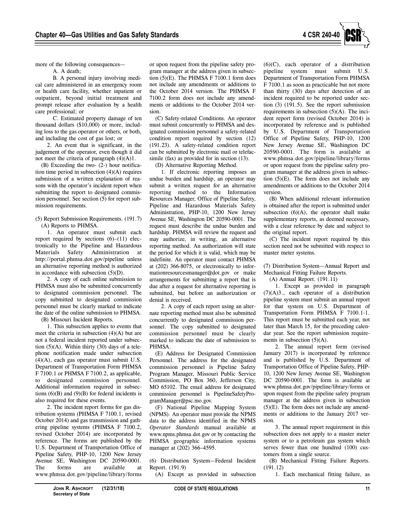

more of the following consequences—

A. A death;

B. A personal injury involving medical care administered in an emergency room or health care facility, whether inpatient or outpatient, beyond initial treatment and prompt release after evaluation by a health care professional; or

C. Estimated property damage of ten thousand dollars (\$10,000) or more, including loss to the gas operator or others, or both, and including the cost of gas lost; or

2. An event that is significant, in the judgement of the operator, even though it did not meet the criteria of paragraph (4)(A)1.

(B) Exceeding the two- (2-) hour notification time period in subsection  $(4)(A)$  requires submission of a written explanation of reasons with the operator's incident report when submitting the report to designated commission personnel. See section (5) for report submission requirements.

(5) Report Submission Requirements. (191.7) (A) Reports to PHMSA.

1. An operator must submit each report required by sections  $(6)$ – $(11)$  electronically to the Pipeline and Hazardous Materials Safety Administration at http://portal.phmsa.dot.gov/pipeline unless an alternative reporting method is authorized in accordance with subsection  $(5)(D)$ .

2. A copy of each online submission to PHMSA must also be submitted concurrently to designated commission personnel. The copy submitted to designated commission personnel must be clearly marked to indicate the date of the online submission to PHMSA. (B) Missouri Incident Reports.

1. This subsection applies to events that meet the criteria in subsection  $(4)(A)$  but are not a federal incident reported under subsection  $(5)(A)$ . Within thirty  $(30)$  days of a telephone notification made under subsection (4)(A), each gas operator must submit U.S. Department of Transportation Form PHMSA F 7100.1 or PHMSA F 7100.2, as applicable, to designated commission personnel. Additional information required in subsections  $(6)(B)$  and  $(9)(B)$  for federal incidents is also required for these events.

2. The incident report forms for gas distribution systems (PHMSA F 7100.1, revised October 2014) and gas transmission and gathering pipeline systems (PHMSA F 7100.2, revised October 2014) are incorporated by reference. The forms are published by the U.S. Department of Transportation Office of Pipeline Safety, PHP-10, 1200 New Jersey Avenue SE, Washington DC 20590-0001. The forms are available at www.phmsa.dot.gov/pipeline/library/forms or upon request from the pipeline safety program manager at the address given in subsection (5)(E). The PHMSA F 7100.1 form does not include any amendments or additions to the October 2014 version. The PHMSA F 7100.2 form does not include any amendments or additions to the October 2014 version.

(C) Safety-related Conditions. An operator must submit concurrently to PHMSA and designated commission personnel a safety-related condition report required by section (12) (191.23). A safety-related condition report can be submitted by electronic mail or telefacsimile (fax) as provided for in section (13).

(D) Alternative Reporting Method.

1. If electronic reporting imposes an undue burden and hardship, an operator may submit a written request for an alternative reporting method to the Information Resources Manager, Office of Pipeline Safety, Pipeline and Hazardous Materials Safety Administration, PHP-10, 1200 New Jersey Avenue SE, Washington DC 20590-0001. The request must describe the undue burden and hardship. PHMSA will review the request and may authorize, in writing, an alternative reporting method. An authorization will state the period for which it is valid, which may be indefinite. An operator must contact PHMSA at (202) 366-8075, or electronically to informationresourcesmanager@dot.gov or make arrangements for submitting a report that is due after a request for alternative reporting is submitted, but before an authorization or denial is received.

2. A copy of each report using an alternate reporting method must also be submitted concurrently to designated commission personnel. The copy submitted to designated commission personnel must be clearly marked to indicate the date of submission to PHMSA.

(E) Address for Designated Commission Personnel. The address for the designated commission personnel is Pipeline Safety Program Manager, Missouri Public Service Commission, PO Box 360, Jefferson City, MO 65102. The email address for designated commission personnel is PipelineSafetyProgramManager@psc.mo.gov.

(F) National Pipeline Mapping System (NPMS). An operator must provide the NPMS data to the address identified in the NPMS *Operator Standards* manual available at www.npms.phmsa.dot.gov or by contacting the PHMSA geographic information systems manager at (202) 366–4595.

(6) Distribution System—Federal Incident Report. (191.9)

(A) Except as provided in subsection

(6)(C), each operator of a distribution pipeline system must submit U.S. Department of Transportation Form PHMSA F 7100.1 as soon as practicable but not more than thirty (30) days after detection of an incident required to be reported under section (3) (191.5). See the report submission requirements in subsection  $(5)(A)$ . The incident report form (revised October 2014) is incorporated by reference and is published by U.S. Department of Transportation Office of Pipeline Safety, PHP-10, 1200 New Jersey Avenue SE, Washington DC 20590-0001. The form is available at www.phmsa.dot.gov/pipeline/library/forms or upon request from the pipeline safety program manager at the address given in subsection  $(5)(E)$ . The form does not include any amendments or additions to the October 2014 version.

(B) When additional relevant information is obtained after the report is submitted under subsection  $(6)(A)$ , the operator shall make supplementary reports, as deemed necessary, with a clear reference by date and subject to the original report.

(C) The incident report required by this section need not be submitted with respect to master meter systems.

(7) Distribution System—Annual Report and Mechanical Fitting Failure Reports.

(A) Annual Report. (191.11)

1. Except as provided in paragraph (7)(A)3., each operator of a distribution pipeline system must submit an annual report for that system on U.S. Department of Transportation Form PHMSA F 7100.1-1. This report must be submitted each year, not later than March 15, for the preceding calendar year. See the report submission requirements in subsection (5)(A).

2. The annual report form (revised January 2017) is incorporated by reference and is published by U.S. Department of Transportation Office of Pipeline Safety, PHP-10, 1200 New Jersey Avenue SE, Washington DC 20590-0001. The form is available at www.phmsa.dot.gov/pipeline/library/forms or upon request from the pipeline safety program manager at the address given in subsection  $(5)(E)$ . The form does not include any amendments or additions to the January 2017 version.

3. The annual report requirement in this subsection does not apply to a master meter system or to a petroleum gas system which serves fewer than one hundred (100) customers from a single source.

(B) Mechanical Fitting Failure Reports. (191.12)

1. Each mechanical fitting failure, as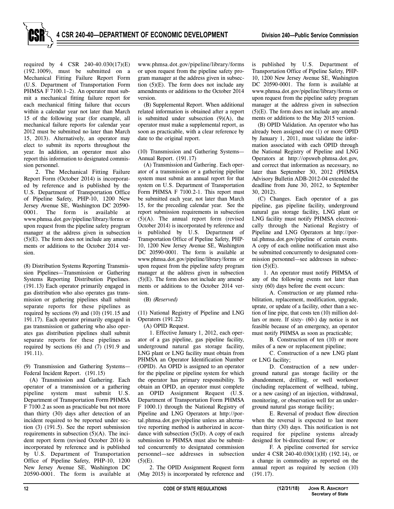required by 4 CSR 240-40.030(17)(E) (192.1009), must be submitted on a Mechanical Fitting Failure Report Form (U.S. Department of Transportation Form PHMSA F 7100.1–2). An operator must submit a mechanical fitting failure report for each mechanical fitting failure that occurs within a calendar year not later than March 15 of the following year (for example, all mechanical failure reports for calendar year 2012 must be submitted no later than March 15, 2013). Alternatively, an operator may elect to submit its reports throughout the year. In addition, an operator must also report this information to designated commission personnel.

2. The Mechanical Fitting Failure Report Form (October 2014) is incorporated by reference and is published by the U.S. Department of Transportation Office of Pipeline Safety, PHP-10, 1200 New Jersey Avenue SE, Washington DC 20590- 0001. The form is available at www.phmsa.dot.gov/pipeline/library/forms or upon request from the pipeline safety program manager at the address given in subsection (5)(E). The form does not include any amendments or additions to the October 2014 version.

(8) Distribution Systems Reporting Transmission Pipelines—Transmission or Gathering Systems Reporting Distribution Pipelines. (191.13) Each operator primarily engaged in gas distribution who also operates gas transmission or gathering pipelines shall submit separate reports for these pipelines as required by sections (9) and (10) (191.15 and 191.17). Each operator primarily engaged in gas transmission or gathering who also operates gas distribution pipelines shall submit separate reports for these pipelines as required by sections (6) and (7) (191.9 and 191.11).

(9) Transmission and Gathering Systems— Federal Incident Report. (191.15)

(A) Transmission and Gathering. Each operator of a transmission or a gathering pipeline system must submit U.S. Department of Transportation Form PHMSA F 7100.2 as soon as practicable but not more than thirty (30) days after detection of an incident required to be reported under section (3) (191.5). See the report submission requirements in subsection (5)(A). The incident report form (revised October 2014) is incorporated by reference and is published by U.S. Department of Transportation Office of Pipeline Safety, PHP-10, 1200 New Jersey Avenue SE, Washington DC 20590-0001. The form is available at

www.phmsa.dot.gov/pipeline/library/forms or upon request from the pipeline safety program manager at the address given in subsection  $(5)(E)$ . The form does not include any amendments or additions to the October 2014 version.

(B) Supplemental Report. When additional related information is obtained after a report is submitted under subsection  $(9)(A)$ , the operator must make a supplemental report, as soon as practicable, with a clear reference by date to the original report.

(10) Transmission and Gathering Systems— Annual Report. (191.17)

(A) Transmission and Gathering. Each operator of a transmission or a gathering pipeline system must submit an annual report for that system on U.S. Department of Transportation Form PHMSA F 7100.2-1. This report must be submitted each year, not later than March 15, for the preceding calendar year. See the report submission requirements in subsection (5)(A). The annual report form (revised October 2014) is incorporated by reference and is published by U.S. Department of Transportation Office of Pipeline Safety, PHP-10, 1200 New Jersey Avenue SE, Washington DC 20590-0001. The form is available at www.phmsa.dot.gov/pipeline/library/forms or upon request from the pipeline safety program manager at the address given in subsection  $(5)(E)$ . The form does not include any amendments or additions to the October 2014 version.

(B) *(Reserved)*

(11) National Registry of Pipeline and LNG Operators (191.22)

(A) OPID Request.

1. Effective January 1, 2012, each operator of a gas pipeline, gas pipeline facility, underground natural gas storage facility, LNG plant or LNG facility must obtain from PHMSA an Operator Identification Number (OPID). An OPID is assigned to an operator for the pipeline or pipeline system for which the operator has primary responsibility. To obtain an OPID, an operator must complete an OPID Assignment Request (U.S. Department of Transportation Form PHMSA F 1000.1) through the National Registry of Pipeline and LNG Operators at http://portal.phmsa.dot.gov/pipeline unless an alternative reporting method is authorized in accordance with subsection  $(5)(D)$ . A copy of each submission to PHMSA must also be submitted concurrently to designated commission personnel—see addresses in subsection  $(5)(E)$ .

2. The OPID Assignment Request form (May 2015) is incorporated by reference and is published by U.S. Department of Transportation Office of Pipeline Safety, PHP-10, 1200 New Jersey Avenue SE, Washington DC 20590-0001. The form is available at www.phmsa.dot.gov/pipeline/library/forms or upon request from the pipeline safety program manager at the address given in subsection  $(5)(E)$ . The form does not include any amendments or additions to the May 2015 version.

(B) OPID Validation. An operator who has already been assigned one (1) or more OPID by January 1, 2011, must validate the information associated with each OPID through the National Registry of Pipeline and LNG Operators at http://opsweb.phmsa.dot.gov, and correct that information as necessary, no later than September 30, 2012 (PHMSA Advisory Bulletin ADB-2012-04 extended the deadline from June 30, 2012, to September 30, 2012).

(C) Changes. Each operator of a gas pipeline, gas pipeline facility, underground natural gas storage facility, LNG plant or LNG facility must notify PHMSA electronically through the National Registry of Pipeline and LNG Operators at http://portal.phmsa.dot.gov/pipeline of certain events. A copy of each online notification must also be submitted concurrently to designated commission personnel—see addresses in subsection  $(5)(E)$ .

1. An operator must notify PHMSA of any of the following events not later than sixty (60) days before the event occurs:

A. Construction or any planned rehabilitation, replacement, modification, upgrade, uprate, or update of a facility, other than a section of line pipe, that costs ten (10) million dollars or more. If sixty- (60-) day notice is not feasible because of an emergency, an operator must notify PHMSA as soon as practicable;

B. Construction of ten (10) or more miles of a new or replacement pipeline;

C. Construction of a new LNG plant or LNG facility;

D. Construction of a new underground natural gas storage facility or the abandonment, drilling, or well workover (including replacement of wellhead, tubing, or a new casing) of an injection, withdrawal, monitoring, or observation well for an underground natural gas storage facility;

E. Reversal of product flow direction when the reversal is expected to last more than thirty (30) days. This notification is not required for pipeline systems already designed for bi-directional flow; or

F. A pipeline converted for service under 4 CSR 240-40.030(1)(H) (192.14), or a change in commodity as reported on the annual report as required by section (10) (191.17).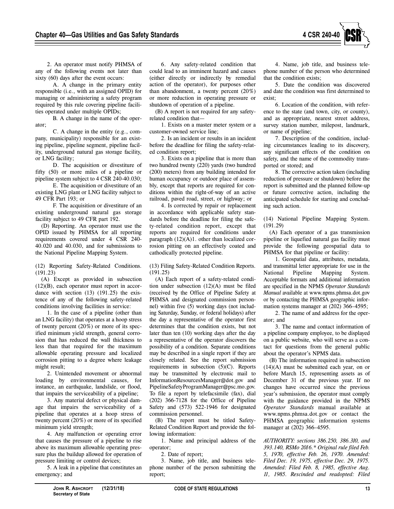

2. An operator must notify PHMSA of any of the following events not later than sixty (60) days after the event occurs:

A. A change in the primary entity responsible (i.e., with an assigned OPID) for managing or administering a safety program required by this rule covering pipeline facilities operated under multiple OPIDs;

B. A change in the name of the operator;

C. A change in the entity (e.g., company, municipality) responsible for an existing pipeline, pipeline segment, pipeline facility, underground natural gas storage facility, or LNG facility;

D. The acquisition or divestiture of fifty (50) or more miles of a pipeline or pipeline system subject to 4 CSR 240-40.030;

E. The acquisition or divestiture of an existing LNG plant or LNG facility subject to 49 CFR Part 193; or

F. The acquisition or divestiture of an existing underground natural gas storage facility subject to 49 CFR part 192.

(D) Reporting. An operator must use the OPID issued by PHMSA for all reporting requirements covered under 4 CSR 240- 40.020 and 40.030, and for submissions to the National Pipeline Mapping System.

(12) Reporting Safety-Related Conditions. (191.23)

(A) Except as provided in subsection (12)(B), each operator must report in accordance with section (13) (191.25) the existence of any of the following safety-related conditions involving facilities in service:

1. In the case of a pipeline (other than an LNG facility) that operates at a hoop stress of twenty percent (20%) or more of its specified minimum yield strength, general corrosion that has reduced the wall thickness to less than that required for the maximum allowable operating pressure and localized corrosion pitting to a degree where leakage might result;

2. Unintended movement or abnormal loading by environmental causes, for instance, an earthquake, landslide, or flood, that impairs the serviceability of a pipeline;

3. Any material defect or physical damage that impairs the serviceability of a pipeline that operates at a hoop stress of twenty percent (20%) or more of its specified minimum yield strength;

4. Any malfunction or operating error that causes the pressure of a pipeline to rise above its maximum allowable operating pressure plus the buildup allowed for operation of pressure limiting or control devices;

5. A leak in a pipeline that constitutes an emergency; and

6. Any safety-related condition that could lead to an imminent hazard and causes (either directly or indirectly by remedial action of the operator), for purposes other than abandonment, a twenty percent (20%) or more reduction in operating pressure or shutdown of operation of a pipeline.

(B) A report is not required for any safetyrelated condition that—

1. Exists on a master meter system or a customer-owned service line;

2. Is an incident or results in an incident before the deadline for filing the safety-related condition report;

3. Exists on a pipeline that is more than two hundred twenty (220) yards (two hundred (200) meters) from any building intended for human occupancy or outdoor place of assembly, except that reports are required for conditions within the right-of-way of an active railroad, paved road, street, or highway; or

4. Is corrected by repair or replacement in accordance with applicable safety standards before the deadline for filing the safety-related condition report, except that reports are required for conditions under paragraph  $(12)(A)1$ . other than localized corrosion pitting on an effectively coated and cathodically protected pipeline.

(13) Filing Safety-Related Condition Reports. (191.25)

(A) Each report of a safety-related condition under subsection (12)(A) must be filed (received by the Office of Pipeline Safety at PHMSA and designated commission personnel) within five (5) working days (not including Saturday, Sunday, or federal holidays) after the day a representative of the operator first determines that the condition exists, but not later than ten (10) working days after the day a representative of the operator discovers the possibility of a condition. Separate conditions may be described in a single report if they are closely related. See the report submission requirements in subsection (5)(C). Reports may be transmitted by electronic mail to InformationResourcesManager@dot.gov and PipelineSafetyProgramManager@psc.mo.gov. To file a report by telefacsimile (fax), dial (202) 366-7128 for the Office of Pipeline Safety and (573) 522-1946 for designated commission personnel.

(B) The report must be titled Safety-Related Condition Report and provide the following information:

1. Name and principal address of the operator;

2. Date of report;

3. Name, job title, and business telephone number of the person submitting the report;

4. Name, job title, and business telephone number of the person who determined that the condition exists;

5. Date the condition was discovered and date the condition was first determined to exist;

6. Location of the condition, with reference to the state (and town, city, or county), and as appropriate, nearest street address, survey station number, milepost, landmark, or name of pipeline;

7. Description of the condition, including circumstances leading to its discovery, any significant effects of the condition on safety, and the name of the commodity transported or stored; and

8. The corrective action taken (including reduction of pressure or shutdown) before the report is submitted and the planned follow-up or future corrective action, including the anticipated schedule for starting and concluding such action.

(14) National Pipeline Mapping System. (191.29)

(A) Each operator of a gas transmission pipeline or liquefied natural gas facility must provide the following geospatial data to PHMSA for that pipeline or facility:

1. Geospatial data, attributes, metadata, and transmittal letter appropriate for use in the National Pipeline Mapping System. Acceptable formats and additional information are specified in the NPMS *Operator Standards Manual* available at www.npms.phmsa.dot.gov or by contacting the PHMSA geographic information systems manager at (202) 366–4595;

2. The name of and address for the operator; and

3. The name and contact information of a pipeline company employee, to be displayed on a public website, who will serve as a contact for questions from the general public about the operator's NPMS data.

(B) The information required in subsection  $(14)(A)$  must be submitted each year, on or before March 15, representing assets as of December 31 of the previous year. If no changes have occurred since the previous year's submission, the operator must comply with the guidance provided in the NPMS *Operator Standards* manual available at www.npms.phmsa.dot.gov or contact the PHMSA geographic information systems manager at (202) 366–4595.

*AUTHORITY: sections 386.250, 386.310, and 393.140, RSMo 2016.\* Original rule filed Feb. 5, 1970, effective Feb. 26, 1970. Amended: Filed Dec. 19, 1975, effective Dec. 29, 1975. Amended: Filed Feb. 8, 1985, effective Aug. 11, 1985. Rescinded and readopted: Filed*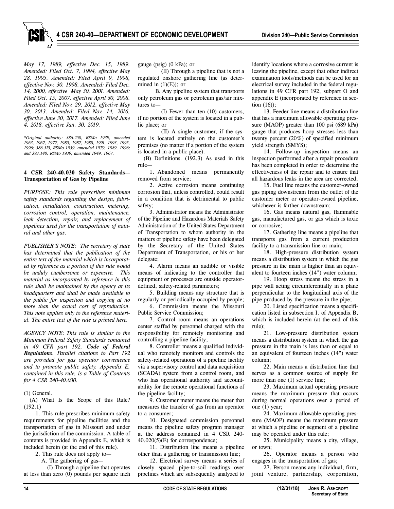*May 17, 1989, effective Dec. 15, 1989. Amended: Filed Oct. 7, 1994, effective May 28, 1995. Amended: Filed April 9, 1998, effective Nov. 30, 1998. Amended: Filed Dec. 14, 2000, effective May 30, 2001. Amended: Filed Oct. 15, 2007, effective April 30, 2008. Amended: Filed Nov. 29, 2012, effective May 30, 2013. Amended: Filed Nov. 14, 2016, effective June 30, 2017. Amended: Filed June 4, 2018, effective Jan. 30, 2019.*

*\*Original authority: 386.250, RSMo 1939, amended 1963, 1967, 1977, 1980, 1987, 1988, 1991, 1993, 1995, 1996; 386.310, RSMo 1939, amended 1979, 1989, 1996; and 393.140, RSMo 1939, amended 1949, 1967.*

#### **4 CSR 240-40.030 Safety Standards— Transportation of Gas by Pipeline**

*PURPOSE: This rule prescribes minimum safety standards regarding the design, fabrication, installation, construction, metering, corrosion control, operation, maintenance, leak detection, repair, and replacement of pipelines used for the transportation of natural and other gas.*

*PUBLISHER'S NOTE: The secretary of state has determined that the publication of the entire text of the material which is incorporated by reference as a portion of this rule would be unduly cumbersome or expensive. This material as incorporated by reference in this rule shall be maintained by the agency at its headquarters and shall be made available to the public for inspection and copying at no more than the actual cost of reproduction. This note applies only to the reference material. The entire text of the rule is printed here.*

*AGENCY NOTE: This rule is similar to the Minimum Federal Safety Standards contained in 49 CFR part 192, Code of Federal Regulations. Parallel citations to Part 192 are provided for gas operator convenience and to promote public safety. Appendix E, contained in this rule, is a Table of Contents for 4 CSR 240-40.030.*

(1) General.

(A) What Is the Scope of this Rule? (192.1)

1. This rule prescribes minimum safety requirements for pipeline facilities and the transportation of gas in Missouri and under the jurisdiction of the commission. A table of contents is provided in Appendix E, which is included herein (at the end of this rule).

2. This rule does not apply to—

A. The gathering of gas—

(I) Through a pipeline that operates at less than zero (0) pounds per square inch gauge (psig) (0 kPa); or

(II) Through a pipeline that is not a regulated onshore gathering line (as determined in  $(1)(E)$ ; or

B. Any pipeline system that transports only petroleum gas or petroleum gas/air mixtures to—

(I) Fewer than ten (10) customers, if no portion of the system is located in a public place; or

(II) A single customer, if the system is located entirely on the customer's premises (no matter if a portion of the system is located in a public place).

(B) Definitions. (192.3) As used in this rule—

1. Abandoned means permanently removed from service;

2. Active corrosion means continuing corrosion that, unless controlled, could result in a condition that is detrimental to public safety;

3. Administrator means the Administrator of the Pipeline and Hazardous Materials Safety Administration of the United States Department of Transportation to whom authority in the matters of pipeline safety have been delegated by the Secretary of the United States Department of Transportation, or his or her delegate;

4. Alarm means an audible or visible means of indicating to the controller that equipment or processes are outside operatordefined, safety-related parameters;

5. Building means any structure that is regularly or periodically occupied by people; 6. Commission means the Missouri

Public Service Commission;

7. Control room means an operations center staffed by personnel charged with the responsibility for remotely monitoring and controlling a pipeline facility;

8. Controller means a qualified individual who remotely monitors and controls the safety-related operations of a pipeline facility via a supervisory control and data acquisition (SCADA) system from a control room, and who has operational authority and accountability for the remote operational functions of the pipeline facility;

9. Customer meter means the meter that measures the transfer of gas from an operator to a consumer;

10. Designated commission personnel means the pipeline safety program manager at the address contained in 4 CSR 240- 40.020(5)(E) for correspondence;

11. Distribution line means a pipeline other than a gathering or transmission line;

12. Electrical survey means a series of closely spaced pipe-to-soil readings over pipelines which are subsequently analyzed to identify locations where a corrosive current is leaving the pipeline, except that other indirect examination tools/methods can be used for an electrical survey included in the federal regulations in 49 CFR part 192, subpart O and appendix E (incorporated by reference in section (16));

13. Feeder line means a distribution line that has a maximum allowable operating pressure (MAOP) greater than 100 psi (689 kPa) gauge that produces hoop stresses less than twenty percent (20%) of specified minimum yield strength (SMYS);

14. Follow-up inspection means an inspection performed after a repair procedure has been completed in order to determine the effectiveness of the repair and to ensure that all hazardous leaks in the area are corrected;

15. Fuel line means the customer-owned gas piping downstream from the outlet of the customer meter or operator-owned pipeline, whichever is farther downstream;

16. Gas means natural gas, flammable gas, manufactured gas, or gas which is toxic or corrosive;

17. Gathering line means a pipeline that transports gas from a current production facility to a transmission line or main;

18. High-pressure distribution system means a distribution system in which the gas pressure in the main is higher than an equivalent to fourteen inches (14") water column;

19. Hoop stress means the stress in a pipe wall acting circumferentially in a plane perpendicular to the longitudinal axis of the pipe produced by the pressure in the pipe;

20. Listed specification means a specification listed in subsection I. of Appendix B, which is included herein (at the end of this rule);

21. Low-pressure distribution system means a distribution system in which the gas pressure in the main is less than or equal to an equivalent of fourteen inches (14") water column;

22. Main means a distribution line that serves as a common source of supply for more than one (1) service line;

23. Maximum actual operating pressure means the maximum pressure that occurs during normal operations over a period of one (1) year;

24. Maximum allowable operating pressure (MAOP) means the maximum pressure at which a pipeline or segment of a pipeline may be operated under this rule;

25. Municipality means a city, village, or town;

26. Operator means a person who engages in the transportation of gas;

27. Person means any individual, firm, joint venture, partnership, corporation,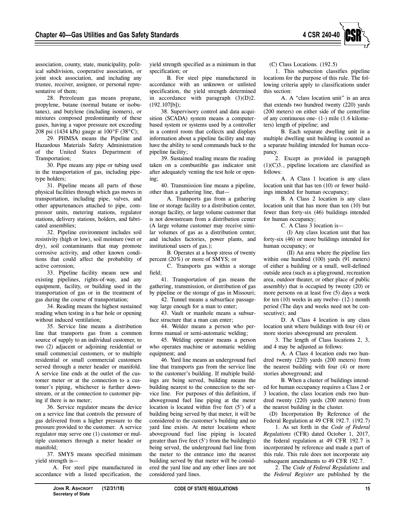

association, county, state, municipality, political subdivision, cooperative association, or joint stock association, and including any trustee, receiver, assignee, or personal representative of them;

28. Petroleum gas means propane, propylene, butane (normal butane or isobutanes), and butylene (including isomers), or mixtures composed predominantly of these gases, having a vapor pressure not exceeding 208 psi (1434 kPa) gauge at 100°F (38°C);

29. PHMSA means the Pipeline and Hazardous Materials Safety Administration of the United States Department of Transportation;

30. Pipe means any pipe or tubing used in the transportation of gas, including pipetype holders;

31. Pipeline means all parts of those physical facilities through which gas moves in transportation, including pipe, valves, and other appurtenances attached to pipe, compressor units, metering stations, regulator stations, delivery stations, holders, and fabricated assemblies;

32. Pipeline environment includes soil resistivity (high or low), soil moisture (wet or dry), soil contaminants that may promote corrosive activity, and other known conditions that could affect the probability of active corrosion;

33. Pipeline facility means new and existing pipelines, rights-of-way, and any equipment, facility, or building used in the transportation of gas or in the treatment of gas during the course of transportation;

34. Reading means the highest sustained reading when testing in a bar hole or opening without induced ventilation;

35. Service line means a distribution line that transports gas from a common source of supply to an individual customer, to two (2) adjacent or adjoining residential or small commercial customers, or to multiple residential or small commercial customers served through a meter header or manifold. A service line ends at the outlet of the customer meter or at the connection to a customer's piping, whichever is further downstream, or at the connection to customer piping if there is no meter;

36. Service regulator means the device on a service line that controls the pressure of gas delivered from a higher pressure to the pressure provided to the customer. A service regulator may serve one (1) customer or multiple customers through a meter header or manifold;

37. SMYS means specified minimum yield strength is—

A. For steel pipe manufactured in accordance with a listed specification, the yield strength specified as a minimum in that specification; or

B. For steel pipe manufactured in accordance with an unknown or unlisted specification, the yield strength determined in accordance with paragraph  $(3)(D)2$ . (192.107[b]);

38. Supervisory control and data acquisition (SCADA) system means a computerbased system or systems used by a controller in a control room that collects and displays information about a pipeline facility and may have the ability to send commands back to the pipeline facility;

39. Sustained reading means the reading taken on a combustible gas indicator unit after adequately venting the test hole or opening;

40. Transmission line means a pipeline, other than a gathering line, that—

A. Transports gas from a gathering line or storage facility to a distribution center, storage facility, or large volume customer that is not downstream from a distribution center (A large volume customer may receive similar volumes of gas as a distribution center, and includes factories, power plants, and institutional users of gas.);

B. Operates at a hoop stress of twenty percent (20%) or more of SMYS; or

C. Transports gas within a storage field;

41. Transportation of gas means the gathering, transmission, or distribution of gas by pipeline or the storage of gas in Missouri;

42. Tunnel means a subsurface passageway large enough for a man to enter;

43. Vault or manhole means a subsurface structure that a man can enter;

44. Welder means a person who performs manual or semi-automatic welding;

45. Welding operator means a person who operates machine or automatic welding equipment; and

46. Yard line means an underground fuel line that transports gas from the service line to the customer's building. If multiple buildings are being served, building means the building nearest to the connection to the service line. For purposes of this definition, if aboveground fuel line piping at the meter location is located within five feet (5') of a building being served by that meter, it will be considered to the customer's building and no yard line exists. At meter locations where aboveground fuel line piping is located greater than five feet  $(5')$  from the building $(s)$ being served, the underground fuel line from the meter to the entrance into the nearest building served by that meter will be considered the yard line and any other lines are not considered yard lines.

(C) Class Locations. (192.5)

1. This subsection classifies pipeline locations for the purpose of this rule. The following criteria apply to classifications under this section:

A. A "class location unit" is an area that extends two hundred twenty (220) yards (200 meters) on either side of the centerline of any continuous one- (1-) mile (1.6 kilometers) length of pipeline; and

B. Each separate dwelling unit in a multiple dwelling unit building is counted as a separate building intended for human occupancy.

2. Except as provided in paragraph  $(1)(C)3$ ., pipeline locations are classified as follows:

A. A Class 1 location is any class location unit that has ten (10) or fewer buildings intended for human occupancy;

B. A Class 2 location is any class location unit that has more than ten (10) but fewer than forty-six (46) buildings intended for human occupancy;

C. A Class 3 location is—

(I) Any class location unit that has forty-six (46) or more buildings intended for human occupancy; or

(II) An area where the pipeline lies within one hundred (100) yards (91 meters) of either a building or a small, well-defined outside area (such as a playground, recreation area, outdoor theater, or other place of public assembly) that is occupied by twenty (20) or more persons on at least five (5) days a week for ten (10) weeks in any twelve- (12-) month period (The days and weeks need not be consecutive); and

D. A Class 4 location is any class location unit where buildings with four (4) or more stories aboveground are prevalent.

3. The length of Class locations 2, 3, and 4 may be adjusted as follows:

A. A Class 4 location ends two hundred twenty (220) yards (200 meters) from the nearest building with four (4) or more stories aboveground; and

B. When a cluster of buildings intended for human occupancy requires a Class 2 or 3 location, the class location ends two hundred twenty (220) yards (200 meters) from the nearest building in the cluster.

(D) Incorporation By Reference of the Federal Regulation at 49 CFR 192.7. (192.7)

1. As set forth in the *Code of Federal Regulations* (CFR) dated October 1, 2017, the federal regulation at 49 CFR 192.7 is incorporated by reference and made a part of this rule. This rule does not incorporate any subsequent amendments to 49 CFR 192.7.

2. The *Code of Federal Regulations* and the *Federal Register* are published by the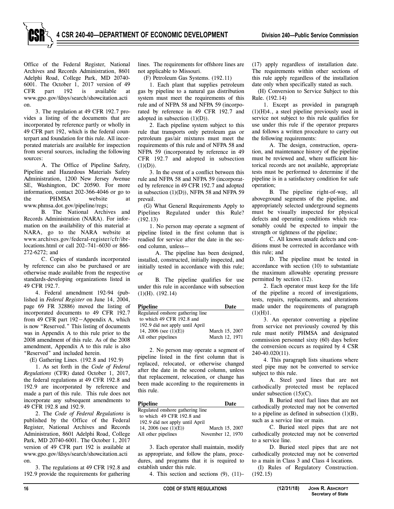Office of the Federal Register, National Archives and Records Administration, 8601 Adelphi Road, College Park, MD 20740- 6001. The October 1, 2017 version of 49 CFR part 192 is available at www.gpo.gov/fdsys/search/showcitation.acti on.

3. The regulation at 49 CFR 192.7 provides a listing of the documents that are incorporated by reference partly or wholly in 49 CFR part 192, which is the federal counterpart and foundation for this rule. All incorporated materials are available for inspection from several sources, including the following sources:

A. The Office of Pipeline Safety, Pipeline and Hazardous Materials Safety Administration, 1200 New Jersey Avenue SE, Washington, DC 20590. For more information, contact 202-366-4046 or go to the PHMSA website at www.phmsa.dot.gov/pipeline/regs;

B. The National Archives and Records Administration (NARA). For information on the availability of this material at NARA, go to the NARA website at www.archives.gov/federal-register/cfr/ibrlocations.html or call 202–741–6030 or 866- 272-6272; and

C. Copies of standards incorporated by reference can also be purchased or are otherwise made available from the respective standards-developing organizations listed in 49 CFR 192.7.

4. Federal amendment 192-94 (published in *Federal Register* on June 14, 2004, page 69 FR 32886) moved the listing of incorporated documents to 49 CFR 192.7 from 49 CFR part 192−Appendix A, which is now "Reserved." This listing of documents was in Appendix A to this rule prior to the 2008 amendment of this rule. As of the 2008 amendment, Appendix A to this rule is also "Reserved" and included herein.

(E) Gathering Lines. (192.8 and 192.9)

1. As set forth in the *Code of Federal Regulations* (CFR) dated October 1, 2017, the federal regulations at 49 CFR 192.8 and 192.9 are incorporated by reference and made a part of this rule. This rule does not incorporate any subsequent amendments to 49 CFR 192.8 and 192.9.

2. The *Code of Federal Regulations* is published by the Office of the Federal Register, National Archives and Records Administration, 8601 Adelphi Road, College Park, MD 20740-6001. The October 1, 2017 version of 49 CFR part 192 is available at www.gpo.gov/fdsys/search/showcitation.acti on.

3. The regulations at 49 CFR 192.8 and 192.9 provide the requirements for gathering lines. The requirements for offshore lines are not applicable to Missouri.

(F) Petroleum Gas Systems. (192.11)

1. Each plant that supplies petroleum gas by pipeline to a natural gas distribution system must meet the requirements of this rule and of NFPA 58 and NFPA 59 (incorporated by reference in 49 CFR 192.7 and adopted in subsection  $(1)(D)$ ).

2. Each pipeline system subject to this rule that transports only petroleum gas or petroleum gas/air mixtures must meet the requirements of this rule and of NFPA 58 and NFPA 59 (incorporated by reference in 49 CFR 192.7 and adopted in subsection  $(1)(D)$ ).

3. In the event of a conflict between this rule and NFPA 58 and NFPA 59 (incorporated by reference in 49 CFR 192.7 and adopted in subsection (1)(D)), NFPA 58 and NFPA 59 prevail.

(G) What General Requirements Apply to Pipelines Regulated under this Rule? (192.13)

1. No person may operate a segment of pipeline listed in the first column that is readied for service after the date in the second column, unless—

A. The pipeline has been designed, installed, constructed, initially inspected, and initially tested in accordance with this rule; or

B. The pipeline qualifies for use under this rule in accordance with subsection (1)(H). (192.14)

| <b>Pipeline</b>                  | Date           |
|----------------------------------|----------------|
| Regulated onshore gathering line |                |
| to which 49 CFR 192.8 and        |                |
| 192.9 did not apply until April  |                |
| 14, 2006 (see $(1)(E)$ )         | March 15, 2007 |
| All other pipelines              | March 12, 1971 |

2. No person may operate a segment of pipeline listed in the first column that is replaced, relocated, or otherwise changed after the date in the second column, unless that replacement, relocation, or change has been made according to the requirements in this rule.

| <b>Pipeline</b>                   | Date              |
|-----------------------------------|-------------------|
| Regulated on shore gathering line |                   |
| to which 49 CFR 192.8 and         |                   |
| 192.9 did not apply until April   |                   |
| 14, 2006 (see $(1)(E)$ )          | March 15, 2007    |
| All other pipelines               | November 12, 1970 |

3. Each operator shall maintain, modify as appropriate, and follow the plans, procedures, and programs that it is required to establish under this rule.

4. This section and sections (9), (11)–

(17) apply regardless of installation date. The requirements within other sections of this rule apply regardless of the installation date only when specifically stated as such.

(H) Conversion to Service Subject to this Rule. (192.14)

1. Except as provided in paragraph (1)(H)4., a steel pipeline previously used in service not subject to this rule qualifies for use under this rule if the operator prepares and follows a written procedure to carry out the following requirements:

A. The design, construction, operation, and maintenance history of the pipeline must be reviewed and, where sufficient historical records are not available, appropriate tests must be performed to determine if the pipeline is in a satisfactory condition for safe operation;

B. The pipeline right-of-way, all aboveground segments of the pipeline, and appropriately selected underground segments must be visually inspected for physical defects and operating conditions which reasonably could be expected to impair the strength or tightness of the pipeline;

C. All known unsafe defects and conditions must be corrected in accordance with this rule; and

D. The pipeline must be tested in accordance with section (10) to substantiate the maximum allowable operating pressure permitted by section (12).

2. Each operator must keep for the life of the pipeline a record of investigations, tests, repairs, replacements, and alterations made under the requirements of paragraph  $(1)(H)1$ .

3. An operator converting a pipeline from service not previously covered by this rule must notify PHMSA and designated commission personnel sixty (60) days before the conversion occurs as required by 4 CSR 240-40.020(11).

4. This paragraph lists situations where steel pipe may not be converted to service subject to this rule.

A. Steel yard lines that are not cathodically protected must be replaced under subsection (15)(C).

B. Buried steel fuel lines that are not cathodically protected may not be converted to a pipeline as defined in subsection  $(1)(B)$ , such as a service line or main.

C. Buried steel pipes that are not cathodically protected may not be converted to a service line.

D. Buried steel pipes that are not cathodically protected may not be converted to a main in Class 3 and Class 4 locations.

(I) Rules of Regulatory Construction. (192.15)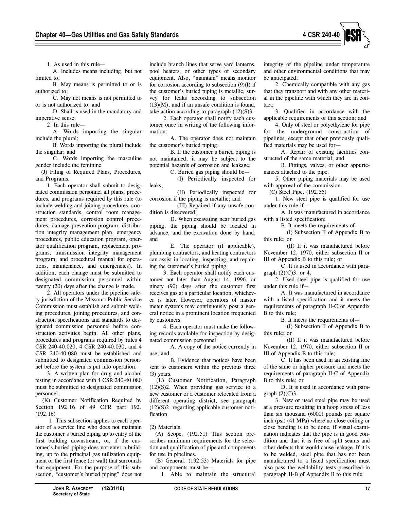

1. As used in this rule—

A. Includes means including, but not limited to;

B. May means is permitted to or is authorized to;

C. May not means is not permitted to or is not authorized to; and

D. Shall is used in the mandatory and imperative sense.

2. In this rule—

A. Words importing the singular include the plural;

B. Words importing the plural include the singular; and

C. Words importing the masculine gender include the feminine.

(J) Filing of Required Plans, Procedures, and Programs.

1. Each operator shall submit to designated commission personnel all plans, procedures, and programs required by this rule (to include welding and joining procedures, construction standards, control room management procedures, corrosion control procedures, damage prevention program, distribution integrity management plan, emergency procedures, public education program, operator qualification program, replacement programs, transmission integrity management program, and procedural manual for operations, maintenance, and emergencies). In addition, each change must be submitted to designated commission personnel within twenty (20) days after the change is made.

2. All operators under the pipeline safety jurisdiction of the Missouri Public Service Commission must establish and submit welding procedures, joining procedures, and construction specifications and standards to designated commission personnel before construction activities begin. All other plans, procedures and programs required by rules 4 CSR 240-40.020, 4 CSR 240-40.030, and 4 CSR 240-40.080 must be established and submitted to designated commission personnel before the system is put into operation.

3. A written plan for drug and alcohol testing in accordance with 4 CSR 240-40.080 must be submitted to designated commission personnel.

(K) Customer Notification Required by Section 192.16 of 49 CFR part 192. (192.16)

1. This subsection applies to each operator of a service line who does not maintain the customer's buried piping up to entry of the first building downstream, or, if the customer's buried piping does not enter a building, up to the principal gas utilization equipment or the first fence (or wall) that surrounds that equipment. For the purpose of this subsection, "customer's buried piping" does not

include branch lines that serve yard lanterns, pool heaters, or other types of secondary equipment. Also, "maintain" means monitor for corrosion according to subsection  $(9)(I)$  if the customer's buried piping is metallic, survey for leaks according to subsection  $(13)(M)$ , and if an unsafe condition is found, take action according to paragraph  $(12)(S)3$ .

2. Each operator shall notify each customer once in writing of the following information:

A. The operator does not maintain the customer's buried piping;

B. If the customer's buried piping is not maintained, it may be subject to the potential hazards of corrosion and leakage;

C. Buried gas piping should be—

(I) Periodically inspected for leaks;

(II) Periodically inspected for corrosion if the piping is metallic; and

(III) Repaired if any unsafe condition is discovered;

D. When excavating near buried gas piping, the piping should be located in advance, and the excavation done by hand; and

E. The operator (if applicable), plumbing contractors, and heating contractors can assist in locating, inspecting, and repairing the customer's buried piping.

3. Each operator shall notify each customer not later than August 14, 1996, or ninety (90) days after the customer first receives gas at a particular location, whichever is later. However, operators of master meter systems may continuously post a general notice in a prominent location frequented by customers.

4. Each operator must make the following records available for inspection by designated commission personnel:

A. A copy of the notice currently in use; and

B. Evidence that notices have been sent to customers within the previous three (3) years.

(L) Customer Notification, Paragraph  $(12)(S)2$ . When providing gas service to a new customer or a customer relocated from a different operating district, see paragraph (12)(S)2. regarding applicable customer notification.

#### (2) Materials.

(A) Scope. (192.51) This section prescribes minimum requirements for the selection and qualification of pipe and components for use in pipelines.

(B) General. (192.53) Materials for pipe and components must be—

1. Able to maintain the structural

integrity of the pipeline under temperature and other environmental conditions that may be anticipated;

2. Chemically compatible with any gas that they transport and with any other material in the pipeline with which they are in contact;

3. Qualified in accordance with the applicable requirements of this section; and

4. Only of steel or polyethylene for pipe for the underground construction of pipelines, except that other previously qualified materials may be used for—

A. Repair of existing facilities constructed of the same material; and

B. Fittings, valves, or other appurtenances attached to the pipe.

5. Other piping materials may be used with approval of the commission.

(C) Steel Pipe. (192.55)

1. New steel pipe is qualified for use under this rule if—

A. It was manufactured in accordance with a listed specification;

B. It meets the requirements of—

(I) Subsection II of Appendix B to this rule; or

(II) If it was manufactured before November 12, 1970, either subsection II or III of Appendix B to this rule; or

C. It is used in accordance with paragraph  $(2)(C)3$ . or 4.

2. Used steel pipe is qualified for use under this rule if—

A. It was manufactured in accordance with a listed specification and it meets the requirements of paragraph II-C of Appendix B to this rule;

B. It meets the requirements of—

(I) Subsection II of Appendix B to this rule; or

(II) If it was manufactured before November 12, 1970, either subsection II or III of Appendix B to this rule;

C. It has been used in an existing line of the same or higher pressure and meets the requirements of paragraph II-C of Appendix B to this rule; or

D. It is used in accordance with paragraph  $(2)(C)3$ .

3. New or used steel pipe may be used at a pressure resulting in a hoop stress of less than six thousand (6000) pounds per square inch (psi) (41 MPa) where no close coiling or close bending is to be done, if visual examination indicates that the pipe is in good condition and that it is free of split seams and other defects that would cause leakage. If it is to be welded, steel pipe that has not been manufactured to a listed specification must also pass the weldability tests prescribed in paragraph II-B of Appendix B to this rule.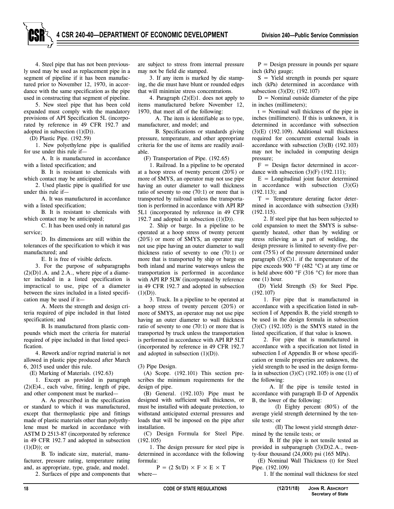4. Steel pipe that has not been previously used may be used as replacement pipe in a segment of pipeline if it has been manufactured prior to November 12, 1970, in accordance with the same specification as the pipe used in constructing that segment of pipeline.

5. New steel pipe that has been cold expanded must comply with the mandatory provisions of API Specification 5L (incorporated by reference in 49 CFR 192.7 and adopted in subsection  $(1)(D)$ ).

(D) Plastic Pipe. (192.59)

1. New polyethylene pipe is qualified for use under this rule if—

A. It is manufactured in accordance with a listed specification; and

B. It is resistant to chemicals with which contact may be anticipated.

2. Used plastic pipe is qualified for use under this rule if—

A. It was manufactured in accordance with a listed specification;

B. It is resistant to chemicals with which contact may be anticipated;

C. It has been used only in natural gas service;

D. Its dimensions are still within the tolerances of the specification to which it was manufactured; and

E. It is free of visible defects.

3. For the purpose of subparagraphs  $(2)(D)1.A.$  and  $2.A.$ , where pipe of a diameter included in a listed specification is impractical to use, pipe of a diameter between the sizes included in a listed specification may be used if it—

A. Meets the strength and design criteria required of pipe included in that listed specification; and

B. Is manufactured from plastic compounds which meet the criteria for material required of pipe included in that listed specification.

4. Rework and/or regrind material is not allowed in plastic pipe produced after March 6, 2015 used under this rule.

(E) Marking of Materials. (192.63)

1. Except as provided in paragraph  $(2)(E)4$ ., each valve, fitting, length of pipe, and other component must be marked—

A. As prescribed in the specification or standard to which it was manufactured, except that thermoplastic pipe and fittings made of plastic materials other than polyethylene must be marked in accordance with ASTM D 2513-87 (incorporated by reference in 49 CFR 192.7 and adopted in subsection  $(1)(D)$ ; or

B. To indicate size, material, manufacturer, pressure rating, temperature rating and, as appropriate, type, grade, and model.

2. Surfaces of pipe and components that

are subject to stress from internal pressure may not be field die stamped.

3. If any item is marked by die stamping, the die must have blunt or rounded edges that will minimize stress concentrations.

4. Paragraph (2)(E)1. does not apply to items manufactured before November 12, 1970, that meet all of the following:

A. The item is identifiable as to type, manufacturer, and model; and

B. Specifications or standards giving pressure, temperature, and other appropriate criteria for the use of items are readily available.

(F) Transportation of Pipe. (192.65)

1. Railroad. In a pipeline to be operated at a hoop stress of twenty percent (20%) or more of SMYS, an operator may not use pipe having an outer diameter to wall thickness ratio of seventy to one (70:1) or more that is transported by railroad unless the transportation is performed in accordance with API RP 5L1 (incorporated by reference in 49 CFR 192.7 and adopted in subsection  $(1)(D)$ ).

2. Ship or barge. In a pipeline to be operated at a hoop stress of twenty percent (20%) or more of SMYS, an operator may not use pipe having an outer diameter to wall thickness ratio of seventy to one (70:1) or more that is transported by ship or barge on both inland and marine waterways unless the transportation is performed in accordance with API RP 5LW (incorporated by reference in 49 CFR 192.7 and adopted in subsection  $(1)(D)$ ).

3. Truck. In a pipeline to be operated at a hoop stress of twenty percent (20%) or more of SMYS, an operator may not use pipe having an outer diameter to wall thickness ratio of seventy to one (70:1) or more that is transported by truck unless the transportation is performed in accordance with API RP 5LT (incorporated by reference in 49 CFR 192.7 and adopted in subsection  $(1)(D)$ ).

(3) Pipe Design.

(A) Scope. (192.101) This section prescribes the minimum requirements for the design of pipe.

(B) General. (192.103) Pipe must be designed with sufficient wall thickness, or must be installed with adequate protection, to withstand anticipated external pressures and loads that will be imposed on the pipe after installation.

(C) Design Formula for Steel Pipe. (192.105)

1. The design pressure for steel pipe is determined in accordance with the following formula:

 $P = (2 \text{ St/D}) \times F \times E \times T$ where—

 $P =$  Design pressure in pounds per square inch (kPa) gauge;

 $S =$  Yield strength in pounds per square inch (kPa) determined in accordance with subsection (3)(D); (192.107)

 $D =$  Nominal outside diameter of the pipe in inches (millimeters);

 $t =$  Nominal wall thickness of the pipe in inches (millimeters). If this is unknown, it is determined in accordance with subsection  $(3)(E)$  (192.109). Additional wall thickness required for concurrent external loads in accordance with subsection (3)(B) (192.103) may not be included in computing design pressure;

F = Design factor determined in accordance with subsection  $(3)(F)$  (192.111);

 $E =$  Longitudinal joint factor determined in accordance with subsection (3)(G) (192.113); and

 $T =$  Temperature derating factor determined in accordance with subsection (3)(H)  $(192.115)$ .

2. If steel pipe that has been subjected to cold expansion to meet the SMYS is subsequently heated, other than by welding or stress relieving as a part of welding, the design pressure is limited to seventy-five percent (75%) of the pressure determined under paragraph  $(3)(C)1$ . if the temperature of the pipe exceeds 900 °F (482 °C) at any time or is held above 600 °F (316 °C) for more than one (1) hour.

(D) Yield Strength (S) for Steel Pipe. (192.107)

1. For pipe that is manufactured in accordance with a specification listed in subsection I of Appendix B, the yield strength to be used in the design formula in subsection  $(3)(C)$   $(192.105)$  is the SMYS stated in the listed specification, if that value is known.

2. For pipe that is manufactured in accordance with a specification not listed in subsection I of Appendix B or whose specification or tensile properties are unknown, the yield strength to be used in the design formula in subsection  $(3)(C)$   $(192.105)$  is one  $(1)$  of the following:

A. If the pipe is tensile tested in accordance with paragraph II-D of Appendix B, the lower of the following:

(I) Eighty percent (80%) of the average yield strength determined by the tensile tests; or

(II) The lowest yield strength determined by the tensile tests; or

B. If the pipe is not tensile tested as provided in subparagraph (3)(D)2.A., twenty-four thousand (24,000) psi (165 MPa).

(E) Nominal Wall Thickness (t) for Steel Pipe. (192.109)

1. If the nominal wall thickness for steel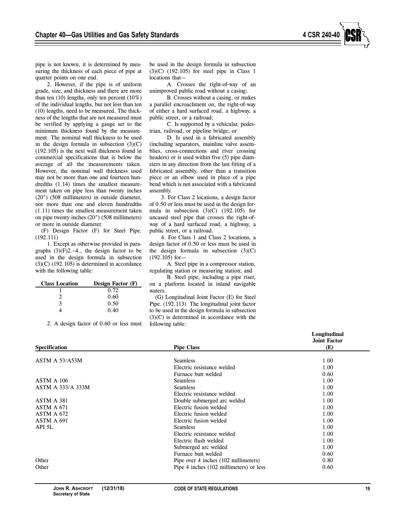pipe is not known, it is determined by measuring the thickness of each piece of pipe at quarter points on one end.

2. However, if the pipe is of uniform grade, size, and thickness and there are more than ten (10) lengths, only ten percent (10%) of the individual lengths, but not less than ten (10) lengths, need to be measured. The thickness of the lengths that are not measured must be verified by applying a gauge set to the minimum thickness found by the measurement. The nominal wall thickness to be used in the design formula in subsection  $(3)(C)$ (192.105) is the next wall thickness found in commercial specifications that is below the average of all the measurements taken. However, the nominal wall thickness used may not be more than one and fourteen hundredths (1.14) times the smallest measurement taken on pipe less than twenty inches (20") (508 millimeters) in outside diameter, nor more than one and eleven hundredths (1.11) times the smallest measurement taken on pipe twenty inches (20") (508 millimeters) or more in outside diameter.

(F) Design Factor (F) for Steel Pipe. (192.111)

1. Except as otherwise provided in paragraphs  $(3)(F)2,-4$ ., the design factor to be used in the design formula in subsection  $(3)(C)$  (192.105) is determined in accordance with the following table:

| <b>Class Location</b> | Design Factor (F) |
|-----------------------|-------------------|
|                       | 0.72              |
|                       | 0.60              |
| ٦                     | 0.50              |
|                       | 0.40              |

2. A design factor of 0.60 or less must

be used in the design formula in subsection  $(3)(C)$   $(192.105)$  for steel pipe in Class 1 locations that—

A. Crosses the right-of-way of an unimproved public road without a casing;

B. Crosses without a casing, or makes a parallel encroachment on, the right-of-way of either a hard surfaced road, a highway, a public street, or a railroad;

C. Is supported by a vehicular, pedestrian, railroad, or pipeline bridge; or

D. Is used in a fabricated assembly (including separators, mainline valve assemblies, cross-connections and river crossing headers) or is used within five (5) pipe diameters in any direction from the last fitting of a fabricated assembly, other than a transition piece or an elbow used in place of a pipe bend which is not associated with a fabricated assembly.

3. For Class 2 locations, a design factor of 0.50 or less must be used in the design formula in subsection  $(3)(C)$   $(192.105)$  for uncased steel pipe that crosses the right-ofway of a hard surfaced road, a highway, a public street, or a railroad.

4. For Class 1 and Class 2 locations, a design factor of 0.50 or less must be used in the design formula in subsection  $(3)(C)$ (192.105) for—

A. Steel pipe in a compressor station, regulating station or measuring station; and

B. Steel pipe, including a pipe riser, on a platform located in inland navigable waters.

(G) Longitudinal Joint Factor (E) for Steel Pipe. (192.113) The longitudinal joint factor to be used in the design formula in subsection (3)(C) is determined in accordance with the following table:

|                          |                                         | Longitudinal               |
|--------------------------|-----------------------------------------|----------------------------|
| Specification            | <b>Pipe Class</b>                       | <b>Joint Factor</b><br>(E) |
|                          |                                         |                            |
| ASTM A 53/A53M           | <b>Seamless</b>                         | 1.00                       |
|                          | Electric resistance welded              | 1.00                       |
|                          | Furnace butt welded                     | 0.60                       |
| ASTM A 106               | <b>Seamless</b>                         | 1.00                       |
| <b>ASTM A 333/A 333M</b> | <b>Seamless</b>                         | 1.00                       |
|                          | Electric resistance welded              | 1.00                       |
| ASTM A 381               | Double submerged arc welded             | 1.00                       |
| ASTM A 671               | Electric fusion welded                  | 1.00                       |
| ASTM A 672               | Electric fusion welded                  | 1.00                       |
| ASTM A 691               | Electric fusion welded                  | 1.00                       |
| API 5L                   | <b>Seamless</b>                         | 1.00                       |
|                          | Electric resistance welded              | 1.00                       |
|                          | Electric flash welded                   | 1.00                       |
|                          | Submerged arc welded                    | 1.00                       |
|                          | Furnace butt welded                     | 0.60                       |
| Other                    | Pipe over 4 inches (102 millimeters)    | 0.80                       |
| Other                    | Pipe 4 inches (102 millimeters) or less | 0.60                       |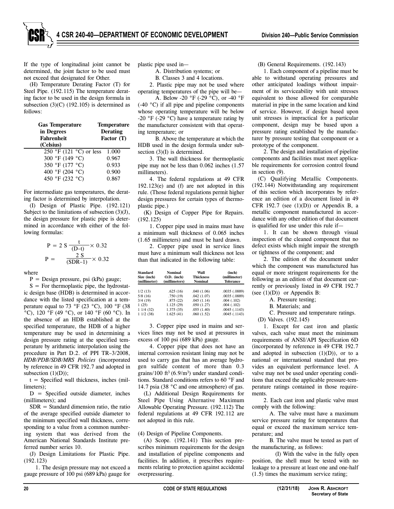If the type of longitudinal joint cannot be determined, the joint factor to be used must not exceed that designated for Other.

(H) Temperature Derating Factor (T) for Steel Pipe. (192.115) The temperature derating factor to be used in the design formula in subsection  $(3)(C)$   $(192.105)$  is determined as follows:

| <b>Gas Temperature</b><br>in Degrees<br><b>Fahrenheit</b> | <b>Temperature</b><br><b>Derating</b><br>Factor (T) |
|-----------------------------------------------------------|-----------------------------------------------------|
| (Celsius)                                                 |                                                     |
| 250 °F (121 °C) or less                                   | 1.000                                               |
| 300 °F (149 °C)                                           | 0.967                                               |
| 350 °F (177 °C)                                           | 0.933                                               |
| 400 °F (204 °C)                                           | 0.900                                               |
| 450 °F (232 °C)                                           | 0.867                                               |

For intermediate gas temperatures, the derating factor is determined by interpolation.

(I) Design of Plastic Pipe. (192.121) Subject to the limitations of subsection  $(3)(J)$ , the design pressure for plastic pipe is determined in accordance with either of the following formulas:

$$
P = 2 S \frac{t}{(D-t)} \times 0.32
$$
  
 
$$
P = \frac{2 S}{(SDR-1)} \times 0.32
$$

where

 $P =$  Design pressure, psi (kPa) gauge;

 $S = For thermoplastic pipe, the hydrostatic$ ic design base (HDB) is determined in accordance with the listed specification at a temperature equal to 73 °F (23 °C), 100 °F (38  $\rm{^{\circ}C}$ ), 120  $\rm{^{\circ}F}$  (49  $\rm{^{\circ}C}$ ), or 140  $\rm{^{\circ}F}$  (60  $\rm{^{\circ}C}$ ). In the absence of an HDB established at the specified temperature, the HDB of a higher temperature may be used in determining a design pressure rating at the specified temperature by arithmetic interpolation using the procedure in Part D.2. of PPI TR–3/2008, *HDB/PDB/SDB/MRS Policies* (incorporated by reference in 49 CFR 192.7 and adopted in subsection  $(1)(D)$ ;

 $t =$  Specified wall thickness, inches (millimeters);

 $D =$  Specified outside diameter, inches (millimeters); and

 $SDR = Standard dimension ratio, the ratio$ of the average specified outside diameter to the minimum specified wall thickness, corresponding to a value from a common numbering system that was derived from the American National Standards Institute preferred number series 10.

(J) Design Limitations for Plastic Pipe. (192.123)

1. The design pressure may not exceed a gauge pressure of 100 psi (689 kPa) gauge for plastic pipe used in—

A. Distribution systems; or

B. Classes 3 and 4 locations.

2. Plastic pipe may not be used where operating temperatures of the pipe will be—

A. Below -20 °F (-29 °C), or -40 °F (-40 °C) if all pipe and pipeline components whose operating temperature will be below  $-20$  °F ( $-29$  °C) have a temperature rating by the manufacturer consistent with that operating temperature; or

B. Above the temperature at which the HDB used in the design formula under subsection (3)(I) is determined.

3. The wall thickness for thermoplastic pipe may not be less than 0.062 inches (1.57 millimeters).

4. The federal regulations at 49 CFR 192.123(e) and (f) are not adopted in this rule. (Those federal regulations permit higher design pressures for certain types of thermoplastic pipe.)

(K) Design of Copper Pipe for Repairs. (192.125)

1. Copper pipe used in mains must have a minimum wall thickness of 0.065 inches (1.65 millimeters) and must be hard drawn.

2. Copper pipe used in service lines must have a minimum wall thickness not less than that indicated in the following table:

| Standard<br>Size (inch)<br>(millimeter) | <b>Nominal</b><br>$O.D.$ (inch)<br>(millimeters) | Wall<br><b>Thickness</b><br><b>Nominal</b> | (inch)<br>(millimeter)<br><b>Tolerance</b> |
|-----------------------------------------|--------------------------------------------------|--------------------------------------------|--------------------------------------------|
|                                         |                                                  |                                            |                                            |
| 1/2(13)                                 | .625(16)                                         | .040(1.06)                                 | .0035(.0889)                               |
| 5/8 (16)                                | .750(19)                                         | .042(1.07)                                 | .0035(.0889)                               |
| 3/4(19)                                 | .875(22)                                         | .045(1.14)                                 | .004(.102)                                 |
| 1(25)                                   | 1.125(29)                                        | .050(1.27)                                 | .004(.102)                                 |
| 1 1/4 (32)                              | 1.375(35)                                        | .055(1.40)                                 | .0045(.1143)                               |
| 11/2(38)                                | 1.625(41)                                        | .060(1.52)                                 | .0045(.1143)                               |

3. Copper pipe used in mains and services lines may not be used at pressures in excess of 100 psi (689 kPa) gauge.

4. Copper pipe that does not have an internal corrosion resistant lining may not be used to carry gas that has an average hydrogen sulfide content of more than 0.3 grains/100 ft<sup>3</sup>  $(6.9/m<sup>3</sup>)$  under standard conditions. Standard conditions refers to 60 °F and 14.7 psia (38 °C and one atmosphere) of gas.

(L) Additional Design Requirements for Steel Pipe Using Alternative Maximum Allowable Operating Pressure. (192.112) The federal regulations at 49 CFR 192.112 are not adopted in this rule.

(4) Design of Pipeline Components.

(A) Scope. (192.141) This section prescribes minimum requirements for the design and installation of pipeline components and facilities. In addition, it prescribes requirements relating to protection against accidental overpressuring.

(B) General Requirements. (192.143)

1. Each component of a pipeline must be able to withstand operating pressures and other anticipated loadings without impairment of its serviceability with unit stresses equivalent to those allowed for comparable material in pipe in the same location and kind of service. However, if design based upon unit stresses is impractical for a particular component, design may be based upon a pressure rating established by the manufacturer by pressure testing that component or a prototype of the component.

2. The design and installation of pipeline components and facilities must meet applicable requirements for corrosion control found in section (9).

(C) Qualifying Metallic Components. (192.144) Notwithstanding any requirement of this section which incorporates by reference an edition of a document listed in 49 CFR 192.7 (see  $(1)(D)$ ) or Appendix B, a metallic component manufactured in accordance with any other edition of that document is qualified for use under this rule if—

1. It can be shown through visual inspection of the cleaned component that no defect exists which might impair the strength or tightness of the component; and

2. The edition of the document under which the component was manufactured has equal or more stringent requirements for the following as an edition of that document currently or previously listed in 49 CFR 192.7 (see  $(1)(D)$ ) or Appendix B:

A. Pressure testing;

B. Materials; and

C. Pressure and temperature ratings.

(D) Valves. (192.145)

1. Except for cast iron and plastic valves, each valve must meet the minimum requirements of ANSI/API Specification 6D (incorporated by reference in 49 CFR 192.7 and adopted in subsection  $(1)(D)$ , or to a national or international standard that provides an equivalent performance level. A valve may not be used under operating conditions that exceed the applicable pressure-temperature ratings contained in those requirements.

2. Each cast iron and plastic valve must comply with the following:

A. The valve must have a maximum service pressure rating for temperatures that equal or exceed the maximum service temperature; and

B. The valve must be tested as part of the manufacturing, as follows:

(I) With the valve in the fully open position, the shell must be tested with no leakage to a pressure at least one and one-half (1.5) times the maximum service rating;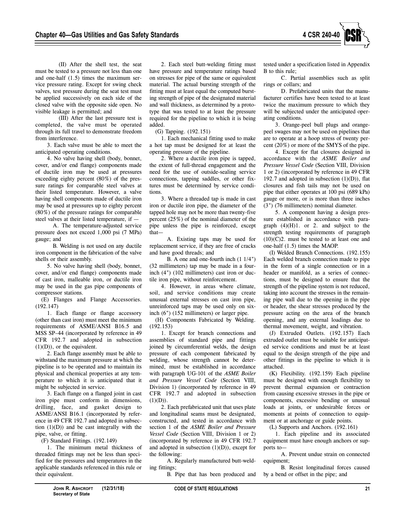

(II) After the shell test, the seat must be tested to a pressure not less than one and one-half (1.5) times the maximum service pressure rating. Except for swing check valves, test pressure during the seat test must be applied successively on each side of the closed valve with the opposite side open. No visible leakage is permitted; and

(III) After the last pressure test is completed, the valve must be operated through its full travel to demonstrate freedom from interference.

3. Each valve must be able to meet the anticipated operating conditions.

4. No valve having shell (body, bonnet, cover, and/or end flange) components made of ductile iron may be used at pressures exceeding eighty percent (80%) of the pressure ratings for comparable steel valves at their listed temperature. However, a valve having shell components made of ductile iron may be used at pressures up to eighty percent (80%) of the pressure ratings for comparable steel valves at their listed temperature, if —

A. The temperature-adjusted service pressure does not exceed 1,000 psi (7 MPa) gauge; and

B. Welding is not used on any ductile iron component in the fabrication of the valve shells or their assembly.

5. No valve having shell (body, bonnet, cover, and/or end flange) components made of cast iron, malleable iron, or ductile iron may be used in the gas pipe components of compressor stations.

(E) Flanges and Flange Accessories. (192.147)

1. Each flange or flange accessory (other than cast iron) must meet the minimum requirements of ASME/ANSI B16.5 and MSS SP–44 (incorporated by reference in 49 CFR 192.7 and adopted in subsection  $(1)(D)$ , or the equivalent.

2. Each flange assembly must be able to withstand the maximum pressure at which the pipeline is to be operated and to maintain its physical and chemical properties at any temperature to which it is anticipated that it might be subjected in service.

3. Each flange on a flanged joint in cast iron pipe must conform in dimensions, drilling, face, and gasket design to ASME/ANSI B16.1 (incorporated by reference in 49 CFR 192.7 and adopted in subsection  $(1)(D)$  and be cast integrally with the pipe, valve, or fitting.

(F) Standard Fittings. (192.149)

1. The minimum metal thickness of threaded fittings may not be less than specified for the pressures and temperatures in the applicable standards referenced in this rule or their equivalent.

2. Each steel butt-welding fitting must have pressure and temperature ratings based on stresses for pipe of the same or equivalent material. The actual bursting strength of the fitting must at least equal the computed bursting strength of pipe of the designated material and wall thickness, as determined by a prototype that was tested to at least the pressure required for the pipeline to which it is being added.

(G) Tapping. (192.151)

1. Each mechanical fitting used to make a hot tap must be designed for at least the operating pressure of the pipeline.

2. Where a ductile iron pipe is tapped, the extent of full-thread engagement and the need for the use of outside-sealing service connections, tapping saddles, or other fixtures must be determined by service conditions.

3. Where a threaded tap is made in cast iron or ductile iron pipe, the diameter of the tapped hole may not be more than twenty-five percent (25%) of the nominal diameter of the pipe unless the pipe is reinforced, except that—

A. Existing taps may be used for replacement service, if they are free of cracks and have good threads; and

B. A one and one-fourth inch (1 1/4") (32 millimeters) tap may be made in a fourinch (4") (102 millimeters) cast iron or ductile iron pipe, without reinforcement.

4. However, in areas where climate, soil, and service conditions may create unusual external stresses on cast iron pipe, unreinforced taps may be used only on sixinch (6") (152 millimeters) or larger pipe.

(H) Components Fabricated by Welding. (192.153)

1. Except for branch connections and assemblies of standard pipe and fittings joined by circumferential welds, the design pressure of each component fabricated by welding, whose strength cannot be determined, must be established in accordance with paragraph UG-101 of the *ASME Boiler and Pressure Vessel Code* (Section VIII, Division 1) (incorporated by reference in 49 CFR 192.7 and adopted in subsection  $(1)(D)).$ 

2. Each prefabricated unit that uses plate and longitudinal seams must be designated, constructed, and tested in accordance with section 1 of the *ASME Boiler and Pressure Vessel Code* (Section VIII, Division 1 or 2) (incorporated by reference in 49 CFR 192.7 and adopted in subsection  $(1)(D)$ ), except for the following:

A. Regularly manufactured butt-welding fittings;

B. Pipe that has been produced and

tested under a specification listed in Appendix B to this rule;

C. Partial assemblies such as split rings or collars; and

D. Prefabricated units that the manufacturer certifies have been tested to at least twice the maximum pressure to which they will be subjected under the anticipated operating conditions.

3. Orange-peel bull plugs and orangepeel swages may not be used on pipelines that are to operate at a hoop stress of twenty percent (20%) or more of the SMYS of the pipe.

4. Except for flat closures designed in accordance with the *ASME Boiler and Pressure Vessel Code* (Section VIII, Division 1 or 2) (incorporated by reference in 49 CFR 192.7 and adopted in subsection  $(1)(D)$ ), flat closures and fish tails may not be used on pipe that either operates at 100 psi (689 kPa) gauge or more, or is more than three inches (3") (76 millimeters) nominal diameter.

5. A component having a design pressure established in accordance with paragraph  $(4)(H)1$ . or 2. and subject to the strength testing requirements of paragraph  $(10)(C)2$ . must be tested to at least one and one-half (1.5) times the MAOP.

(I) Welded Branch Connections. (192.155) Each welded branch connection made to pipe in the form of a single connection or in a header or manifold, as a series of connections, must be designed to ensure that the strength of the pipeline system is not reduced, taking into account the stresses in the remaining pipe wall due to the opening in the pipe or header, the shear stresses produced by the pressure acting on the area of the branch opening, and any external loadings due to thermal movement, weight, and vibration.

(J) Extruded Outlets. (192.157) Each extruded outlet must be suitable for anticipated service conditions and must be at least equal to the design strength of the pipe and other fittings in the pipeline to which it is attached.

(K) Flexibility. (192.159) Each pipeline must be designed with enough flexibility to prevent thermal expansion or contraction from causing excessive stresses in the pipe or components, excessive bending or unusual loads at joints, or undesirable forces or moments at points of connection to equipment or at anchorage or guide points.

(L) Supports and Anchors. (192.161)

1. Each pipeline and its associated equipment must have enough anchors or supports to—

A. Prevent undue strain on connected equipment;

B. Resist longitudinal forces caused by a bend or offset in the pipe; and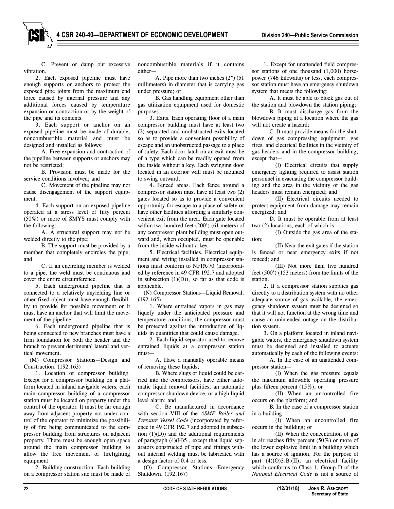C. Prevent or damp out excessive vibration.

2. Each exposed pipeline must have enough supports or anchors to protect the exposed pipe joints from the maximum end force caused by internal pressure and any additional forces caused by temperature expansion or contraction or by the weight of the pipe and its contents.

3. Each support or anchor on an exposed pipeline must be made of durable, noncombustible material and must be designed and installed as follows:

A. Free expansion and contraction of the pipeline between supports or anchors may not be restricted;

B. Provision must be made for the service conditions involved; and

C. Movement of the pipeline may not cause disengagement of the support equipment.

4. Each support on an exposed pipeline operated at a stress level of fifty percent (50%) or more of SMYS must comply with the following:

A. A structural support may not be welded directly to the pipe;

B. The support must be provided by a member that completely encircles the pipe; and

C. If an encircling member is welded to a pipe, the weld must be continuous and cover the entire circumference.

5. Each underground pipeline that is connected to a relatively unyielding line or other fixed object must have enough flexibility to provide for possible movement or it must have an anchor that will limit the movement of the pipeline.

6. Each underground pipeline that is being connected to new branches must have a firm foundation for both the header and the branch to prevent detrimental lateral and vertical movement.

(M) Compressor Stations—Design and Construction. (192.163)

1. Location of compressor building. Except for a compressor building on a platform located in inland navigable waters, each main compressor building of a compressor station must be located on property under the control of the operator. It must be far enough away from adjacent property not under control of the operator to minimize the possibility of fire being communicated to the compressor building from structures on adjacent property. There must be enough open space around the main compressor building to allow the free movement of firefighting equipment.

2. Building construction. Each building on a compressor station site must be made of noncombustible materials if it contains either—

A. Pipe more than two inches (2") (51 millimeters) in diameter that is carrying gas under pressure; or

B. Gas handling equipment other than gas utilization equipment used for domestic purposes.

3. Exits. Each operating floor of a main compressor building must have at least two (2) separated and unobstructed exits located so as to provide a convenient possibility of escape and an unobstructed passage to a place of safety. Each door latch on an exit must be of a type which can be readily opened from the inside without a key. Each swinging door located in an exterior wall must be mounted to swing outward.

4. Fenced areas. Each fence around a compressor station must have at least two (2) gates located so as to provide a convenient opportunity for escape to a place of safety or have other facilities affording a similarly convenient exit from the area. Each gate located within two hundred feet (200') (61 meters) of any compressor plant building must open outward and, when occupied, must be openable from the inside without a key.

5. Electrical facilities. Electrical equipment and wiring installed in compressor stations must conform to NFPA-70 (incorporated by reference in 49 CFR 192.7 and adopted in subsection  $(1)(D)$ , so far as that code is applicable.

(N) Compressor Stations—Liquid Removal. (192.165)

1. Where entrained vapors in gas may liquefy under the anticipated pressure and temperature conditions, the compressor must be protected against the introduction of liquids in quantities that could cause damage.

2. Each liquid separator used to remove entrained liquids at a compressor station must—

A. Have a manually operable means of removing these liquids;

B. Where slugs of liquid could be carried into the compressors, have either automatic liquid removal facilities, an automatic compressor shutdown device, or a high liquid level alarm; and

C. Be manufactured in accordance with section VIII of the *ASME Boiler and Pressure Vessel Code* (incorporated by reference in 49 CFR 192.7 and adopted in subsection  $(1)(D)$  and the additional requirements of paragraph (4)(H)5., except that liquid separators constructed of pipe and fittings without internal welding must be fabricated with a design factor of 0.4 or less.

(O) Compressor Stations—Emergency Shutdown. (192.167)

1. Except for unattended field compressor stations of one thousand (1,000) horsepower (746 kilowatts) or less, each compressor station must have an emergency shutdown system that meets the following:

A. It must be able to block gas out of the station and blowdown the station piping;

B. It must discharge gas from the blowdown piping at a location where the gas will not create a hazard;

C. It must provide means for the shutdown of gas compressing equipment, gas fires, and electrical facilities in the vicinity of gas headers and in the compressor building, except that—

(I) Electrical circuits that supply emergency lighting required to assist station personnel in evacuating the compressor building and the area in the vicinity of the gas headers must remain energized; and

(II) Electrical circuits needed to protect equipment from damage may remain energized; and

D. It must be operable from at least two (2) locations, each of which is—

(I) Outside the gas area of the station;

(II) Near the exit gates if the station is fenced or near emergency exits if not fenced; and

(III) Not more than five hundred feet (500') (153 meters) from the limits of the station.

2. If a compressor station supplies gas directly to a distribution system with no other adequate source of gas available, the emergency shutdown system must be designed so that it will not function at the wrong time and cause an unintended outage on the distribution system.

3. On a platform located in inland navigable waters, the emergency shutdown system must be designed and installed to actuate automatically by each of the following events:

A. In the case of an unattended compressor station—

(I) When the gas pressure equals the maximum allowable operating pressure plus fifteen percent (15%); or

(II) When an uncontrolled fire occurs on the platform; and

B. In the case of a compressor station in a building—

(I) When an uncontrolled fire occurs in the building; or

(II) When the concentration of gas in air reaches fifty percent (50%) or more of the lower explosive limit in a building which has a source of ignition. For the purpose of part  $(4)(O)3.B.(II)$ , an electrical facility which conforms to Class 1, Group D of the *National Electrical Code* is not a source of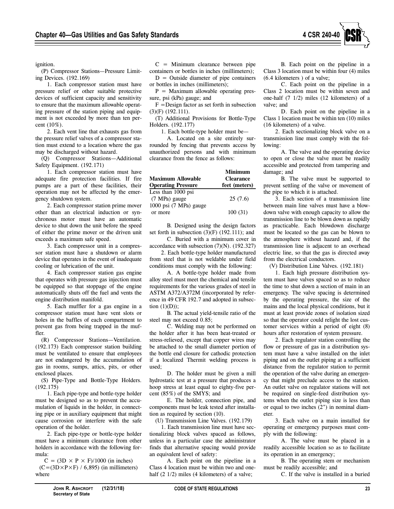

ignition.

(P) Compressor Stations—Pressure Limiting Devices. (192.169)

1. Each compressor station must have pressure relief or other suitable protective devices of sufficient capacity and sensitivity to ensure that the maximum allowable operating pressure of the station piping and equipment is not exceeded by more than ten percent (10%).

2. Each vent line that exhausts gas from the pressure relief valves of a compressor station must extend to a location where the gas may be discharged without hazard.

(Q) Compressor Stations—Additional Safety Equipment. (192.171)

1. Each compressor station must have adequate fire protection facilities. If fire pumps are a part of these facilities, their operation may not be affected by the emergency shutdown system.

2. Each compressor station prime mover other than an electrical induction or synchronous motor must have an automatic device to shut down the unit before the speed of either the prime mover or the driven unit exceeds a maximum safe speed.

3. Each compressor unit in a compressor station must have a shutdown or alarm device that operates in the event of inadequate cooling or lubrication of the unit.

4. Each compressor station gas engine that operates with pressure gas injection must be equipped so that stoppage of the engine automatically shuts off the fuel and vents the engine distribution manifold.

5. Each muffler for a gas engine in a compressor station must have vent slots or holes in the baffles of each compartment to prevent gas from being trapped in the muffler.

(R) Compressor Stations—Ventilation. (192.173) Each compressor station building must be ventilated to ensure that employees are not endangered by the accumulation of gas in rooms, sumps, attics, pits, or other enclosed places.

(S) Pipe-Type and Bottle-Type Holders. (192.175)

1. Each pipe-type and bottle-type holder must be designed so as to prevent the accumulation of liquids in the holder, in connecting pipe or in auxiliary equipment that might cause corrosion or interfere with the safe operation of the holder.

2. Each pipe-type or bottle-type holder must have a minimum clearance from other holders in accordance with the following formula:

 $C = (3D \times P \times F)/1000$  (in inches)  $(C=(3D\times P\times F) / 6,895)$  (in millimeters) where

 $C =$  Minimum clearance between pipe containers or bottles in inches (millimeters);

 $D =$  Outside diameter of pipe containers or bottles in inches (millimeters);

 $P =$  Maximum allowable operating pressure, psi (kPa) gauge; and

 $F =$ Design factor as set forth in subsection (3)(F) (192.111).

(T) Additional Provisions for Bottle-Type Holders. (192.177)

1. Each bottle-type holder must be—

A. Located on a site entirely surrounded by fencing that prevents access by unauthorized persons and with minimum clearance from the fence as follows:

| <b>Maximum Allowable</b><br><b>Operating Pressure</b> | <b>Minimum</b><br><b>Clearance</b><br>feet (meters) |
|-------------------------------------------------------|-----------------------------------------------------|
| Less than 1000 psi                                    |                                                     |
| $(7 \text{ MPa})$ gauge                               | 25(7.6)                                             |
| 1000 psi (7 MPa) gauge                                |                                                     |
| or more                                               | 100(31)                                             |

B. Designed using the design factors set forth in subsection  $(3)(F)$   $(192.111)$ ; and

C. Buried with a minimum cover in accordance with subsection  $(7)(N)$ .  $(192.327)$ 

2. Each bottle-type holder manufactured from steel that is not weldable under field conditions must comply with the following:

A. A bottle-type holder made from alloy steel must meet the chemical and tensile requirements for the various grades of steel in ASTM A372/A372M (incorporated by reference in 49 CFR 192.7 and adopted in subsection  $(1)(D)$ ;

B. The actual yield-tensile ratio of the steel may not exceed 0.85;

C. Welding may not be performed on the holder after it has been heat-treated or stress-relieved, except that copper wires may be attached to the small diameter portion of the bottle end closure for cathodic protection if a localized Thermit welding process is used;

D. The holder must be given a mill hydrostatic test at a pressure that produces a hoop stress at least equal to eighty-five percent (85%) of the SMYS; and

E. The holder, connection pipe, and components must be leak tested after installation as required by section (10).

(U) Transmission Line Valves. (192.179)

1. Each transmission line must have sectionalizing block valves spaced as follows, unless in a particular case the administrator finds that alternative spacing would provide an equivalent level of safety:

A. Each point on the pipeline in a Class 4 location must be within two and onehalf (2 1/2) miles (4 kilometers) of a valve;

B. Each point on the pipeline in a Class 3 location must be within four (4) miles (6.4 kilometers ) of a valve;

C. Each point on the pipeline in a Class 2 location must be within seven and one-half (7 1/2) miles (12 kilometers) of a valve; and

D. Each point on the pipeline in a Class 1 location must be within ten (10) miles (16 kilometers) of a valve.

2. Each sectionalizing block valve on a transmission line must comply with the following:

A. The valve and the operating device to open or close the valve must be readily accessible and protected from tampering and damage; and

B. The valve must be supported to prevent settling of the valve or movement of the pipe to which it is attached.

3. Each section of a transmission line between main line valves must have a blowdown valve with enough capacity to allow the transmission line to be blown down as rapidly as practicable. Each blowdown discharge must be located so the gas can be blown to the atmosphere without hazard and, if the transmission line is adjacent to an overhead electric line, so that the gas is directed away from the electrical conductors.

(V) Distribution Line Valves. (192.181)

1. Each high pressure distribution system must have valves spaced so as to reduce the time to shut down a section of main in an emergency. The valve spacing is determined by the operating pressure, the size of the mains and the local physical conditions, but it must at least provide zones of isolation sized so that the operator could relight the lost customer services within a period of eight (8) hours after restoration of system pressure.

2. Each regulator station controlling the flow or pressure of gas in a distribution system must have a valve installed on the inlet piping and on the outlet piping at a sufficient distance from the regulator station to permit the operation of the valve during an emergency that might preclude access to the station. An outlet valve on regulator stations will not be required on single-feed distribution systems when the outlet piping size is less than or equal to two inches (2") in nominal diameter.

3. Each valve on a main installed for operating or emergency purposes must comply with the following:

A. The valve must be placed in a readily accessible location so as to facilitate its operation in an emergency;

B. The operating stem or mechanism must be readily accessible; and

C. If the valve is installed in a buried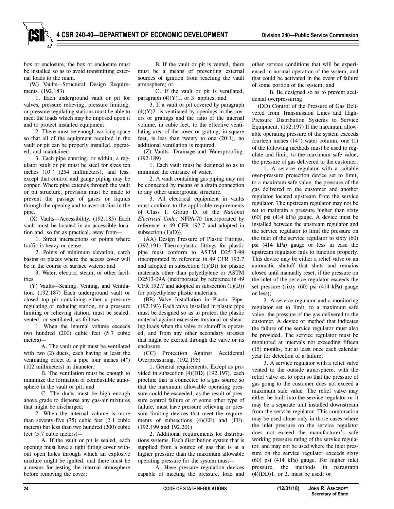**4 CSR 240-40—DEPARTMENT OF ECONOMIC DEVELOPMENT Division 240—Public Service Commission**

box or enclosure, the box or enclosure must be installed so as to avoid transmitting external loads to the main.

(W) Vaults—Structural Design Requirements. (192.183)

1. Each underground vault or pit for valves, pressure relieving, pressure limiting, or pressure regulating stations must be able to meet the loads which may be imposed upon it and to protect installed equipment.

2. There must be enough working space so that all of the equipment required in the vault or pit can be properly installed, operated, and maintained.

3. Each pipe entering, or within, a regulator vault or pit must be steel for sizes ten inches (10") (254 millimeters), and less, except that control and gauge piping may be copper. Where pipe extends through the vault or pit structure, provision must be made to prevent the passage of gases or liquids through the opening and to avert strains in the pipe.

(X) Vaults—Accessibility. (192.185) Each vault must be located in an accessible location and, so far as practical, away from—

1. Street intersections or points where traffic is heavy or dense;

2. Points of minimum elevation, catch basins or places where the access cover will be in the course of surface waters; and

3. Water, electric, steam, or other facilities.

(Y) Vaults—Sealing, Venting, and Ventilation. (192.187) Each underground vault or closed top pit containing either a pressure regulating or reducing station, or a pressure limiting or relieving station, must be sealed, vented, or ventilated, as follows:

1. When the internal volume exceeds two hundred (200) cubic feet (5.7 cubic meters)—

A. The vault or pit must be ventilated with two (2) ducts, each having at least the ventilating effect of a pipe four inches (4") (102 millimeters) in diameter;

B. The ventilation must be enough to minimize the formation of combustible atmosphere in the vault or pit; and

C. The ducts must be high enough above grade to disperse any gas-air mixtures that might be discharged;

2. When the internal volume is more than seventy-five (75) cubic feet (2.1 cubic meters) but less than two hundred (200) cubic feet (5.7 cubic meters)—

A. If the vault or pit is sealed, each opening must have a tight fitting cover without open holes through which an explosive mixture might be ignited, and there must be a means for testing the internal atmosphere before removing the cover;

B. If the vault or pit is vented, there must be a means of preventing external sources of ignition from reaching the vault atmosphere; or

C. If the vault or pit is ventilated, paragraph  $(4)(Y)1$ . or 3. applies; and

3. If a vault or pit covered by paragraph  $(4)(Y)2$ . is ventilated by openings in the covers or gratings and the ratio of the internal volume, in cubic feet, to the effective ventilating area of the cover or grating, in square feet, is less than twenty to one (20:1), no additional ventilation is required.

(Z) Vaults—Drainage and Waterproofing. (192.189)

1. Each vault must be designed so as to minimize the entrance of water.

2. A vault containing gas piping may not be connected by means of a drain connection to any other underground structure.

3. All electrical equipment in vaults must conform to the applicable requirements of Class 1, Group D, of the *National Electrical Code*, NFPA-70 (incorporated by reference in 49 CFR 192.7 and adopted in subsection  $(1)(D)$ ).

(AA) Design Pressure of Plastic Fittings. (192.191) Thermoplastic fittings for plastic pipe must conform to ASTM D2513-99 (incorporated by reference in 49 CFR 192.7 and adopted in subsection  $(1)(D)$  for plastic materials other than polyethylene or ASTM D2513-09A (incorporated by reference in 49 CFR 192.7 and adopted in subsection  $(1)(D)$ ) for polyethylene plastic materials.

(BB) Valve Installation in Plastic Pipe. (192.193) Each valve installed in plastic pipe must be designed so as to protect the plastic material against excessive torsional or shearing loads when the valve or shutoff is operated, and from any other secondary stresses that might be exerted through the valve or its enclosure.

(CC) Protection Against Accidental Overpressuring. (192.195)

1. General requirements. Except as provided in subsection (4)(DD) (192.197), each pipeline that is connected to a gas source so that the maximum allowable operating pressure could be exceeded, as the result of pressure control failure or of some other type of failure, must have pressure relieving or pressure limiting devices that meet the requirements of subsections (4)(EE) and (FF). (192.199 and 192.201)

2. Additional requirements for distributions systems. Each distribution system that is supplied from a source of gas that is at a higher pressure than the maximum allowable operating pressure for the system must—

A. Have pressure regulation devices capable of meeting the pressure, load and other service conditions that will be experienced in normal operation of the system, and that could be activated in the event of failure of some portion of the system; and

B. Be designed so as to prevent accidental overpressuring.

(DD) Control of the Pressure of Gas Delivered from Transmission Lines and High-Pressure Distribution Systems to Service Equipment. (192.197) If the maximum allowable operating pressure of the system exceeds fourteen inches (14") water column, one (1) of the following methods must be used to regulate and limit, to the maximum safe value, the pressure of gas delivered to the customer:

1. A service regulator with a suitable over-pressure protection device set to limit, to a maximum safe value, the pressure of the gas delivered to the customer and another regulator located upstream from the service regulator. The upstream regulator may not be set to maintain a pressure higher than sixty (60) psi (414 kPa) gauge. A device must be installed between the upstream regulator and the service regulator to limit the pressure on the inlet of the service regulator to sixty (60) psi (414 kPa) gauge or less in case the upstream regulator fails to function properly. This device may be either a relief valve or an automatic shutoff that shuts and remains closed until manually reset, if the pressure on the inlet of the service regulator exceeds the set pressure (sixty (60) psi (414 kPa) gauge or less);

2. A service regulator and a monitoring regulator set to limit, to a maximum safe value, the pressure of the gas delivered to the customer. A device or method that indicates the failure of the service regulator must also be provided. The service regulator must be monitored at intervals not exceeding fifteen (15) months, but at least once each calendar year for detection of a failure;

3. A service regulator with a relief valve vented to the outside atmosphere, with the relief valve set to open so that the pressure of gas going to the customer does not exceed a maximum safe value. The relief valve may either be built into the service regulator or it may be a separate unit installed downstream from the service regulator. This combination may be used alone only in those cases where the inlet pressure on the service regulator does not exceed the manufacturer's safe working pressure rating of the service regulator, and may not be used where the inlet pressure on the service regulator exceeds sixty (60) psi (414 kPa) gauge. For higher inlet pressure, the methods in paragraph  $(4)(DD)1.$  or 2. must be used; or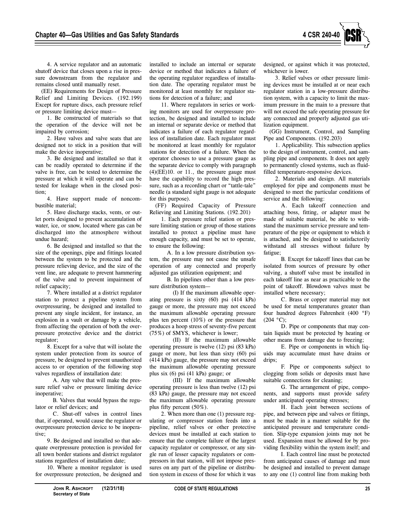

4. A service regulator and an automatic shutoff device that closes upon a rise in pressure downstream from the regulator and remains closed until manually reset.

(EE) Requirements for Design of Pressure Relief and Limiting Devices. (192.199) Except for rupture discs, each pressure relief or pressure limiting device must—

1. Be constructed of materials so that the operation of the device will not be impaired by corrosion;

2. Have valves and valve seats that are designed not to stick in a position that will make the device inoperative;

3. Be designed and installed so that it can be readily operated to determine if the valve is free, can be tested to determine the pressure at which it will operate and can be tested for leakage when in the closed position;

4. Have support made of noncombustible material;

5. Have discharge stacks, vents, or outlet ports designed to prevent accumulation of water, ice, or snow, located where gas can be discharged into the atmosphere without undue hazard;

6. Be designed and installed so that the size of the openings, pipe and fittings located between the system to be protected and the pressure relieving device, and the size of the vent line, are adequate to prevent hammering of the valve and to prevent impairment of relief capacity;

7. Where installed at a district regulator station to protect a pipeline system from overpressuring, be designed and installed to prevent any single incident, for instance, an explosion in a vault or damage by a vehicle, from affecting the operation of both the overpressure protective device and the district regulator;

8. Except for a valve that will isolate the system under protection from its source of pressure, be designed to prevent unauthorized access to or operation of the following stop valves regardless of installation date:

A. Any valve that will make the pressure relief valve or pressure limiting device inoperative;

B. Valves that would bypass the regulator or relief devices; and

C. Shut-off valves in control lines that, if operated, would cause the regulator or overpressure protection device to be inoperative;

9. Be designed and installed so that adequate overpressure protection is provided for all town border stations and district regulator stations regardless of installation date;

10. Where a monitor regulator is used for overpressure protection, be designed and

installed to include an internal or separate device or method that indicates a failure of the operating regulator regardless of installation date. The operating regulator must be monitored at least monthly for regulator stations for detection of a failure; and

11. Where regulators in series or working monitors are used for overpressure protection, be designed and installed to include an internal or separate device or method that indicates a failure of each regulator regardless of installation date. Each regulator must be monitored at least monthly for regulator stations for detection of a failure. When the operator chooses to use a pressure gauge as the separate device to comply with paragraph  $(4)$ (EE)10. or 11., the pressure gauge must have the capability to record the high pressure, such as a recording chart or "tattle-tale" needle (a standard sight gauge is not adequate for this purpose).

(FF) Required Capacity of Pressure Relieving and Limiting Stations. (192.201)

1. Each pressure relief station or pressure limiting station or group of those stations installed to protect a pipeline must have enough capacity, and must be set to operate, to ensure the following:

A. In a low pressure distribution system, the pressure may not cause the unsafe operation of any connected and properly adjusted gas utilization equipment; and

B. In pipelines other than a low pressure distribution system—

(I) If the maximum allowable operating pressure is sixty (60) psi (414 kPa) gauge or more, the pressure may not exceed the maximum allowable operating pressure plus ten percent (10%) or the pressure that produces a hoop stress of seventy-five percent (75%) of SMYS, whichever is lower;

(II) If the maximum allowable operating pressure is twelve (12) psi (83 kPa) gauge or more, but less than sixty (60) psi (414 kPa) gauge, the pressure may not exceed the maximum allowable operating pressure plus six (6) psi (41 kPa) gauge; or

(III) If the maximum allowable operating pressure is less than twelve (12) psi (83 kPa) gauge, the pressure may not exceed the maximum allowable operating pressure plus fifty percent (50%).

2. When more than one (1) pressure regulating or compressor station feeds into a pipeline, relief valves or other protective devices must be installed at each station to ensure that the complete failure of the largest capacity regulator or compressor, or any single run of lesser capacity regulators or compressors in that station, will not impose pressures on any part of the pipeline or distribution system in excess of those for which it was designed, or against which it was protected, whichever is lower.

3. Relief valves or other pressure limiting devices must be installed at or near each regulator station in a low-pressure distribution system, with a capacity to limit the maximum pressure in the main to a pressure that will not exceed the safe operating pressure for any connected and properly adjusted gas utilization equipment.

(GG) Instrument, Control, and Sampling Pipe and Components. (192.203)

1. Applicability. This subsection applies to the design of instrument, control, and sampling pipe and components. It does not apply to permanently closed systems, such as fluidfilled temperature-responsive devices.

2. Materials and design. All materials employed for pipe and components must be designed to meet the particular conditions of service and the following:

A. Each takeoff connection and attaching boss, fitting, or adapter must be made of suitable material, be able to withstand the maximum service pressure and temperature of the pipe or equipment to which it is attached, and be designed to satisfactorily withstand all stresses without failure by fatigue;

B. Except for takeoff lines that can be isolated from sources of pressure by other valving, a shutoff valve must be installed in each takeoff line as near as practicable to the point of takeoff. Blowdown valves must be installed where necessary;

C. Brass or copper material may not be used for metal temperatures greater than four hundred degrees Fahrenheit (400 °F)  $(204 °C)$ ;

D. Pipe or components that may contain liquids must be protected by heating or other means from damage due to freezing;

E. Pipe or components in which liquids may accumulate must have drains or drips:

F. Pipe or components subject to clogging from solids or deposits must have suitable connections for cleaning;

G. The arrangement of pipe, components, and supports must provide safety under anticipated operating stresses;

H. Each joint between sections of pipe, and between pipe and valves or fittings, must be made in a manner suitable for the anticipated pressure and temperature condition. Slip-type expansion joints may not be used. Expansion must be allowed for by providing flexibility within the system itself; and

I. Each control line must be protected from anticipated causes of damage and must be designed and installed to prevent damage to any one (1) control line from making both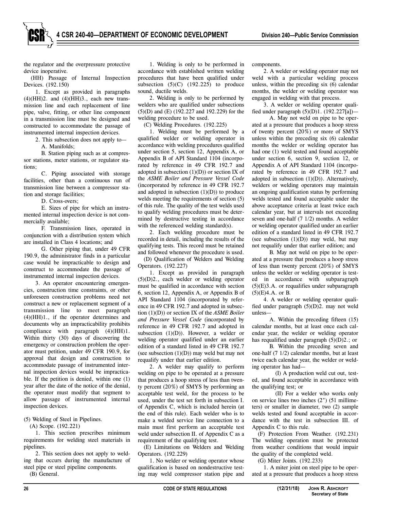the regulator and the overpressure protective device inoperative.

(HH) Passage of Internal Inspection Devices. (192.150)

1. Except as provided in paragraphs  $(4)(HH)2$ . and  $(4)(HH)3$ ., each new transmission line and each replacement of line pipe, valve, fitting, or other line component in a transmission line must be designed and constructed to accommodate the passage of instrumented internal inspection devices.

2. This subsection does not apply to—

A. Manifolds;

B. Station piping such as at compressor stations, meter stations, or regulator stations;

C. Piping associated with storage facilities, other than a continuous run of transmission line between a compressor station and storage facilities;

D. Cross-overs;

E. Sizes of pipe for which an instrumented internal inspection device is not commercially available;

F. Transmission lines, operated in conjunction with a distribution system which are installed in Class 4 locations; and

G. Other piping that, under 49 CFR 190.9, the administrator finds in a particular case would be impracticable to design and construct to accommodate the passage of instrumented internal inspection devices.

3. An operator encountering emergencies, construction time constraints, or other unforeseen construction problems need not construct a new or replacement segment of a transmission line to meet paragraph (4)(HH)1., if the operator determines and documents why an impracticability prohibits compliance with paragraph (4)(HH)1. Within thirty (30) days of discovering the emergency or construction problem the operator must petition, under 49 CFR 190.9, for approval that design and construction to accommodate passage of instrumented internal inspection devices would be impracticable. If the petition is denied, within one (1) year after the date of the notice of the denial, the operator must modify that segment to allow passage of instrumented internal inspection devices.

#### (5) Welding of Steel in Pipelines.

(A) Scope. (192.221)

1. This section prescribes minimum requirements for welding steel materials in pipelines.

2. This section does not apply to welding that occurs during the manufacture of steel pipe or steel pipeline components.

(B) General.

1. Welding is only to be performed in accordance with established written welding procedures that have been qualified under subsection  $(5)(C)$   $(192.225)$  to produce sound, ductile welds.

2. Welding is only to be performed by welders who are qualified under subsections (5)(D) and (E) (192.227 and 192.229) for the welding procedure to be used.

(C) Welding Procedures. (192.225)

1. Welding must be performed by a qualified welder or welding operator in accordance with welding procedures qualified under section 5, section 12, Appendix A, or Appendix B of API Standard 1104 (incorporated by reference in 49 CFR 192.7 and adopted in subsection  $(1)(D)$  or section IX of the *ASME Boiler and Pressure Vessel Code* (incorporated by reference in 49 CFR 192.7 and adopted in subsection  $(1)(D)$  to produce welds meeting the requirements of section (5) of this rule. The quality of the test welds used to qualify welding procedures must be determined by destructive testing in accordance with the referenced welding standard(s).

2. Each welding procedure must be recorded in detail, including the results of the qualifying tests. This record must be retained and followed whenever the procedure is used.

(D) Qualification of Welders and Welding Operators. (192.227)

1. Except as provided in paragraph (5)(D)2., each welder or welding operator must be qualified in accordance with section 6, section 12, Appendix A, or Appendix B of API Standard 1104 (incorporated by reference in 49 CFR 192.7 and adopted in subsection (1)(D)) or section IX of the *ASME Boiler and Pressure Vessel Code* (incorporated by reference in 49 CFR 192.7 and adopted in subsection  $(1)(D)$ ). However, a welder or welding operator qualified under an earlier edition of a standard listed in 49 CFR 192.7 (see subsection  $(1)(D)$ ) may weld but may not requalify under that earlier edition.

2. A welder may qualify to perform welding on pipe to be operated at a pressure that produces a hoop stress of less than twenty percent (20%) of SMYS by performing an acceptable test weld, for the process to be used, under the test set forth in subsection I. of Appendix C, which is included herein (at the end of this rule). Each welder who is to make a welded service line connection to a main must first perform an acceptable test weld under subsection II. of Appendix C as a requirement of the qualifying test.

(E) Limitations on Welders and Welding Operators. (192.229)

1. No welder or welding operator whose qualification is based on nondestructive testing may weld compressor station pipe and components.

2. A welder or welding operator may not weld with a particular welding process unless, within the preceding six (6) calendar months, the welder or welding operator was engaged in welding with that process.

3. A welder or welding operator qualified under paragraph  $(5)(D)1$ .  $(192.227[a])$ —

A. May not weld on pipe to be operated at a pressure that produces a hoop stress of twenty percent (20%) or more of SMYS unless within the preceding six (6) calendar months the welder or welding operator has had one (1) weld tested and found acceptable under section 6, section 9, section 12, or Appendix A of API Standard 1104 (incorporated by reference in 49 CFR 192.7 and adopted in subsection  $(1)(D)$ ). Alternatively, welders or welding operators may maintain an ongoing qualification status by performing welds tested and found acceptable under the above acceptance criteria at least twice each calendar year, but at intervals not exceeding seven and one-half (7 1/2) months. A welder or welding operator qualified under an earlier edition of a standard listed in 49 CFR 192.7 (see subsection  $(1)(D)$ ) may weld, but may not requalify under that earlier edition; and

B. May not weld on pipe to be operated at a pressure that produces a hoop stress of less than twenty percent (20%) of SMYS unless the welder or welding operator is tested in accordance with subparagraph  $(5)(E)3.A.$  or requalifies under subparagraph (5)(E)4.A. or B.

4. A welder or welding operator qualified under paragraph (5)(D)2. may not weld unless—

A. Within the preceding fifteen (15) calendar months, but at least once each calendar year, the welder or welding operator has requalified under paragraph (5)(D)2.; or

B. Within the preceding seven and one-half (7 1/2) calendar months, but at least twice each calendar year, the welder or welding operator has had—

(I) A production weld cut out, tested, and found acceptable in accordance with the qualifying test; or

(II) For a welder who works only on service lines two inches (2") (51 millimeters) or smaller in diameter, two (2) sample welds tested and found acceptable in accordance with the test in subsection III. of Appendix C to this rule.

(F) Protection From Weather. (192.231) The welding operation must be protected from weather conditions that would impair the quality of the completed weld.

(G) Miter Joints. (192.233)

1. A miter joint on steel pipe to be operated at a pressure that produces a hoop stress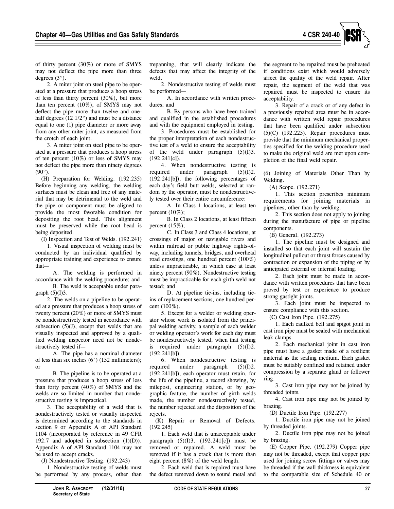

of thirty percent (30%) or more of SMYS may not deflect the pipe more than three degrees (3°).

2. A miter joint on steel pipe to be operated at a pressure that produces a hoop stress of less than thirty percent (30%), but more than ten percent (10%), of SMYS may not deflect the pipe more than twelve and onehalf degrees (12 1/2°) and must be a distance equal to one (1) pipe diameter or more away from any other miter joint, as measured from the crotch of each joint.

3. A miter joint on steel pipe to be operated at a pressure that produces a hoop stress of ten percent (10%) or less of SMYS may not deflect the pipe more than ninety degrees  $(90^{\circ})$ .

(H) Preparation for Welding. (192.235) Before beginning any welding, the welding surfaces must be clean and free of any material that may be detrimental to the weld and the pipe or component must be aligned to provide the most favorable condition for depositing the root bead. This alignment must be preserved while the root bead is being deposited.

(I) Inspection and Test of Welds. (192.241)

1. Visual inspection of welding must be conducted by an individual qualified by appropriate training and experience to ensure that—

A. The welding is performed in accordance with the welding procedure; and B. The weld is acceptable under para-

graph  $(5)(I)3$ . 2. The welds on a pipeline to be operated at a pressure that produces a hoop stress of twenty percent (20%) or more of SMYS must be nondestructively tested in accordance with subsection (5)(J), except that welds that are visually inspected and approved by a qualified welding inspector need not be nondestructively tested if—

A. The pipe has a nominal diameter of less than six inches (6") (152 millimeters); or

B. The pipeline is to be operated at a pressure that produces a hoop stress of less than forty percent (40%) of SMYS and the welds are so limited in number that nondestructive testing is impractical.

3. The acceptability of a weld that is nondestructively tested or visually inspected is determined according to the standards in section 9 or Appendix A of API Standard 1104 (incorporated by reference in 49 CFR 192.7 and adopted in subsection  $(1)(D)$ ). Appendix A of API Standard 1104 may not be used to accept cracks.

(J) Nondestructive Testing. (192.243)

1. Nondestructive testing of welds must be performed by any process, other than trepanning, that will clearly indicate the defects that may affect the integrity of the weld.

2. Nondestructive testing of welds must be performed—

A. In accordance with written procedures; and

B. By persons who have been trained and qualified in the established procedures and with the equipment employed in testing.

3. Procedures must be established for the proper interpretation of each nondestructive test of a weld to ensure the acceptability of the weld under paragraph  $(5)(I)3$ . (192.241[c]).

4. When nondestructive testing is required under paragraph (5)(I)2. (192.241[b]), the following percentages of each day's field butt welds, selected at random by the operator, must be nondestructively tested over their entire circumference:

A. In Class 1 locations, at least ten percent  $(10\%)$ ;

B. In Class 2 locations, at least fifteen percent  $(15\%)$ ;

C. In Class 3 and Class 4 locations, at crossings of major or navigable rivers and within railroad or public highway rights-ofway, including tunnels, bridges, and overhead road crossings, one hundred percent (100%) unless impracticable, in which case at least ninety percent (90%). Nondestructive testing must be impracticable for each girth weld not tested; and

D. At pipeline tie-ins, including tieins of replacement sections, one hundred percent (100%).

5. Except for a welder or welding operator whose work is isolated from the principal welding activity, a sample of each welder or welding operator's work for each day must be nondestructively tested, when that testing is required under paragraph  $(5)(I)2$ . (192.241[b]).

6. When nondestructive testing is required under paragraph  $(5)(I)2$ . (192.241[b]), each operator must retain, for the life of the pipeline, a record showing, by milepost, engineering station, or by geographic feature, the number of girth welds made, the number nondestructively tested, the number rejected and the disposition of the rejects.

(K) Repair or Removal of Defects. (192.245)

1. Each weld that is unacceptable under paragraph  $(5)(I)3. (192.241[c])$  must be removed or repaired. A weld must be removed if it has a crack that is more than eight percent (8%) of the weld length.

2. Each weld that is repaired must have the defect removed down to sound metal and the segment to be repaired must be preheated if conditions exist which would adversely affect the quality of the weld repair. After repair, the segment of the weld that was repaired must be inspected to ensure its acceptability.

3. Repair of a crack or of any defect in a previously repaired area must be in accordance with written weld repair procedures that have been qualified under subsection (5)(C) (192.225). Repair procedures must provide that the minimum mechanical properties specified for the welding procedure used to make the original weld are met upon completion of the final weld repair.

(6) Joining of Materials Other Than by Welding.

(A) Scope. (192.271)

1. This section prescribes minimum requirements for joining materials in pipelines, other than by welding.

2. This section does not apply to joining during the manufacture of pipe or pipeline components.

(B) General. (192.273)

1. The pipeline must be designed and installed so that each joint will sustain the longitudinal pullout or thrust forces caused by contraction or expansion of the piping or by anticipated external or internal loading.

2. Each joint must be made in accordance with written procedures that have been proved by test or experience to produce strong gastight joints.

3. Each joint must be inspected to ensure compliance with this section.

(C) Cast Iron Pipe. (192.275)

1. Each caulked bell and spigot joint in cast iron pipe must be sealed with mechanical leak clamps.

2. Each mechanical joint in cast iron pipe must have a gasket made of a resilient material as the sealing medium. Each gasket must be suitably confined and retained under compression by a separate gland or follower ring.

3. Cast iron pipe may not be joined by threaded joints.

4. Cast iron pipe may not be joined by brazing.

(D) Ductile Iron Pipe. (192.277)

1. Ductile iron pipe may not be joined by threaded joints.

2. Ductile iron pipe may not be joined by brazing.

(E) Copper Pipe. (192.279) Copper pipe may not be threaded, except that copper pipe used for joining screw fittings or valves may be threaded if the wall thickness is equivalent to the comparable size of Schedule 40 or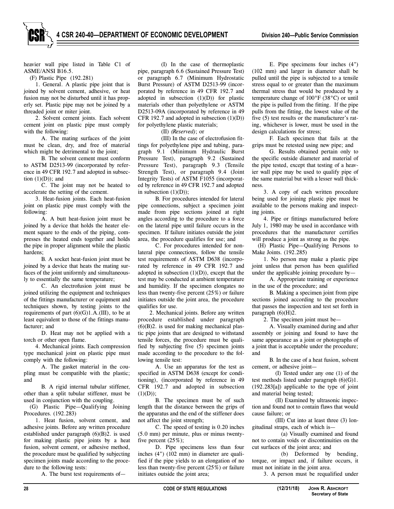heavier wall pipe listed in Table C1 of ASME/ANSI B16.5.

(F) Plastic Pipe (192.281)

1. General. A plastic pipe joint that is joined by solvent cement, adhesive, or heat fusion may not be disturbed until it has properly set. Plastic pipe may not be joined by a threaded joint or miter joint.

2. Solvent cement joints. Each solvent cement joint on plastic pipe must comply with the following:

A. The mating surfaces of the joint must be clean, dry, and free of material which might be detrimental to the joint;

B. The solvent cement must conform to ASTM D2513-99 (incorporated by reference in 49 CFR 192.7 and adopted in subsection  $(1)(D)$ ; and

C. The joint may not be heated to accelerate the setting of the cement.

3. Heat-fusion joints. Each heat-fusion joint on plastic pipe must comply with the following:

A. A butt heat-fusion joint must be joined by a device that holds the heater element square to the ends of the piping, compresses the heated ends together and holds the pipe in proper alignment while the plastic hardens;

B. A socket heat-fusion joint must be joined by a device that heats the mating surfaces of the joint uniformly and simultaneously to essentially the same temperature;

C. An electrofusion joint must be joined utilizing the equipment and techniques of the fittings manufacturer or equipment and techniques shown, by testing joints to the requirements of part  $(6)(G)1.A.(III)$ , to be at least equivalent to those of the fittings manufacturer; and

D. Heat may not be applied with a torch or other open flame.

4. Mechanical joints. Each compression type mechanical joint on plastic pipe must comply with the following:

A. The gasket material in the coupling must be compatible with the plastic; and

B. A rigid internal tubular stiffener, other than a split tubular stiffener, must be used in conjunction with the coupling.

(G) Plastic Pipe—Qualifying Joining Procedures. (192.283)

1. Heat fusion, solvent cement, and adhesive joints. Before any written procedure established under paragraph (6)(B)2. is used for making plastic pipe joints by a heat fusion, solvent cement, or adhesive method, the procedure must be qualified by subjecting specimen joints made according to the procedure to the following tests:

A. The burst test requirements of—

(I) In the case of thermoplastic pipe, paragraph 6.6 (Sustained Pressure Test) or paragraph 6.7 (Minimum Hydrostatic Burst Pressure) of ASTM D2513-99 (incorporated by reference in 49 CFR 192.7 and adopted in subsection  $(1)(D)$  for plastic materials other than polyethylene or ASTM D2513-09A (incorporated by reference in 49 CFR 192.7 and adopted in subsection (1)(D)) for polyethylene plastic materials;

(II) *(Reserved)*; or

(III) In the case of electrofusion fittings for polyethylene pipe and tubing, paragraph 9.1 (Minimum Hydraulic Burst Pressure Test), paragraph 9.2 (Sustained Pressure Test), paragraph 9.3 (Tensile Strength Test), or paragraph 9.4 (Joint Integrity Tests) of ASTM F1055 (incorporated by reference in 49 CFR 192.7 and adopted in subsection  $(1)(D)$ ;

B. For procedures intended for lateral pipe connections, subject a specimen joint made from pipe sections joined at right angles according to the procedure to a force on the lateral pipe until failure occurs in the specimen. If failure initiates outside the joint area, the procedure qualifies for use; and

C. For procedures intended for nonlateral pipe connections, follow the tensile test requirements of ASTM D638 (incorporated by reference in 49 CFR 192.7 and adopted in subsection  $(1)(D)$ ), except that the test may be conducted at ambient temperature and humidity. If the specimen elongates no less than twenty-five percent (25%) or failure initiates outside the joint area, the procedure qualifies for use.

2. Mechanical joints. Before any written procedure established under paragraph  $(6)(B)$ 2. is used for making mechanical plastic pipe joints that are designed to withstand tensile forces, the procedure must be qualified by subjecting five (5) specimen joints made according to the procedure to the following tensile test:

A. Use an apparatus for the test as specified in ASTM D638 (except for conditioning), (incorporated by reference in 49 CFR 192.7 and adopted in subsection  $(1)(D))$ ;

B. The specimen must be of such length that the distance between the grips of the apparatus and the end of the stiffener does not affect the joint strength;

C. The speed of testing is 0.20 inches (5.0 mm) per minute, plus or minus twentyfive percent  $(25\%)$ ;

D. Pipe specimens less than four inches (4") (102 mm) in diameter are qualified if the pipe yields to an elongation of no less than twenty-five percent (25%) or failure initiates outside the joint area;

E. Pipe specimens four inches (4") (102 mm) and larger in diameter shall be pulled until the pipe is subjected to a tensile stress equal to or greater than the maximum thermal stress that would be produced by a temperature change of 100°F (38°C) or until the pipe is pulled from the fitting. If the pipe pulls from the fitting, the lowest value of the five (5) test results or the manufacturer's rating, whichever is lower, must be used in the design calculations for stress;

F. Each specimen that fails at the grips must be retested using new pipe; and

G. Results obtained pertain only to the specific outside diameter and material of the pipe tested, except that testing of a heavier wall pipe may be used to qualify pipe of the same material but with a lesser wall thickness.

3. A copy of each written procedure being used for joining plastic pipe must be available to the persons making and inspecting joints.

4. Pipe or fittings manufactured before July 1, 1980 may be used in accordance with procedures that the manufacturer certifies will produce a joint as strong as the pipe.

(H) Plastic Pipe—Qualifying Persons to Make Joints. (192.285)

1. No person may make a plastic pipe joint unless that person has been qualified under the applicable joining procedure by—

A. Appropriate training or experience in the use of the procedure; and

B. Making a specimen joint from pipe sections joined according to the procedure that passes the inspection and test set forth in paragraph  $(6)(H)2$ .

2. The specimen joint must be—

A. Visually examined during and after assembly or joining and found to have the same appearance as a joint or photographs of a joint that is acceptable under the procedure; and

B. In the case of a heat fusion, solvent cement, or adhesive joint—

(I) Tested under any one (1) of the test methods listed under paragraph (6)(G)1. (192.283[a]) applicable to the type of joint and material being tested;

(II) Examined by ultrasonic inspection and found not to contain flaws that would cause failure; or

(III) Cut into at least three (3) longitudinal straps, each of which is—

(a) Visually examined and found not to contain voids or discontinuities on the cut surfaces of the joint area; and

(b) Deformed by bending, torque, or impact and, if failure occurs, it must not initiate in the joint area.

3. A person must be requalified under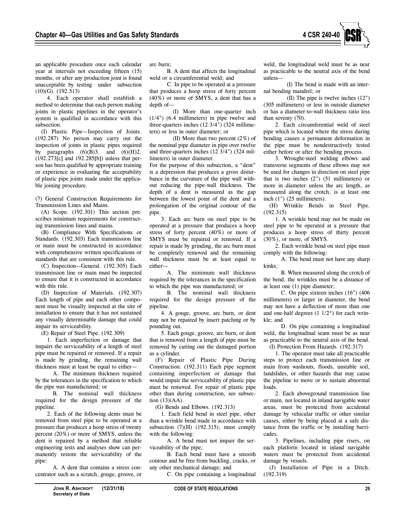

an applicable procedure once each calendar year at intervals not exceeding fifteen (15) months, or after any production joint is found unacceptable by testing under subsection (10)(G). (192.513)

4. Each operator shall establish a method to determine that each person making joints in plastic pipelines in the operator's system is qualified in accordance with this subsection.

(I) Plastic Pipe—Inspection of Joints. (192.287) No person may carry out the inspection of joints in plastic pipes required by paragraphs  $(6)(B)3$ . and  $(6)(H)2$ . (192.273[c] and 192.285[b]) unless that person has been qualified by appropriate training or experience in evaluating the acceptability of plastic pipe joints made under the applicable joining procedure.

(7) General Construction Requirements for Transmission Lines and Mains.

(A) Scope. (192.301) This section prescribes minimum requirements for constructing transmission lines and mains.

(B) Compliance With Specifications or Standards. (192.303) Each transmission line or main must be constructed in accordance with comprehensive written specifications or standards that are consistent with this rule.

(C) Inspection—General. (192.305) Each transmission line or main must be inspected to ensure that it is constructed in accordance with this rule.

(D) Inspection of Materials. (192.307) Each length of pipe and each other component must be visually inspected at the site of installation to ensure that it has not sustained any visually determinable damage that could impair its serviceability.

(E) Repair of Steel Pipe. (192.309)

1. Each imperfection or damage that impairs the serviceability of a length of steel pipe must be repaired or removed. If a repair is made by grinding, the remaining wall thickness must at least be equal to either—

A. The minimum thickness required by the tolerances in the specification to which the pipe was manufactured; or

B. The nominal wall thickness required for the design pressure of the pipeline.

2. Each of the following dents must be removed from steel pipe to be operated at a pressure that produces a hoop stress of twenty percent (20%) or more of SMYS, unless the dent is repaired by a method that reliable engineering tests and analyses show can permanently restore the serviceability of the pipe:

A. A dent that contains a stress concentrator such as a scratch, gouge, groove, or arc burn;

B. A dent that affects the longitudinal weld or a circumferential weld; and

C. In pipe to be operated at a pressure that produces a hoop stress of forty percent (40%) or more of SMYS, a dent that has a depth of—

(I) More than one-quarter inch (1/4") (6.4 millimeters) in pipe twelve and three-quarters inches (12 3/4") (324 millimeters) or less in outer diameter; or

(II) More than two percent (2%) of the nominal pipe diameter in pipe over twelve and three-quarters inches (12 3/4") (324 millimeters) in outer diameter.

For the purpose of this subsection, a "dent" is a depression that produces a gross disturbance in the curvature of the pipe wall without reducing the pipe-wall thickness. The depth of a dent is measured as the gap between the lowest point of the dent and a prolongation of the original contour of the pipe.

3. Each arc burn on steel pipe to be operated at a pressure that produces a hoop stress of forty percent (40%) or more of SMYS must be repaired or removed. If a repair is made by grinding, the arc burn must be completely removed and the remaining wall thickness must be at least equal to either—

A. The minimum wall thickness required by the tolerances in the specification to which the pipe was manufactured; or

B. The nominal wall thickness required for the design pressure of the pipeline.

4. A gouge, groove, arc burn, or dent may not be repaired by insert patching or by pounding out.

5. Each gouge, groove, arc burn, or dent that is removed from a length of pipe must be removed by cutting out the damaged portion as a cylinder.

(F) Repair of Plastic Pipe During Construction. (192.311) Each pipe segment containing imperfection or damage that would impair the serviceability of plastic pipe must be removed. For repair of plastic pipe other than during construction, see subsection  $(13)(AA)$ .

(G) Bends and Elbows. (192.313)

1. Each field bend in steel pipe, other than a wrinkle bend made in accordance with subsection  $(7)(H)$  (192.315), must comply with the following:

A. A bend must not impair the serviceability of the pipe;

B. Each bend must have a smooth contour and be free from buckling, cracks, or any other mechanical damage; and

C. On pipe containing a longitudinal

weld, the longitudinal weld must be as near as practicable to the neutral axis of the bend unless—

(I) The bend is made with an internal bending mandrel; or

(II) The pipe is twelve inches (12") (305 millimeters) or less in outside diameter or has a diameter-to-wall thickness ratio less than seventy (70).

2. Each circumferential weld of steel pipe which is located where the stress during bending causes a permanent deformation in the pipe must be nondestructively tested either before or after the bending process.

3. Wrought-steel welding elbows and transverse segments of these elbows may not be used for changes in direction on steel pipe that is two inches  $(2")$   $(51$  millimeters) or more in diameter unless the arc length, as measured along the crotch, is at least one inch (1") (25 millimeters).

(H) Wrinkle Bends in Steel Pipe. (192.315)

1. A wrinkle bend may not be made on steel pipe to be operated at a pressure that produces a hoop stress of thirty percent (30%), or more, of SMYS.

2. Each wrinkle bend on steel pipe must comply with the following:

A. The bend must not have any sharp kinks;

B. When measured along the crotch of the bend, the wrinkles must be a distance of at least one (1) pipe diameter;

C. On pipe sixteen inches (16") (406 millimeters) or larger in diameter, the bend may not have a deflection of more than one and one-half degrees (1 1/2°) for each wrinkle; and

D. On pipe containing a longitudinal weld, the longitudinal seam must be as near as practicable to the neutral axis of the bend. (I) Protection From Hazards. (192.317)

1. The operator must take all practicable steps to protect each transmission line or main from washouts, floods, unstable soil, landslides, or other hazards that may cause the pipeline to move or to sustain abnormal loads.

2. Each aboveground transmission line or main, not located in inland navigable water areas, must be protected from accidental damage by vehicular traffic or other similar causes, either by being placed at a safe distance from the traffic or by installing barricades.

3. Pipelines, including pipe risers, on each platform located in inland navigable waters must be protected from accidental damage by vessels.

(J) Installation of Pipe in a Ditch. (192.319)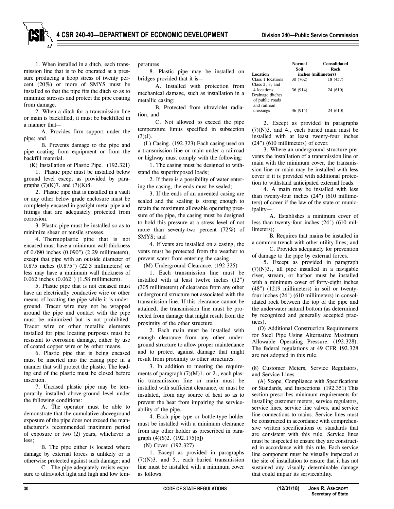1. When installed in a ditch, each transmission line that is to be operated at a pressure producing a hoop stress of twenty percent (20%) or more of SMYS must be installed so that the pipe fits the ditch so as to minimize stresses and protect the pipe coating from damage.

2. When a ditch for a transmission line or main is backfilled, it must be backfilled in a manner that—

A. Provides firm support under the pipe; and

B. Prevents damage to the pipe and pipe coating from equipment or from the backfill material.

(K) Installation of Plastic Pipe. (192.321)

1. Plastic pipe must be installed below ground level except as provided by paragraphs  $(7)(K)7$ . and  $(7)(K)8$ .

2. Plastic pipe that is installed in a vault or any other below grade enclosure must be completely encased in gastight metal pipe and fittings that are adequately protected from corrosion.

3. Plastic pipe must be installed so as to minimize shear or tensile stresses.

4. Thermoplastic pipe that is not encased must have a minimum wall thickness of 0.090 inches (0.090") (2.29 millimeters), except that pipe with an outside diameter of 0.875 inches (0.875") (22.3 millimeters) or less may have a minimum wall thickness of 0.062 inches (0.062") (1.58 millimeters).

5. Plastic pipe that is not encased must have an electrically conductive wire or other means of locating the pipe while it is underground. Tracer wire may not be wrapped around the pipe and contact with the pipe must be minimized but is not prohibited. Tracer wire or other metallic elements installed for pipe locating purposes must be resistant to corrosion damage, either by use of coated copper wire or by other means.

6. Plastic pipe that is being encased must be inserted into the casing pipe in a manner that will protect the plastic. The leading end of the plastic must be closed before insertion.

7. Uncased plastic pipe may be temporarily installed above-ground level under the following conditions:

A. The operator must be able to demonstrate that the cumulative aboveground exposure of the pipe does not exceed the manufacturer's recommended maximum period of exposure or two (2) years, whichever is less;

B. The pipe either is located where damage by external forces is unlikely or is otherwise protected against such damage; and

C. The pipe adequately resists exposure to ultraviolet light and high and low temperatures.

8. Plastic pipe may be installed on bridges provided that it is—

A. Installed with protection from mechanical damage, such as installation in a metallic casing;

B. Protected from ultraviolet radiation; and

C. Not allowed to exceed the pipe temperature limits specified in subsection  $(3)(J)$ .

(L) Casing. (192.323) Each casing used on a transmission line or main under a railroad or highway must comply with the following:

1. The casing must be designed to withstand the superimposed loads;

2. If there is a possibility of water entering the casing, the ends must be sealed;

3. If the ends of an unvented casing are sealed and the sealing is strong enough to retain the maximum allowable operating pressure of the pipe, the casing must be designed to hold this pressure at a stress level of not more than seventy-two percent (72%) of SMYS; and

4. If vents are installed on a casing, the vents must be protected from the weather to prevent water from entering the casing.

(M) Underground Clearance. (192.325)

1. Each transmission line must be installed with at least twelve inches (12") (305 millimeters) of clearance from any other underground structure not associated with the transmission line. If this clearance cannot be attained, the transmission line must be protected from damage that might result from the proximity of the other structure.

2. Each main must be installed with enough clearance from any other underground structure to allow proper maintenance and to protect against damage that might result from proximity to other structures.

3. In addition to meeting the requirements of paragraph  $(7)(M)1$ . or 2., each plastic transmission line or main must be installed with sufficient clearance, or must be insulated, from any source of heat so as to prevent the heat from impairing the serviceability of the pipe.

4. Each pipe-type or bottle-type holder must be installed with a minimum clearance from any other holder as prescribed in paragraph (4)(S)2. (192.175[b])

(N) Cover. (192.327)

1. Except as provided in paragraphs (7)(N)3. and 5., each buried transmission line must be installed with a minimum cover as follows:

|                    | Normal   | <b>Consolidated</b>  |  |
|--------------------|----------|----------------------|--|
|                    | Soil     | Rock                 |  |
| Location           |          | inches (millimeters) |  |
| Class 1 locations  | 30 (762) | 18 (457)             |  |
| Class $2, 3$ , and |          |                      |  |
| 4 locations        | 36 (914) | 24 (610)             |  |
| Drainage ditches   |          |                      |  |
| of public roads    |          |                      |  |
| and railroad       |          |                      |  |
| crossings          | 36 (914) | 24 (610)             |  |
|                    |          |                      |  |

2. Except as provided in paragraphs  $(7)(N)$ 3. and 4., each buried main must be installed with at least twenty-four inches (24") (610 millimeters) of cover.

3. Where an underground structure prevents the installation of a transmission line or main with the minimum cover, the transmission line or main may be installed with less cover if it is provided with additional protection to withstand anticipated external loads.

4. A main may be installed with less than twenty-four inches (24") (610 millimeters) of cover if the law of the state or municipality—

A. Establishes a minimum cover of less than twenty-four inches (24") (610 millimeters);

B. Requires that mains be installed in a common trench with other utility lines; and

C. Provides adequately for prevention of damage to the pipe by external forces.

5. Except as provided in paragraph  $(7)(N)3$ ., all pipe installed in a navigable river, stream, or harbor must be installed with a minimum cover of forty-eight inches (48") (1219 millimeters) in soil or twentyfour inches (24") (610 millimeters) in consolidated rock between the top of the pipe and the underwater natural bottom (as determined by recognized and generally accepted practices).

(O) Additional Construction Requirements for Steel Pipe Using Alternative Maximum Allowable Operating Pressure. (192.328). The federal regulations at 49 CFR 192.328 are not adopted in this rule.

(8) Customer Meters, Service Regulators, and Service Lines.

(A) Scope, Compliance with Specifications or Standards, and Inspections. (192.351) This section prescribes minimum requirements for installing customer meters, service regulators, service lines, service line valves, and service line connections to mains. Service lines must be constructed in accordance with comprehensive written specifications or standards that are consistent with this rule. Service lines must be inspected to ensure they are constructed in accordance with this rule. Each service line component must be visually inspected at the site of installation to ensure that it has not sustained any visually determinable damage that could impair its serviceability.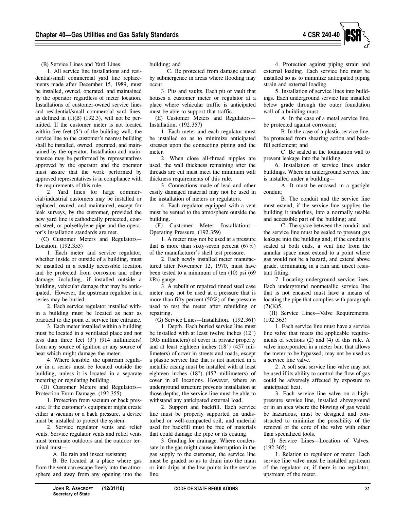

(B) Service Lines and Yard Lines.

1. All service line installations and residential/small commercial yard line replacements made after December 15, 1989, must be installed, owned, operated, and maintained by the operator regardless of meter location. Installations of customer-owned service lines and residential/small commercial yard lines, as defined in  $(1)(B)$   $(192.3)$ , will not be permitted. If the customer meter is not located within five feet (5') of the building wall, the service line to the customer's nearest building shall be installed, owned, operated, and maintained by the operator. Installation and maintenance may be performed by representatives approved by the operator and the operator must assure that the work performed by approved representatives is in compliance with the requirements of this rule.

2. Yard lines for large commercial/industrial customers may be installed or replaced, owned, and maintained, except for leak surveys, by the customer, provided the new yard line is cathodically protected, coated steel, or polyethylene pipe and the operator's installation standards are met.

(C) Customer Meters and Regulators— Location. (192.353)

1. Each meter and service regulator, whether inside or outside of a building, must be installed in a readily accessible location and be protected from corrosion and other damage, including, if installed outside a building, vehicular damage that may be anticipated. However, the upstream regulator in a series may be buried.

2. Each service regulator installed within a building must be located as near as practical to the point of service line entrance.

3. Each meter installed within a building must be located in a ventilated place and not less than three feet (3') (914 millimeters) from any source of ignition or any source of heat which might damage the meter.

4. Where feasible, the upstream regulator in a series must be located outside the building, unless it is located in a separate metering or regulating building.

(D) Customer Meters and Regulators— Protection From Damage. (192.355)

1. Protection from vacuum or back pressure. If the customer's equipment might create either a vacuum or a back pressure, a device must be installed to protect the system.

2. Service regulator vents and relief vents. Service regulator vents and relief vents must terminate outdoors and the outdoor terminal must—

A. Be rain and insect resistant;

B. Be located at a place where gas from the vent can escape freely into the atmosphere and away from any opening into the building; and

C. Be protected from damage caused by submergence in areas where flooding may occur.

3. Pits and vaults. Each pit or vault that houses a customer meter or regulator at a place where vehicular traffic is anticipated must be able to support that traffic.

(E) Customer Meters and Regulators— Installation. (192.357)

1. Each meter and each regulator must be installed so as to minimize anticipated stresses upon the connecting piping and the meter.

2. When close all-thread nipples are used, the wall thickness remaining after the threads are cut must meet the minimum wall thickness requirements of this rule.

3. Connections made of lead and other easily damaged material may not be used in the installation of meters or regulators.

4. Each regulator equipped with a vent must be vented to the atmosphere outside the building.

(F) Customer Meter Installations— Operating Pressure. (192.359)

1. A meter may not be used at a pressure that is more than sixty-seven percent  $(67%)$ of the manufacturer's shell test pressure.

2. Each newly installed meter manufactured after November 12, 1970, must have been tested to a minimum of ten (10) psi (69 kPa) gauge.

3. A rebuilt or repaired tinned steel case meter may not be used at a pressure that is more than fifty percent (50%) of the pressure used to test the meter after rebuilding or repairing.

(G) Service Lines—Installation. (192.361)

1. Depth. Each buried service line must be installed with at least twelve inches (12") (305 millimeters) of cover in private property and at least eighteen inches (18") (457 millimeters) of cover in streets and roads, except a plastic service line that is not inserted in a metallic casing must be installed with at least eighteen inches (18") (457 millimeters) of cover in all locations. However, where an underground structure prevents installation at those depths, the service line must be able to withstand any anticipated external load.

2. Support and backfill. Each service line must be properly supported on undisturbed or well-compacted soil, and material used for backfill must be free of materials that could damage the pipe or its coating.

3. Grading for drainage. Where condensate in the gas might cause interruption in the gas supply to the customer, the service line must be graded so as to drain into the main or into drips at the low points in the service line.

4. Protection against piping strain and external loading. Each service line must be installed so as to minimize anticipated piping strain and external loading.

5. Installation of service lines into buildings. Each underground service line installed below grade through the outer foundation wall of a building must—

A. In the case of a metal service line, be protected against corrosion;

B. In the case of a plastic service line, be protected from shearing action and backfill settlement; and

C. Be sealed at the foundation wall to prevent leakage into the building.

6. Installation of service lines under buildings. Where an underground service line is installed under a building—

A. It must be encased in a gastight conduit;

B. The conduit and the service line must extend, if the service line supplies the building it underlies, into a normally usable and accessible part of the building; and

C. The space between the conduit and the service line must be sealed to prevent gas leakage into the building and, if the conduit is sealed at both ends, a vent line from the annular space must extend to a point where gas would not be a hazard, and extend above grade, terminating in a rain and insect resistant fitting.

7. Locating underground service lines. Each underground nonmetallic service line that is not encased must have a means of locating the pipe that complies with paragraph  $(7)(K)5.$ 

(H) Service Lines—Valve Requirements. (192.363)

1. Each service line must have a service line valve that meets the applicable requirements of sections (2) and (4) of this rule. A valve incorporated in a meter bar, that allows the meter to be bypassed, may not be used as a service line valve.

2. A soft seat service line valve may not be used if its ability to control the flow of gas could be adversely affected by exposure to anticipated heat.

3. Each service line valve on a highpressure service line, installed aboveground or in an area where the blowing of gas would be hazardous, must be designed and constructed to minimize the possibility of the removal of the core of the valve with other than specialized tools.

(I) Service Lines—Location of Valves. (192.365)

1. Relation to regulator or meter. Each service line valve must be installed upstream of the regulator or, if there is no regulator, upstream of the meter.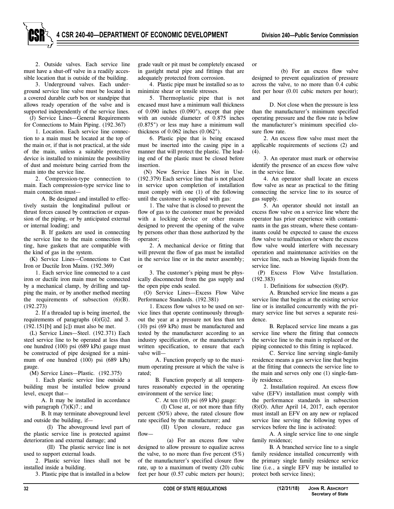2. Outside valves. Each service line must have a shut-off valve in a readily accessible location that is outside of the building.

3. Underground valves. Each underground service line valve must be located in a covered durable curb box or standpipe that allows ready operation of the valve and is supported independently of the service lines.

(J) Service Lines—General Requirements for Connections to Main Piping. (192.367)

1. Location. Each service line connection to a main must be located at the top of the main or, if that is not practical, at the side of the main, unless a suitable protective device is installed to minimize the possibility of dust and moisture being carried from the main into the service line.

2. Compression-type connection to main. Each compression-type service line to main connection must—

A. Be designed and installed to effectively sustain the longitudinal pullout or thrust forces caused by contraction or expansion of the piping, or by anticipated external or internal loading; and

B. If gaskets are used in connecting the service line to the main connection fitting, have gaskets that are compatible with the kind of gas in the system.

(K) Service Lines—Connections to Cast Iron or Ductile Iron Mains. (192.369)

1. Each service line connected to a cast iron or ductile iron main must be connected by a mechanical clamp, by drilling and tapping the main, or by another method meeting the requirements of subsection  $(6)(B)$ . (192.273)

2. If a threaded tap is being inserted, the requirements of paragraphs (4)(G)2. and 3.  $(192.151[b]$  and  $[c]$ ) must also be met.

(L) Service Lines—Steel. (192.371) Each steel service line to be operated at less than one hundred (100) psi (689 kPa) gauge must be constructed of pipe designed for a minimum of one hundred (100) psi (689 kPa) gauge.

(M) Service Lines—Plastic. (192.375)

1. Each plastic service line outside a building must be installed below ground level, except that—

A. It may be installed in accordance with paragraph  $(7)(K)7$ .; and

B. It may terminate aboveground level and outside the building, if—

(I) The aboveground level part of the plastic service line is protected against deterioration and external damage; and

(II) The plastic service line is not used to support external loads.

2. Plastic service lines shall not be installed inside a building.

3. Plastic pipe that is installed in a below

grade vault or pit must be completely encased in gastight metal pipe and fittings that are adequately protected from corrosion.

4. Plastic pipe must be installed so as to minimize shear or tensile stresses.

5. Thermoplastic pipe that is not encased must have a minimum wall thickness of 0.090 inches (0.090"), except that pipe with an outside diameter of 0.875 inches (0.875") or less may have a minimum wall thickness of 0.062 inches (0.062").

6. Plastic pipe that is being encased must be inserted into the casing pipe in a manner that will protect the plastic. The leading end of the plastic must be closed before insertion.

(N) New Service Lines Not in Use. (192.379) Each service line that is not placed in service upon completion of installation must comply with one (1) of the following until the customer is supplied with gas:

1. The valve that is closed to prevent the flow of gas to the customer must be provided with a locking device or other means designed to prevent the opening of the valve by persons other than those authorized by the operator;

2. A mechanical device or fitting that will prevent the flow of gas must be installed in the service line or in the meter assembly; or

3. The customer's piping must be physically disconnected from the gas supply and the open pipe ends sealed.

(O) Service Lines—Excess Flow Valve Performance Standards. (192.381)

1. Excess flow valves to be used on service lines that operate continuously throughout the year at a pressure not less than ten (10) psi (69 kPa) must be manufactured and tested by the manufacturer according to an industry specification, or the manufacturer's written specification, to ensure that each valve will—

A. Function properly up to the maximum operating pressure at which the valve is rated;

B. Function properly at all temperatures reasonably expected in the operating environment of the service line;

C. At ten (10) psi (69 kPa) gauge:

(I) Close at, or not more than fifty percent (50%) above, the rated closure flow rate specified by the manufacturer; and

(II) Upon closure, reduce gas flow—

(a) For an excess flow valve designed to allow pressure to equalize across the valve, to no more than five percent  $(5\%)$ of the manufacturer's specified closure flow rate, up to a maximum of twenty (20) cubic feet per hour (0.57 cubic meters per hours);

or

(b) For an excess flow valve designed to prevent equalization of pressure across the valve, to no more than 0.4 cubic feet per hour (0.01 cubic meters per hour); and

D. Not close when the pressure is less than the manufacturer's minimum specified operating pressure and the flow rate is below the manufacturer's minimum specified closure flow rate.

2. An excess flow valve must meet the applicable requirements of sections (2) and (4).

3. An operator must mark or otherwise identify the presence of an excess flow valve in the service line.

4. An operator shall locate an excess flow valve as near as practical to the fitting connecting the service line to its source of gas supply.

5. An operator should not install an excess flow valve on a service line where the operator has prior experience with contaminants in the gas stream, where these contaminants could be expected to cause the excess flow valve to malfunction or where the excess flow valve would interfere with necessary operation and maintenance activities on the service line, such as blowing liquids from the service line.

(P) Excess Flow Valve Installation. (192.383)

1. Definitions for subsection (8)(P).

A. Branched service line means a gas service line that begins at the existing service line or is installed concurrently with the primary service line but serves a separate residence.

B. Replaced service line means a gas service line where the fitting that connects the service line to the main is replaced or the piping connected to this fitting is replaced.

C. Service line serving single-family residence means a gas service line that begins at the fitting that connects the service line to the main and serves only one (1) single-family residence.

2. Installation required. An excess flow valve (EFV) installation must comply with the performance standards in subsection (8)(O). After April 14, 2017, each operator must install an EFV on any new or replaced service line serving the following types of services before the line is activated:

A. A single service line to one single family residence;

B. A branched service line to a single family residence installed concurrently with the primary single family residence service line (i.e., a single EFV may be installed to protect both service lines);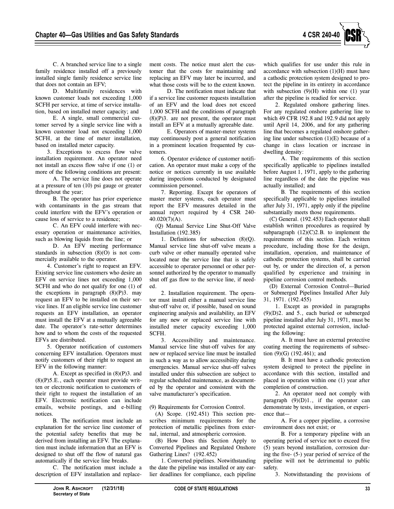

C. A branched service line to a single family residence installed off a previously installed single family residence service line that does not contain an EFV;

D. Multifamily residences with known customer loads not exceeding 1,000 SCFH per service, at time of service installation, based on installed meter capacity; and

E. A single, small commercial customer served by a single service line with a known customer load not exceeding 1,000 SCFH, at the time of meter installation, based on installed meter capacity.

3. Exceptions to excess flow valve installation requirement. An operator need not install an excess flow valve if one (1) or more of the following conditions are present:

A. The service line does not operate at a pressure of ten (10) psi gauge or greater throughout the year;

B. The operator has prior experience with contaminants in the gas stream that could interfere with the EFV's operation or cause loss of service to a residence;

C. An EFV could interfere with necessary operation or maintenance activities, such as blowing liquids from the line; or

D. An EFV meeting performance standards in subsection (8)(O) is not commercially available to the operator.

4. Customer's right to request an EFV. Existing service line customers who desire an EFV on service lines not exceeding 1,000 SCFH and who do not qualify for one (1) of the exceptions in paragraph  $(8)(P)3$ . may request an EFV to be installed on their service lines. If an eligible service line customer requests an EFV installation, an operator must install the EFV at a mutually agreeable date. The operator's rate-setter determines how and to whom the costs of the requested EFVs are distributed.

5. Operator notification of customers concerning EFV installation. Operators must notify customers of their right to request an EFV in the following manner:

A. Except as specified in (8)(P)3. and  $(8)(P)$ 5.E., each operator must provide written or electronic notification to customers of their right to request the installation of an EFV. Electronic notification can include emails, website postings, and e-billing notices.

B. The notification must include an explanation for the service line customer of the potential safety benefits that may be derived from installing an EFV. The explanation must include information that an EFV is designed to shut off the flow of natural gas automatically if the service line breaks.

C. The notification must include a description of EFV installation and replacement costs. The notice must alert the customer that the costs for maintaining and replacing an EFV may later be incurred, and what those costs will be to the extent known.

D. The notification must indicate that if a service line customer requests installation of an EFV and the load does not exceed 1,000 SCFH and the conditions of paragraph  $(8)(P)$ 3. are not present, the operator must install an EFV at a mutually agreeable date.

E. Operators of master-meter systems may continuously post a general notification in a prominent location frequented by customers.

6. Operator evidence of customer notification. An operator must make a copy of the notice or notices currently in use available during inspections conducted by designated commission personnel.

7. Reporting. Except for operators of master meter systems, each operator must report the EFV measures detailed in the annual report required by 4 CSR 240- 40.020(7)(A).

(Q) Manual Service Line Shut-Off Valve Installation (192.385)

1. Definitions for subsection (8)(Q). Manual service line shut-off valve means a curb valve or other manually operated valve located near the service line that is safely accessible to operator personnel or other personnel authorized by the operator to manually shut off gas flow to the service line, if needed.

2. Installation requirement. The operator must install either a manual service line shut-off valve or, if possible, based on sound engineering analysis and availability, an EFV for any new or replaced service line with installed meter capacity exceeding 1,000 SCFH.

3. Accessibility and maintenance. Manual service line shut-off valves for any new or replaced service line must be installed in such a way as to allow accessibility during emergencies. Manual service shut-off valves installed under this subsection are subject to regular scheduled maintenance, as documented by the operator and consistent with the valve manufacturer's specification.

#### (9) Requirements for Corrosion Control.

(A) Scope. (192.451) This section prescribes minimum requirements for the protection of metallic pipelines from external, internal, and atmospheric corrosion.

(B) How Does this Section Apply to Converted Pipelines and Regulated Onshore Gathering Lines? (192.452)

1. Converted pipelines. Notwithstanding the date the pipeline was installed or any earlier deadlines for compliance, each pipeline which qualifies for use under this rule in accordance with subsection  $(1)(H)$  must have a cathodic protection system designed to protect the pipeline in its entirety in accordance with subsection  $(9)(H)$  within one  $(1)$  year after the pipeline is readied for service.

2. Regulated onshore gathering lines. For any regulated onshore gathering line to which 49 CFR 192.8 and 192.9 did not apply until April 14, 2006, and for any gathering line that becomes a regulated onshore gathering line under subsection (1)(E) because of a change in class location or increase in dwelling density:

A. The requirements of this section specifically applicable to pipelines installed before August 1, 1971, apply to the gathering line regardless of the date the pipeline was actually installed; and

B. The requirements of this section specifically applicable to pipelines installed after July 31, 1971, apply only if the pipeline substantially meets those requirements.

(C) General. (192.453) Each operator shall establish written procedures as required by subparagraph  $(12)(C)2.B.$  to implement the requirements of this section. Each written procedure, including those for the design, installation, operation, and maintenance of cathodic protection systems, shall be carried out by, or under the direction of, a person qualified by experience and training in pipeline corrosion control methods.

(D) External Corrosion Control—Buried or Submerged Pipelines Installed After July 31, 1971. (192.455)

1. Except as provided in paragraphs (9)(D)2. and 5., each buried or submerged pipeline installed after July 31, 1971, must be protected against external corrosion, including the following:

A. It must have an external protective coating meeting the requirements of subsection (9)(G) (192.461); and

B. It must have a cathodic protection system designed to protect the pipeline in accordance with this section, installed and placed in operation within one (1) year after completion of construction.

2. An operator need not comply with paragraph  $(9)(D)1$ ., if the operator can demonstrate by tests, investigation, or experience that—

A. For a copper pipeline, a corrosive environment does not exist; or

B. For a temporary pipeline with an operating period of service not to exceed five (5) years beyond installation, corrosion during the five- (5-) year period of service of the pipeline will not be detrimental to public safety.

3. Notwithstanding the provisions of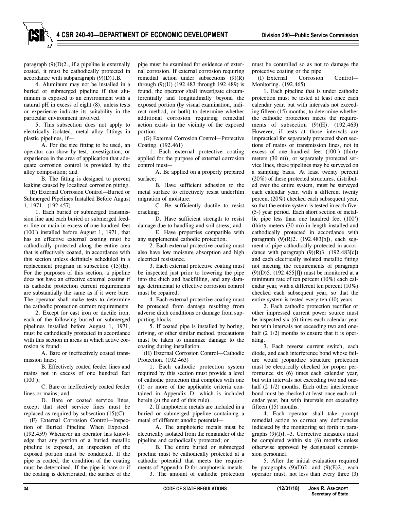paragraph  $(9)(D)2$ ., if a pipeline is externally coated, it must be cathodically protected in accordance with subparagraph (9)(D)1.B.

4. Aluminum may not be installed in a buried or submerged pipeline if that aluminum is exposed to an environment with a natural pH in excess of eight (8), unless tests or experience indicate its suitability in the particular environment involved.

5. This subsection does not apply to electrically isolated, metal alloy fittings in plastic pipelines, if—

A. For the size fitting to be used, an operator can show by test, investigation, or experience in the area of application that adequate corrosion control is provided by the alloy composition; and

B. The fitting is designed to prevent leaking caused by localized corrosion pitting.

(E) External Corrosion Control—Buried or Submerged Pipelines Installed Before August 1, 1971. (192.457)

1. Each buried or submerged transmission line and each buried or submerged feeder line or main in excess of one hundred feet (100') installed before August 1, 1971, that has an effective external coating must be cathodically protected along the entire area that is effectively coated, in accordance with this section unless definitely scheduled in a replacement program in subsection (15)(E). For the purposes of this section, a pipeline does not have an effective external coating if its cathodic protection current requirements are substantially the same as if it were bare. The operator shall make tests to determine the cathodic protection current requirements.

2. Except for cast iron or ductile iron, each of the following buried or submerged pipelines installed before August 1, 1971, must be cathodically protected in accordance with this section in areas in which active corrosion is found:

A. Bare or ineffectively coated transmission lines;

B. Effectively coated feeder lines and mains not in excess of one hundred feet  $(100')$ ;

C. Bare or ineffectively coated feeder lines or mains; and

D. Bare or coated service lines, except that steel service lines must be replaced as required by subsection (15)(C).

(F) External Corrosion Control—Inspection of Buried Pipeline When Exposed. (192.459) Whenever an operator has knowledge that any portion of a buried metallic pipeline is exposed, an inspection of the exposed portion must be conducted. If the pipe is coated, the condition of the coating must be determined. If the pipe is bare or if the coating is deteriorated, the surface of the

pipe must be examined for evidence of external corrosion. If external corrosion requiring remedial action under subsections  $(9)(R)$ through (9)(U) (192.483 through 192.489) is found, the operator shall investigate circumferentially and longitudinally beyond the exposed portion (by visual examination, indirect method, or both) to determine whether additional corrosion requiring remedial action exists in the vicinity of the exposed portion.

(G) External Corrosion Control—Protective Coating. (192.461)

1. Each external protective coating applied for the purpose of external corrosion control must—

A. Be applied on a properly prepared surface;

B. Have sufficient adhesion to the metal surface to effectively resist underfilm migration of moisture;

C. Be sufficiently ductile to resist cracking;

D. Have sufficient strength to resist damage due to handling and soil stress; and

E. Have properties compatible with any supplemental cathodic protection.

2. Each external protective coating must also have low moisture absorption and high electrical resistance.

3. Each external protective coating must be inspected just prior to lowering the pipe into the ditch and backfilling, and any damage detrimental to effective corrosion control must be repaired.

4. Each external protective coating must be protected from damage resulting from adverse ditch conditions or damage from supporting blocks.

5. If coated pipe is installed by boring, driving, or other similar method, precautions must be taken to minimize damage to the coating during installation.

(H) External Corrosion Control—Cathodic Protection. (192.463)

1. Each cathodic protection system required by this section must provide a level of cathodic protection that complies with one (1) or more of the applicable criteria contained in Appendix D, which is included herein (at the end of this rule).

2. If amphoteric metals are included in a buried or submerged pipeline containing a metal of different anodic potential—

A. The amphoteric metals must be electrically isolated from the remainder of the pipeline and cathodically protected; or

B. The entire buried or submerged pipeline must be cathodically protected at a cathodic potential that meets the requirements of Appendix D for amphoteric metals.

3. The amount of cathodic protection

must be controlled so as not to damage the protective coating or the pipe.

(I) External Corrosion Control— Monitoring. (192.465)

1. Each pipeline that is under cathodic protection must be tested at least once each calendar year, but with intervals not exceeding fifteen (15) months, to determine whether the cathodic protection meets the requirements of subsection  $(9)(H)$ .  $(192.463)$ However, if tests at those intervals are impractical for separately protected short sections of mains or transmission lines, not in excess of one hundred feet (100') (thirty meters (30 m)), or separately protected service lines, these pipelines may be surveyed on a sampling basis. At least twenty percent (20%) of these protected structures, distributed over the entire system, must be surveyed each calendar year, with a different twenty percent (20%) checked each subsequent year, so that the entire system is tested in each five- (5-) year period. Each short section of metallic pipe less than one hundred feet (100') (thirty meters (30 m)) in length installed and cathodically protected in accordance with paragraph (9)(R)2. (192.483[b]), each segment of pipe cathodically protected in accordance with paragraph  $(9)(R)3$ .  $(192.483[c])$ and each electrically isolated metallic fitting not meeting the requirements of paragraph  $(9)(D)5. (192.455[f])$  must be monitored at a minimum rate of ten percent (10%) each calendar year, with a different ten percent (10%) checked each subsequent year, so that the entire system is tested every ten (10) years.

2. Each cathodic protection rectifier or other impressed current power source must be inspected six (6) times each calendar year but with intervals not exceeding two and onehalf (2 1/2) months to ensure that it is operating.

3. Each reverse current switch, each diode, and each interference bond whose failure would jeopardize structure protection must be electrically checked for proper performance six (6) times each calendar year, but with intervals not exceeding two and onehalf (2 1/2) months. Each other interference bond must be checked at least once each calendar year, but with intervals not exceeding fifteen  $(15)$  months.

4. Each operator shall take prompt remedial action to correct any deficiencies indicated by the monitoring set forth in paragraphs  $(9)(I)1.-3$ . Corrective measures must be completed within six (6) months unless otherwise approved by designated commission personnel.

5. After the initial evaluation required by paragraphs  $(9)(D)2$ . and  $(9)(E)2$ ., each operator must, not less than every three (3)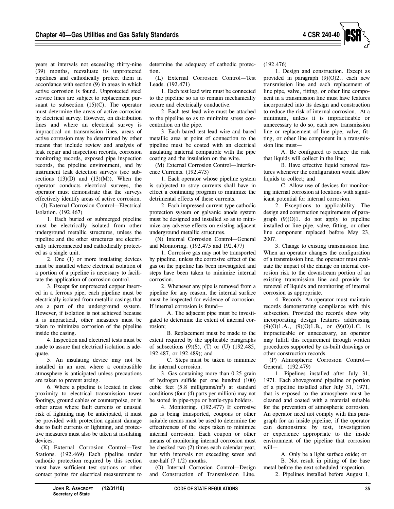

years at intervals not exceeding thirty-nine (39) months, reevaluate its unprotected pipelines and cathodically protect them in accordance with section (9) in areas in which active corrosion is found. Unprotected steel service lines are subject to replacement pursuant to subsection  $(15)(C)$ . The operator must determine the areas of active corrosion by electrical survey. However, on distribution lines and where an electrical survey is impractical on transmission lines, areas of active corrosion may be determined by other means that include review and analysis of leak repair and inspection records, corrosion monitoring records, exposed pipe inspection records, the pipeline environment, and by instrument leak detection surveys (see subsections  $(13)(D)$  and  $(13)(M)$ ). When the operator conducts electrical surveys, the operator must demonstrate that the surveys effectively identify areas of active corrosion.

(J) External Corrosion Control—Electrical Isolation. (192.467)

1. Each buried or submerged pipeline must be electrically isolated from other underground metallic structures, unless the pipeline and the other structures are electrically interconnected and cathodically protected as a single unit.

2. One (1) or more insulating devices must be installed where electrical isolation of a portion of a pipeline is necessary to facilitate the application of corrosion control.

3. Except for unprotected copper inserted in a ferrous pipe, each pipeline must be electrically isolated from metallic casings that are a part of the underground system. However, if isolation is not achieved because it is impractical, other measures must be taken to minimize corrosion of the pipeline inside the casing.

4. Inspection and electrical tests must be made to assure that electrical isolation is adequate.

5. An insulating device may not be installed in an area where a combustible atmosphere is anticipated unless precautions are taken to prevent arcing.

6. Where a pipeline is located in close proximity to electrical transmission tower footings, ground cables or counterpoise, or in other areas where fault currents or unusual risk of lightning may be anticipated, it must be provided with protection against damage due to fault currents or lightning, and protective measures must also be taken at insulating devices.

(K) External Corrosion Control—Test Stations. (192.469) Each pipeline under cathodic protection required by this section must have sufficient test stations or other contact points for electrical measurement to determine the adequacy of cathodic protection.

(L) External Corrosion Control—Test Leads. (192.471)

1. Each test lead wire must be connected to the pipeline so as to remain mechanically secure and electrically conductive.

2. Each test lead wire must be attached to the pipeline so as to minimize stress concentration on the pipe.

3. Each bared test lead wire and bared metallic area at point of connection to the pipeline must be coated with an electrical insulating material compatible with the pipe coating and the insulation on the wire.

(M) External Corrosion Control—Interference Currents. (192.473)

1. Each operator whose pipeline system is subjected to stray currents shall have in effect a continuing program to minimize the detrimental effects of these currents.

2. Each impressed current type cathodic protection system or galvanic anode system must be designed and installed so as to minimize any adverse effects on existing adjacent underground metallic structures.

(N) Internal Corrosion Control—General and Monitoring. (192.475 and 192.477)

1. Corrosive gas may not be transported by pipeline, unless the corrosive effect of the gas on the pipeline has been investigated and steps have been taken to minimize internal corrosion.

2. Whenever any pipe is removed from a pipeline for any reason, the internal surface must be inspected for evidence of corrosion. If internal corrosion is found—

A. The adjacent pipe must be investigated to determine the extent of internal corrosion;

B. Replacement must be made to the extent required by the applicable paragraphs of subsections  $(9)(S)$ ,  $(T)$  or  $(U)$   $(192.485)$ , 192.487, or 192.489); and

C. Steps must be taken to minimize the internal corrosion.

3. Gas containing more than 0.25 grain of hydrogen sulfide per one hundred (100) cubic feet  $(5.8 \text{ milligrams/m}^3)$  at standard conditions (four (4) parts per million) may not be stored in pipe-type or bottle-type holders.

4. Monitoring. (192.477) If corrosive gas is being transported, coupons or other suitable means must be used to determine the effectiveness of the steps taken to minimize internal corrosion. Each coupon or other means of monitoring internal corrosion must be checked two (2) times each calendar year, but with intervals not exceeding seven and one-half (7 1/2) months.

(O) Internal Corrosion Control—Design and Construction of Transmission Line.

(192.476)

1. Design and construction. Except as provided in paragraph (9)(O)2., each new transmission line and each replacement of line pipe, valve, fitting, or other line component in a transmission line must have features incorporated into its design and construction to reduce the risk of internal corrosion. At a minimum, unless it is impracticable or unnecessary to do so, each new transmission line or replacement of line pipe, valve, fitting, or other line component in a transmission line must—

A. Be configured to reduce the risk that liquids will collect in the line;

B. Have effective liquid removal features whenever the configuration would allow liquids to collect; and

C. Allow use of devices for monitoring internal corrosion at locations with significant potential for internal corrosion.

2. Exceptions to applicability. The design and construction requirements of paragraph  $(9)(O)1$ . do not apply to pipeline installed or line pipe, valve, fitting, or other line component replaced before May 23, 2007.

3. Change to existing transmission line. When an operator changes the configuration of a transmission line, the operator must evaluate the impact of the change on internal corrosion risk to the downstream portion of an existing transmission line and provide for removal of liquids and monitoring of internal corrosion as appropriate.

4. Records. An operator must maintain records demonstrating compliance with this subsection. Provided the records show why incorporating design features addressing  $(9)(O)1.A., (9)(O)1.B., or (9)(O)1.C.$  is impracticable or unnecessary, an operator may fulfill this requirement through written procedures supported by as-built drawings or other construction records.

(P) Atmospheric Corrosion Control— General. (192.479)

1. Pipelines installed after July 31, 1971. Each aboveground pipeline or portion of a pipeline installed after July 31, 1971, that is exposed to the atmosphere must be cleaned and coated with a material suitable for the prevention of atmospheric corrosion. An operator need not comply with this paragraph for an inside pipeline, if the operator can demonstrate by test, investigation or experience appropriate to the inside environment of the pipeline that corrosion will—

A. Only be a light surface oxide; or

B. Not result in pitting of the base metal before the next scheduled inspection.

2. Pipelines installed before August 1,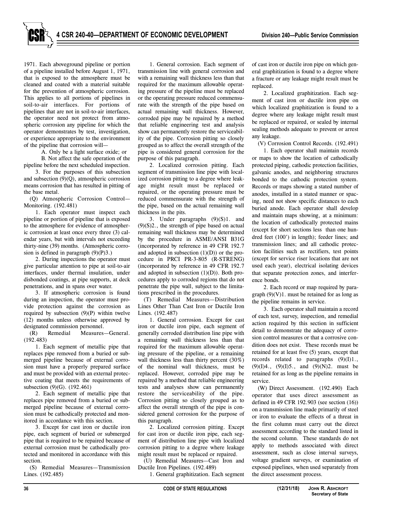1971. Each aboveground pipeline or portion of a pipeline installed before August 1, 1971, that is exposed to the atmosphere must be cleaned and coated with a material suitable for the prevention of atmospheric corrosion. This applies to all portions of pipelines in soil-to-air interfaces. For portions of pipelines that are not in soil-to-air interfaces, the operator need not protect from atmospheric corrosion any pipeline for which the operator demonstrates by test, investigation, or experience appropriate to the environment of the pipeline that corrosion will—

A. Only be a light surface oxide; or B. Not affect the safe operation of the

pipeline before the next scheduled inspection. 3. For the purposes of this subsection and subsection (9)(Q), atmospheric corrosion means corrosion that has resulted in pitting of the base metal.

(Q) Atmospheric Corrosion Control— Monitoring. (192.481)

1. Each operator must inspect each pipeline or portion of pipeline that is exposed to the atmosphere for evidence of atmospheric corrosion at least once every three (3) calendar years, but with intervals not exceeding thirty-nine (39) months. (Atmospheric corrosion is defined in paragraph  $(9)(P)3$ .)

2. During inspections the operator must give particular attention to pipe at soil-to-air interfaces, under thermal insulation, under disbonded coatings, at pipe supports, at deck penetrations, and in spans over water.

3. If atmospheric corrosion is found during an inspection, the operator must provide protection against the corrosion as required by subsection  $(9)(P)$  within twelve (12) months unless otherwise approved by designated commission personnel.

(R) Remedial Measures—General. (192.483)

1. Each segment of metallic pipe that replaces pipe removed from a buried or submerged pipeline because of external corrosion must have a properly prepared surface and must be provided with an external protective coating that meets the requirements of subsection (9)(G). (192.461)

2. Each segment of metallic pipe that replaces pipe removed from a buried or submerged pipeline because of external corrosion must be cathodically protected and monitored in accordance with this section.

3. Except for cast iron or ductile iron pipe, each segment of buried or submerged pipe that is required to be repaired because of external corrosion must be cathodically protected and monitored in accordance with this section.

(S) Remedial Measures—Transmission Lines. (192.485)

1. General corrosion. Each segment of transmission line with general corrosion and with a remaining wall thickness less than that required for the maximum allowable operating pressure of the pipeline must be replaced or the operating pressure reduced commensurate with the strength of the pipe based on actual remaining wall thickness. However, corroded pipe may be repaired by a method that reliable engineering test and analysis show can permanently restore the serviceability of the pipe. Corrosion pitting so closely grouped as to affect the overall strength of the pipe is considered general corrosion for the purpose of this paragraph.

2. Localized corrosion pitting. Each segment of transmission line pipe with localized corrosion pitting to a degree where leakage might result must be replaced or repaired, or the operating pressure must be reduced commensurate with the strength of the pipe, based on the actual remaining wall thickness in the pits.

3. Under paragraphs (9)(S)1. and  $(9)(S)2$ , the strength of pipe based on actual remaining wall thickness may be determined by the procedure in ASME/ANSI B31G (incorporated by reference in 49 CFR 192.7 and adopted in subsection  $(1)(D)$  or the procedure in PRCI PR-3-805 (R-STRENG) (incorporated by reference in 49 CFR 192.7 and adopted in subsection  $(1)(D)$ ). Both procedures apply to corroded regions that do not penetrate the pipe wall, subject to the limitations prescribed in the procedures.

(T) Remedial Measures—Distribution Lines Other Than Cast Iron or Ductile Iron Lines. (192.487)

1. General corrosion. Except for cast iron or ductile iron pipe, each segment of generally corroded distribution line pipe with a remaining wall thickness less than that required for the maximum allowable operating pressure of the pipeline, or a remaining wall thickness less than thirty percent (30%) of the nominal wall thickness, must be replaced. However, corroded pipe may be repaired by a method that reliable engineering tests and analyses show can permanently restore the serviceability of the pipe. Corrosion pitting so closely grouped as to affect the overall strength of the pipe is considered general corrosion for the purpose of this paragraph.

2. Localized corrosion pitting. Except for cast iron or ductile iron pipe, each segment of distribution line pipe with localized corrosion pitting to a degree where leakage might result must be replaced or repaired.

(U) Remedial Measures—Cast Iron and Ductile Iron Pipelines. (192.489)

1. General graphitization. Each segment

of cast iron or ductile iron pipe on which general graphitization is found to a degree where a fracture or any leakage might result must be replaced.

2. Localized graphitization. Each segment of cast iron or ductile iron pipe on which localized graphitization is found to a degree where any leakage might result must be replaced or repaired, or sealed by internal sealing methods adequate to prevent or arrest any leakage.

(V) Corrosion Control Records. (192.491)

1. Each operator shall maintain records or maps to show the location of cathodically protected piping, cathodic protection facilities, galvanic anodes, and neighboring structures bonded to the cathodic protection system. Records or maps showing a stated number of anodes, installed in a stated manner or spacing, need not show specific distances to each buried anode. Each operator shall develop and maintain maps showing, at a minimum: the location of cathodically protected mains (except for short sections less than one hundred feet (100') in length); feeder lines; and transmission lines; and all cathodic protection facilities such as rectifiers, test points (except for service riser locations that are not used each year), electrical isolating devices that separate protection zones, and interference bonds.

2. Each record or map required by paragraph  $(9)(V)1$ . must be retained for as long as the pipeline remains in service.

3. Each operator shall maintain a record of each test, survey, inspection, and remedial action required by this section in sufficient detail to demonstrate the adequacy of corrosion control measures or that a corrosive condition does not exist. These records must be retained for at least five (5) years, except that records related to paragraphs  $(9)(I)1$ .,  $(9)(1)4$ .,  $(9)(1)5$ ., and  $(9)(N)2$ . must be retained for as long as the pipeline remains in service.

(W) Direct Assessment. (192.490) Each operator that uses direct assessment as defined in 49 CFR 192.903 (see section (16)) on a transmission line made primarily of steel or iron to evaluate the effects of a threat in the first column must carry out the direct assessment according to the standard listed in the second column. These standards do not apply to methods associated with direct assessment, such as close interval surveys, voltage gradient surveys, or examination of exposed pipelines, when used separately from the direct assessment process.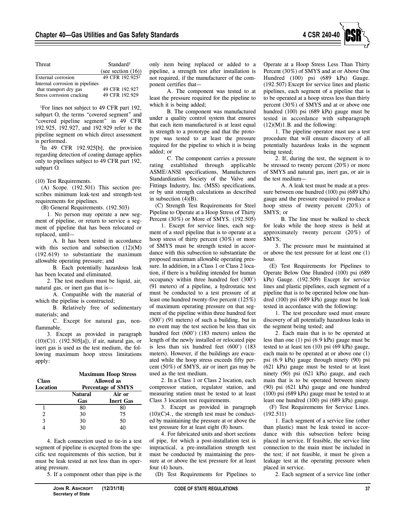

| Threat                          | Standard <sup>1</sup>       |  |
|---------------------------------|-----------------------------|--|
|                                 | (see section $(16)$ )       |  |
| External corrosion              | 49 CFR 192.925 <sup>2</sup> |  |
| Internal corrosion in pipelines |                             |  |
| that transport dry gas          | 49 CFR 192.927              |  |
| Stress corrosion cracking       | 49 CFR 192.929              |  |

<sup>1</sup>For lines not subject to 49 CFR part 192, subpart O, the terms "covered segment" and "covered pipeline segment" in 49 CFR 192.925, 192.927, and 192.929 refer to the pipeline segment on which direct assessment is performed.

2 In 49 CFR 192.925[b], the provision regarding detection of coating damage applies only to pipelines subject to 49 CFR part 192, subpart O.

(10) Test Requirements.

(A) Scope. (192.501) This section prescribes minimum leak-test and strength-test requirements for pipelines.

(B) General Requirements. (192.503)

1. No person may operate a new segment of pipeline, or return to service a segment of pipeline that has been relocated or replaced, until—

A. It has been tested in accordance with this section and subsection  $(12)(M)$ (192.619) to substantiate the maximum allowable operating pressure; and

B. Each potentially hazardous leak has been located and eliminated.

2. The test medium must be liquid, air, natural gas, or inert gas that is—

A. Compatible with the material of which the pipeline is constructed;

B. Relatively free of sedimentary materials; and

C. Except for natural gas, nonflammable.

3. Except as provided in paragraph (10)(C)1. (192.505[a]), if air, natural gas, or inert gas is used as the test medium, the following maximum hoop stress limitations apply:

| <b>Class</b><br>Location | <b>Maximum Hoop Stress</b><br><b>Allowed</b> as<br><b>Percentage of SMYS</b> |                  |
|--------------------------|------------------------------------------------------------------------------|------------------|
|                          | <b>Natural</b>                                                               | Air or           |
|                          | Gas                                                                          | <b>Inert Gas</b> |
|                          | 80                                                                           | 80               |
| $\mathfrak{D}$           | 30                                                                           | 75               |
| 3                        | 30                                                                           | 50               |
|                          | 30                                                                           | 40               |

4. Each connection used to tie-in a test segment of pipeline is excepted from the specific test requirements of this section, but it must be leak tested at not less than its operating pressure.

5. If a component other than pipe is the

A. The component was tested to at least the pressure required for the pipeline to which it is being added;

B. The component was manufactured under a quality control system that ensures that each item manufactured is at least equal in strength to a prototype and that the prototype was tested to at least the pressure required for the pipeline to which it is being added; or

C. The component carries a pressure rating established through applicable ASME/ANSI specifications, Manufacturers Standardization Society of the Valve and Fittings Industry, Inc. (MSS) specifications, or by unit strength calculations as described in subsection  $(4)(B)$ .

(C) Strength Test Requirements for Steel Pipeline to Operate at a Hoop Stress of Thirty Percent (30%) or More of SMYS. (192.505)

1. Except for service lines, each segment of a steel pipeline that is to operate at a hoop stress of thirty percent (30%) or more of SMYS must be strength tested in accordance with this subsection to substantiate the proposed maximum allowable operating pressure. In addition, in a Class 1 or Class 2 location, if there is a building intended for human occupancy within three hundred feet (300') (91 meters) of a pipeline, a hydrostatic test must be conducted to a test pressure of at least one hundred twenty-five percent (125%) of maximum operating pressure on that segment of the pipeline within three hundred feet (300') (91 meters) of such a building, but in no event may the test section be less than six hundred feet (600') (183 meters) unless the length of the newly installed or relocated pipe is less than six hundred feet (600') (183 meters). However, if the buildings are evacuated while the hoop stress exceeds fifty percent (50%) of SMYS, air or inert gas may be used as the test medium.

2. In a Class 1 or Class 2 location, each compressor station, regulator station, and measuring station must be tested to at least Class 3 location test requirements.

3. Except as provided in paragraph  $(10)(C)4$ ., the strength test must be conducted by maintaining the pressure at or above the test pressure for at least eight (8) hours.

4. For fabricated units and short sections of pipe, for which a post-installation test is impractical, a pre-installation strength test must be conducted by maintaining the pressure at or above the test pressure for at least four (4) hours.

(D) Test Requirements for Pipelines to

Operate at a Hoop Stress Less Than Thirty Percent (30%) of SMYS and at or Above One Hundred (100) psi (689 kPa) Gauge. (192.507) Except for service lines and plastic pipelines, each segment of a pipeline that is to be operated at a hoop stress less than thirty percent (30%) of SMYS and at or above one hundred (100) psi (689 kPa) gauge must be tested in accordance with subparagraph  $(12)(M)1.B.$  and the following:

1. The pipeline operator must use a test procedure that will ensure discovery of all potentially hazardous leaks in the segment being tested;

2. If, during the test, the segment is to be stressed to twenty percent (20%) or more of SMYS and natural gas, inert gas, or air is the test medium—

A. A leak test must be made at a pressure between one hundred (100) psi (689 kPa) gauge and the pressure required to produce a hoop stress of twenty percent (20%) of SMYS; or

B. The line must be walked to check for leaks while the hoop stress is held at approximately twenty percent (20%) of SMYS;

3. The pressure must be maintained at or above the test pressure for at least one (1) hour.

(E) Test Requirements for Pipelines to Operate Below One Hundred (100) psi (689 kPa) Gauge. (192.509) Except for service lines and plastic pipelines, each segment of a pipeline that is to be operated below one hundred (100) psi (689 kPa) gauge must be leak tested in accordance with the following:

1. The test procedure used must ensure discovery of all potentially hazardous leaks in the segment being tested; and

2. Each main that is to be operated at less than one (1) psi (6.9 kPa) gauge must be tested to at least ten (10) psi (69 kPa) gauge, each main to be operated at or above one (1) psi (6.9 kPa) gauge through ninety (90) psi (621 kPa) gauge must be tested to at least ninety (90) psi (621 kPa) gauge, and each main that is to be operated between ninety (90) psi (621 kPa) gauge and one hundred (100) psi (689 kPa) gauge must be tested to at least one hundred (100) psi (689 kPa) gauge.

(F) Test Requirements for Service Lines. (192.511)

1. Each segment of a service line (other than plastic) must be leak tested in accordance with this subsection before being placed in service. If feasible, the service line connection to the main must be included in the test; if not feasible, it must be given a leakage test at the operating pressure when placed in service.

2. Each segment of a service line (other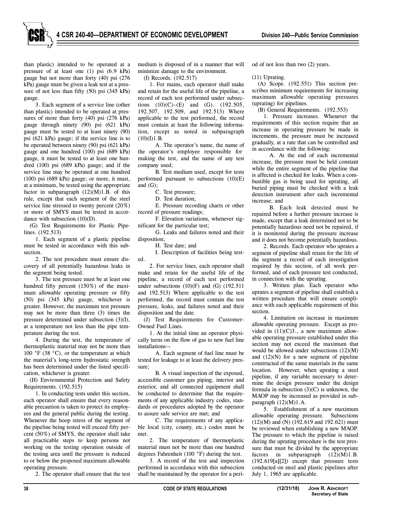than plastic) intended to be operated at a pressure of at least one (1) psi (6.9 kPa) gauge but not more than forty (40) psi (276 kPa) gauge must be given a leak test at a pressure of not less than fifty (50) psi (345 kPa) gauge.

3. Each segment of a service line (other than plastic) intended to be operated at pressures of more than forty (40) psi (276 kPa) gauge through ninety (90) psi (621 kPa) gauge must be tested to at least ninety (90) psi (621 kPa) gauge; if the service line is to be operated between ninety (90) psi (621 kPa) gauge and one hundred (100) psi (689 kPa) gauge, it must be tested to at least one hundred (100) psi (689 kPa) gauge; and if the service line may be operated at one hundred (100) psi (689 kPa) gauge; or more, it must, at a minimum, be tested using the appropriate factor in subparagraph  $(12)(M)1.B.$  of this rule, except that each segment of the steel service line stressed to twenty percent (20%) or more of SMYS must be tested in accordance with subsection (10)(D).

(G) Test Requirements for Plastic Pipelines. (192.513)

1. Each segment of a plastic pipeline must be tested in accordance with this subsection.

2. The test procedure must ensure discovery of all potentially hazardous leaks in the segment being tested.

3. The test pressure must be at least one hundred fifty percent (150%) of the maximum allowable operating pressure or fifty (50) psi (345 kPa) gauge, whichever is greater. However, the maximum test pressure may not be more than three (3) times the pressure determined under subsection (3)(I), at a temperature not less than the pipe temperature during the test.

4. During the test, the temperature of thermoplastic material may not be more than 100 °F (38 °C), or the temperature at which the material's long-term hydrostatic strength has been determined under the listed specification, whichever is greater.

(H) Environmental Protection and Safety Requirements. (192.515)

1. In conducting tests under this section, each operator shall ensure that every reasonable precaution is taken to protect its employees and the general public during the testing. Whenever the hoop stress of the segment of the pipeline being tested will exceed fifty percent (50%) of SMYS, the operator shall take all practicable steps to keep persons not working on the testing operation outside of the testing area until the pressure is reduced to or below the proposed maximum allowable operating pressure.

2. The operator shall ensure that the test

medium is disposed of in a manner that will minimize damage to the environment.

(I) Records. (192.517)

1. For mains, each operator shall make and retain for the useful life of the pipeline, a record of each test performed under subsections  $(10)(C)$ – $(E)$  and  $(G)$ .  $(192.505)$ , 192.507, 192.509, and 192.513) Where applicable to the test performed, the record must contain at least the following information, except as noted in subparagraph  $(10)(I)1.B.$ 

A. The operator's name, the name of the operator's employee responsible for making the test, and the name of any test company used;

B. Test medium used, except for tests performed pursuant to subsections (10)(E) and (G);

C. Test pressure;

D. Test duration;

E. Pressure recording charts or other record of pressure readings;

F. Elevation variations, whenever significant for the particular test;

G. Leaks and failures noted and their disposition;

H. Test date; and

I. Description of facilities being tested.

2. For service lines, each operator shall make and retain for the useful life of the pipeline, a record of each test performed under subsections  $(10)(F)$  and  $(G)$   $(192.511)$ and 192.513) Where applicable to the test performed, the record must contain the test pressure, leaks, and failures noted and their disposition and the date.

(J) Test Requirements for Customer-Owned Fuel Lines.

1. At the initial time an operator physically turns on the flow of gas to new fuel line installations—

A. Each segment of fuel line must be tested for leakage to at least the delivery pressure;

B. A visual inspection of the exposed, accessible customer gas piping, interior and exterior, and all connected equipment shall be conducted to determine that the requirements of any applicable industry codes, standards or procedures adopted by the operator to assure safe service are met; and

C. The requirements of any applicable local (city, county, etc.) codes must be met.

2. The temperature of thermoplastic material must not be more than one hundred degrees Fahrenheit (100 °F) during the test.

3. A record of the test and inspection performed in accordance with this subsection shall be maintained by the operator for a period of not less than two (2) years.

(11) Uprating.

(A) Scope. (192.551) This section prescribes minimum requirements for increasing maximum allowable operating pressures (uprating) for pipelines.

(B) General Requirements. (192.553)

1. Pressure increases. Whenever the requirements of this section require that an increase in operating pressure be made in increments, the pressure must be increased gradually, at a rate that can be controlled and in accordance with the following:

A. At the end of each incremental increase, the pressure must be held constant while the entire segment of the pipeline that is affected is checked for leaks. When a combustible gas is being used for uprating, all buried piping must be checked with a leak detection instrument after each incremental increase; and

B. Each leak detected must be repaired before a further pressure increase is made, except that a leak determined not to be potentially hazardous need not be repaired, if it is monitored during the pressure increase and it does not become potentially hazardous.

2. Records. Each operator who uprates a segment of pipeline shall retain for the life of the segment a record of each investigation required by this section, of all work performed, and of each pressure test conducted, in connection with the uprating.

3. Written plan. Each operator who uprates a segment of pipeline shall establish a written procedure that will ensure compliance with each applicable requirement of this section.

4. Limitation on increase in maximum allowable operating pressure. Except as provided in  $(11)(C)3$ ., a new maximum allowable operating pressure established under this section may not exceed the maximum that would be allowed under subsections (12)(M) and (12)(N) for a new segment of pipeline constructed of the same materials in the same location. However, when uprating a steel pipeline, if any variable necessary to determine the design pressure under the design formula in subsection  $(3)(C)$  is unknown, the MAOP may be increased as provided in subparagraph (12)(M)1.A.

5. Establishment of a new maximum allowable operating pressure. Subsections (12)(M) and (N) (192.619 and 192.621) must be reviewed when establishing a new MAOP. The pressure to which the pipeline is raised during the uprating procedure is the test pressure that must be divided by the appropriate factors in subparagraph  $(12)(M)1.B.$ (192.619[a][2]) except that pressure tests conducted on steel and plastic pipelines after July 1, 1965 are applicable.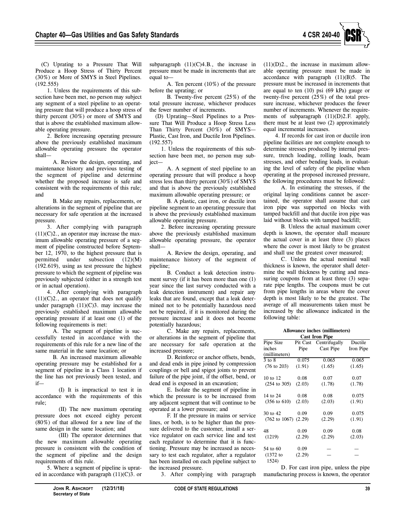

(C) Uprating to a Pressure That Will Produce a Hoop Stress of Thirty Percent (30%) or More of SMYS in Steel Pipelines. (192.555)

1. Unless the requirements of this subsection have been met, no person may subject any segment of a steel pipeline to an operating pressure that will produce a hoop stress of thirty percent (30%) or more of SMYS and that is above the established maximum allowable operating pressure.

2. Before increasing operating pressure above the previously established maximum allowable operating pressure the operator shall—

A. Review the design, operating, and maintenance history and previous testing of the segment of pipeline and determine whether the proposed increase is safe and consistent with the requirements of this rule; and

B. Make any repairs, replacements, or alterations in the segment of pipeline that are necessary for safe operation at the increased pressure.

3. After complying with paragraph  $(11)(C)2$ ., an operator may increase the maximum allowable operating pressure of a segment of pipeline constructed before September 12, 1970, to the highest pressure that is permitted under subsection (12)(M) (192.619), using as test pressure the highest pressure to which the segment of pipeline was previously subjected (either in a strength test or in actual operation).

4. After complying with paragraph  $(11)(C)2$ ., an operator that does not qualify under paragraph  $(11)(C)3$ . may increase the previously established maximum allowable operating pressure if at least one (1) of the following requirements is met:

A. The segment of pipeline is successfully tested in accordance with the requirements of this rule for a new line of the same material in the same location; or

B. An increased maximum allowable operating pressure may be established for a segment of pipeline in a Class 1 location if the line has not previously been tested, and if—

(I) It is impractical to test it in accordance with the requirements of this rule;

(II) The new maximum operating pressure does not exceed eighty percent (80%) of that allowed for a new line of the same design in the same location; and

(III) The operator determines that the new maximum allowable operating pressure is consistent with the condition of the segment of pipeline and the design requirements of this rule.

5. Where a segment of pipeline is uprated in accordance with paragraph  $(11)(C)$ 3. or subparagraph  $(11)(C)4.B.,$  the increase in pressure must be made in increments that are equal to—

A. Ten percent (10%) of the pressure before the uprating; or

B. Twenty-five percent (25%) of the total pressure increase, whichever produces the fewer number of increments.

(D) Uprating—Steel Pipelines to a Pressure That Will Produce a Hoop Stress Less Than Thirty Percent (30%) of SMYS— Plastic, Cast Iron, and Ductile Iron Pipelines. (192.557)

1. Unless the requirements of this subsection have been met, no person may subject—

A. A segment of steel pipeline to an operating pressure that will produce a hoop stress less than thirty percent (30%) of SMYS and that is above the previously established maximum allowable operating pressure; or

B. A plastic, cast iron, or ductile iron pipeline segment to an operating pressure that is above the previously established maximum allowable operating pressure.

2. Before increasing operating pressure above the previously established maximum allowable operating pressure, the operator shall—

A. Review the design, operating, and maintenance history of the segment of pipeline;

B. Conduct a leak detection instrument survey (if it has been more than one (1) year since the last survey conducted with a leak detection instrument) and repair any leaks that are found, except that a leak determined not to be potentially hazardous need not be repaired, if it is monitored during the pressure increase and it does not become potentially hazardous;

C. Make any repairs, replacements, or alterations in the segment of pipeline that are necessary for safe operation at the increased pressure;

D. Reinforce or anchor offsets, bends, and dead ends in pipe joined by compression couplings or bell and spigot joints to prevent failure of the pipe joint, if the offset, bend, or dead end is exposed in an excavation;

E. Isolate the segment of pipeline in which the pressure is to be increased from any adjacent segment that will continue to be operated at a lower pressure; and

F. If the pressure in mains or service lines, or both, is to be higher than the pressure delivered to the customer, install a service regulator on each service line and test each regulator to determine that it is functioning. Pressure may be increased as necessary to test each regulator, after a regulator has been installed on each pipeline subject to the increased pressure.

3. After complying with paragraph

 $(11)(D)2$ ., the increase in maximum allowable operating pressure must be made in accordance with paragraph (11)(B)5. The pressure must be increased in increments that are equal to ten (10) psi (69 kPa) gauge or twenty-five percent (25%) of the total pressure increase, whichever produces the fewer number of increments. Whenever the requirements of subparagraph (11)(D)2.F. apply, there must be at least two (2) approximately equal incremental increases.

4. If records for cast iron or ductile iron pipeline facilities are not complete enough to determine stresses produced by internal pressure, trench loading, rolling loads, beam stresses, and other bending loads, in evaluating the level of safety of the pipeline when operating at the proposed increased pressure, the following procedures must be followed:

A. In estimating the stresses, if the original laying conditions cannot be ascertained, the operator shall assume that cast iron pipe was supported on blocks with tamped backfill and that ductile iron pipe was laid without blocks with tamped backfill;

B. Unless the actual maximum cover depth is known, the operator shall measure the actual cover in at least three (3) places where the cover is most likely to be greatest and shall use the greatest cover measured;

C. Unless the actual nominal wall thickness is known, the operator shall determine the wall thickness by cutting and measuring coupons from at least three (3) separate pipe lengths. The coupons must be cut from pipe lengths in areas where the cover depth is most likely to be the greatest. The average of all measurements taken must be increased by the allowance indicated in the following table:

| Allowance inches (millimeters)    |          |               |           |
|-----------------------------------|----------|---------------|-----------|
| <b>Cast Iron Pipe</b>             |          |               |           |
| Pipe Size                         | Pit Cast | Centrifugally | Ductile   |
| inches                            | Pipe     | Cast Pipe     | Iron Pipe |
| (millimeters)                     |          |               |           |
| $3$ to $8$                        | 0.075    | 0.065         | 0.065     |
| $(76 \text{ to } 203)$            | (1.91)   | (1.65)        | (1.65)    |
| 10 to 12                          | 0.08     | 0.07          | 0.07      |
| $(254 \text{ to } 305)$           | (2.03)   | (1.78)        | (1.78)    |
| 14 to 24                          | 0.08     | 0.08          | 0.075     |
| $(356 \text{ to } 610)$           | (2.03)   | (2.03)        | (1.91)    |
| 30 to 42                          | 0.09     | 0.09          | 0.075     |
| $(762 \text{ to } 1067)$ $(2.29)$ |          | (2.29)        | (1.91)    |
| 48                                | 0.09     | 0.09          | 0.08      |
| (1219)                            | (2.29)   | (2.29)        | (2.03)    |
| 54 to 60                          | 0.09     |               |           |
| $(1372)$ to<br>1524)              | (2.29)   |               |           |

D. For cast iron pipe, unless the pipe manufacturing process is known, the operator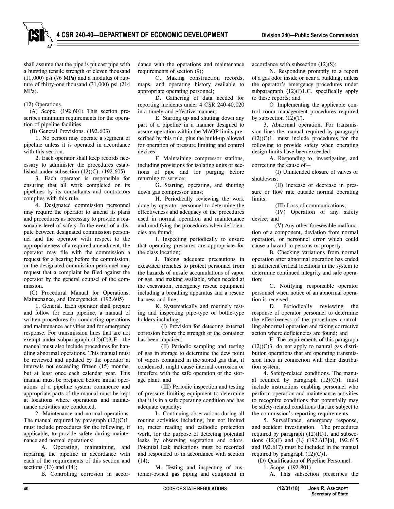

shall assume that the pipe is pit cast pipe with a bursting tensile strength of eleven thousand  $(11,000)$  psi  $(76 \text{ MPa})$  and a modulus of rupture of thirty-one thousand (31,000) psi (214 MPa).

#### (12) Operations.

(A) Scope. (192.601) This section prescribes minimum requirements for the operation of pipeline facilities.

(B) General Provisions. (192.603)

1. No person may operate a segment of pipeline unless it is operated in accordance with this section.

2. Each operator shall keep records necessary to administer the procedures established under subsection  $(12)(C)$ .  $(192.605)$ 

3. Each operator is responsible for ensuring that all work completed on its pipelines by its consultants and contractors complies with this rule.

4. Designated commission personnel may require the operator to amend its plans and procedures as necessary to provide a reasonable level of safety. In the event of a dispute between designated commission personnel and the operator with respect to the appropriateness of a required amendment, the operator may file with the commission a request for a hearing before the commission, or the designated commission personnel may request that a complaint be filed against the operator by the general counsel of the commission.

(C) Procedural Manual for Operations, Maintenance, and Emergencies. (192.605)

1. General. Each operator shall prepare and follow for each pipeline, a manual of written procedures for conducting operations and maintenance activities and for emergency response. For transmission lines that are not exempt under subparagraph (12)(C)3.E., the manual must also include procedures for handling abnormal operations. This manual must be reviewed and updated by the operator at intervals not exceeding fifteen (15) months, but at least once each calendar year. This manual must be prepared before initial operations of a pipeline system commence and appropriate parts of the manual must be kept at locations where operations and maintenance activities are conducted.

2. Maintenance and normal operations. The manual required by paragraph  $(12)(C)1$ . must include procedures for the following, if applicable, to provide safety during maintenance and normal operations:

A. Operating, maintaining, and repairing the pipeline in accordance with each of the requirements of this section and sections  $(13)$  and  $(14)$ ;

B. Controlling corrosion in accor-

dance with the operations and maintenance requirements of section (9);

C. Making construction records, maps, and operating history available to appropriate operating personnel;

D. Gathering of data needed for reporting incidents under 4 CSR 240-40.020 in a timely and effective manner;

E. Starting up and shutting down any part of a pipeline in a manner designed to assure operation within the MAOP limits prescribed by this rule, plus the build-up allowed for operation of pressure limiting and control devices:

F. Maintaining compressor stations, including provisions for isolating units or sections of pipe and for purging before returning to service;

G. Starting, operating, and shutting down gas compressor units;

H. Periodically reviewing the work done by operator personnel to determine the effectiveness and adequacy of the procedures used in normal operation and maintenance and modifying the procedures when deficiencies are found;

I. Inspecting periodically to ensure that operating pressures are appropriate for the class location;

J. Taking adequate precautions in excavated trenches to protect personnel from the hazards of unsafe accumulations of vapor or gas, and making available, when needed at the excavation, emergency rescue equipment including a breathing apparatus and a rescue harness and line;

K. Systematically and routinely testing and inspecting pipe-type or bottle-type holders including:

(I) Provision for detecting external corrosion before the strength of the container has been impaired;

(II) Periodic sampling and testing of gas in storage to determine the dew point of vapors contained in the stored gas that, if condensed, might cause internal corrosion or interfere with the safe operation of the storage plant; and

(III) Periodic inspection and testing of pressure limiting equipment to determine that it is in a safe operating condition and has adequate capacity;

L. Continuing observations during all routine activities including, but not limited to, meter reading and cathodic protection work, for the purpose of detecting potential leaks by observing vegetation and odors. Potential leak indications must be recorded and responded to in accordance with section  $(14)$ ;

M. Testing and inspecting of customer-owned gas piping and equipment in accordance with subsection (12)(S);

N. Responding promptly to a report of a gas odor inside or near a building, unless the operator's emergency procedures under subparagraph  $(12)(J)1.C.$  specifically apply to these reports; and

O. Implementing the applicable control room management procedures required by subsection  $(12)(T)$ .

3. Abnormal operation. For transmission lines the manual required by paragraph  $(12)(C)1$ . must include procedures for the following to provide safety when operating design limits have been exceeded:

A. Responding to, investigating, and correcting the cause of—

(I) Unintended closure of valves or shutdowns;

(II) Increase or decrease in pressure or flow rate outside normal operating limits;

(III) Loss of communications;

(IV) Operation of any safety device; and

(V) Any other foreseeable malfunction of a component, deviation from normal operation, or personnel error which could cause a hazard to persons or property;

B. Checking variations from normal operation after abnormal operation has ended at sufficient critical locations in the system to determine continued integrity and safe operation;

C. Notifying responsible operator personnel when notice of an abnormal operation is received;

D. Periodically reviewing the response of operator personnel to determine the effectiveness of the procedures controlling abnormal operation and taking corrective action where deficiencies are found; and

E. The requirements of this paragraph  $(12)(C)3$ . do not apply to natural gas distribution operations that are operating transmission lines in connection with their distribution system.

4. Safety-related conditions. The manual required by paragraph  $(12)(C)1$ . must include instructions enabling personnel who perform operation and maintenance activities to recognize conditions that potentially may be safety-related conditions that are subject to the commission's reporting requirements.

5. Surveillance, emergency response, and accident investigation. The procedures required by paragraph (12)(H)1. and subsections (12)(J) and (L) (192.613[a], 192.615 and 192.617) must be included in the manual required by paragraph  $(12)(C)1$ .

(D) Qualification of Pipeline Personnel.

1. Scope. (192.801)

A. This subsection prescribes the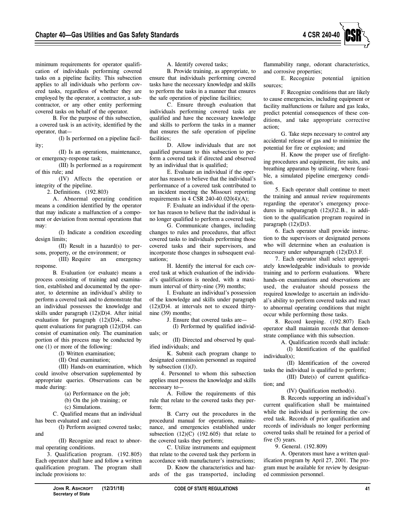

minimum requirements for operator qualification of individuals performing covered tasks on a pipeline facility. This subsection applies to all individuals who perform covered tasks, regardless of whether they are employed by the operator, a contractor, a subcontractor, or any other entity performing covered tasks on behalf of the operator.

B. For the purpose of this subsection, a covered task is an activity, identified by the operator, that—

(I) Is performed on a pipeline facility;

(II) Is an operations, maintenance, or emergency-response task;

(III) Is performed as a requirement of this rule; and

(IV) Affects the operation or integrity of the pipeline.

2. Definitions. (192.803)

A. Abnormal operating condition means a condition identified by the operator that may indicate a malfunction of a component or deviation from normal operations that may:

(I) Indicate a condition exceeding design limits;

(II) Result in a hazard(s) to persons, property, or the environment; or

(III) Require an emergency response.

B. Evaluation (or evaluate) means a process consisting of training and examination, established and documented by the operator, to determine an individual's ability to perform a covered task and to demonstrate that an individual possesses the knowledge and skills under paragraph (12)(D)4. After initial evaluation for paragraph (12)(D)4., subsequent evaluations for paragraph (12)(D)4. can consist of examination only. The examination portion of this process may be conducted by one (1) or more of the following:

(I) Written examination;

(II) Oral examination;

(III) Hands-on examination, which could involve observation supplemented by appropriate queries. Observations can be made during:

(a) Performance on the job;

(b) On the job training; or

(c) Simulations.

C. Qualified means that an individual has been evaluated and can:

(I) Perform assigned covered tasks; and

(II) Recognize and react to abnormal operating conditions.

3. Qualification program. (192.805) Each operator shall have and follow a written qualification program. The program shall include provisions to:

A. Identify covered tasks;

B. Provide training, as appropriate, to ensure that individuals performing covered tasks have the necessary knowledge and skills to perform the tasks in a manner that ensures the safe operation of pipeline facilities;

C. Ensure through evaluation that individuals performing covered tasks are qualified and have the necessary knowledge and skills to perform the tasks in a manner that ensures the safe operation of pipeline facilities;

D. Allow individuals that are not qualified pursuant to this subsection to perform a covered task if directed and observed by an individual that is qualified;

E. Evaluate an individual if the operator has reason to believe that the individual's performance of a covered task contributed to an incident meeting the Missouri reporting requirements in 4 CSR 240-40.020(4)(A);

F. Evaluate an individual if the operator has reason to believe that the individual is no longer qualified to perform a covered task;

G. Communicate changes, including changes to rules and procedures, that affect covered tasks to individuals performing those covered tasks and their supervisors, and incorporate those changes in subsequent evaluations;

H. Identify the interval for each covered task at which evaluation of the individual's qualifications is needed, with a maximum interval of thirty-nine (39) months;

I. Evaluate an individual's possession of the knowledge and skills under paragraph  $(12)(D)4$ . at intervals not to exceed thirtynine (39) months;

J. Ensure that covered tasks are—

(I) Performed by qualified individuals; or

(II) Directed and observed by qualified individuals; and

K. Submit each program change to designated commission personnel as required by subsection  $(1)(J)$ .

4. Personnel to whom this subsection applies must possess the knowledge and skills necessary to—

A. Follow the requirements of this rule that relate to the covered tasks they perform;

B. Carry out the procedures in the procedural manual for operations, maintenance, and emergencies established under subsection  $(12)(C)$   $(192.605)$  that relate to the covered tasks they perform;

C. Utilize instruments and equipment that relate to the covered task they perform in accordance with manufacturer's instructions;

D. Know the characteristics and hazards of the gas transported, including

flammability range, odorant characteristics, and corrosive properties;

E. Recognize potential ignition sources;

F. Recognize conditions that are likely to cause emergencies, including equipment or facility malfunctions or failure and gas leaks, predict potential consequences of these conditions, and take appropriate corrective action;

G. Take steps necessary to control any accidental release of gas and to minimize the potential for fire or explosion; and

H. Know the proper use of firefighting procedures and equipment, fire suits, and breathing apparatus by utilizing, where feasible, a simulated pipeline emergency condition.

5. Each operator shall continue to meet the training and annual review requirements regarding the operator's emergency procedures in subparagraph (12)(J)2.B., in addition to the qualification program required in paragraph  $(12)(D)3$ .

6. Each operator shall provide instruction to the supervisors or designated persons who will determine when an evaluation is necessary under subparagraph (12)(D)3.F.

7. Each operator shall select appropriately knowledgeable individuals to provide training and to perform evaluations. Where hands-on examinations and observations are used, the evaluator should possess the required knowledge to ascertain an individual's ability to perform covered tasks and react to abnormal operating conditions that might occur while performing those tasks.

8. Record keeping. (192.807) Each operator shall maintain records that demonstrate compliance with this subsection.

A. Qualification records shall include:

(I) Identification of the qualified individual(s);

(II) Identification of the covered tasks the individual is qualified to perform;

(III) Date(s) of current qualification; and

(IV) Qualification method(s).

B. Records supporting an individual's current qualification shall be maintained while the individual is performing the covered task. Records of prior qualification and records of individuals no longer performing covered tasks shall be retained for a period of five (5) years.

9. General. (192.809)

A. Operators must have a written qualification program by April 27, 2001. The program must be available for review by designated commission personnel.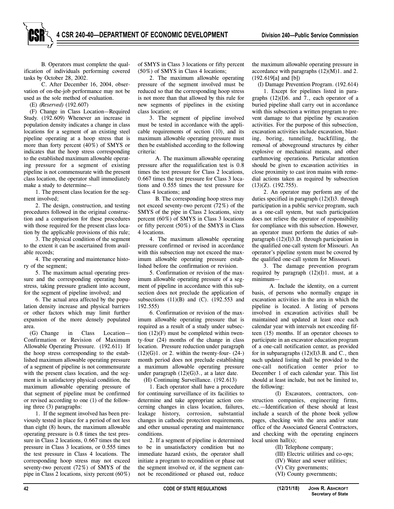B. Operators must complete the qualification of individuals performing covered tasks by October 28, 2002.

C. After December 16, 2004, observation of on-the-job performance may not be used as the sole method of evaluation.

(E) *(Reserved)* (192.607)

(F) Change in Class Location—Required Study. (192.609) Whenever an increase in population density indicates a change in class locations for a segment of an existing steel pipeline operating at a hoop stress that is more than forty percent (40%) of SMYS or indicates that the hoop stress corresponding to the established maximum allowable operating pressure for a segment of existing pipeline is not commensurate with the present class location, the operator shall immediately make a study to determine—

1. The present class location for the segment involved;

2. The design, construction, and testing procedures followed in the original construction and a comparison for these procedures with those required for the present class location by the applicable provisions of this rule;

3. The physical condition of the segment to the extent it can be ascertained from available records;

4. The operating and maintenance history of the segment;

5. The maximum actual operating pressure and the corresponding operating hoop stress, taking pressure gradient into account, for the segment of pipeline involved; and

6. The actual area affected by the population density increase and physical barriers or other factors which may limit further expansion of the more densely populated area.

(G) Change in Class Location— Confirmation or Revision of Maximum Allowable Operating Pressure. (192.611) If the hoop stress corresponding to the established maximum allowable operating pressure of a segment of pipeline is not commensurate with the present class location, and the segment is in satisfactory physical condition, the maximum allowable operating pressure of that segment of pipeline must be confirmed or revised according to one (1) of the following three (3) paragraphs:

1. If the segment involved has been previously tested in place for a period of not less than eight (8) hours, the maximum allowable operating pressure is 0.8 times the test pressure in Class 2 locations, 0.667 times the test pressure in Class 3 locations, or 0.555 times the test pressure in Class 4 locations. The corresponding hoop stress may not exceed seventy-two percent (72%) of SMYS of the pipe in Class 2 locations, sixty percent (60%)

of SMYS in Class 3 locations or fifty percent (50%) of SMYS in Class 4 locations;

2. The maximum allowable operating pressure of the segment involved must be reduced so that the corresponding hoop stress is not more than that allowed by this rule for new segments of pipelines in the existing class location; or

3. The segment of pipeline involved must be tested in accordance with the applicable requirements of section (10), and its maximum allowable operating pressure must then be established according to the following criteria:

A. The maximum allowable operating pressure after the requalification test is 0.8 times the test pressure for Class 2 locations, 0.667 times the test pressure for Class 3 locations and 0.555 times the test pressure for Class 4 locations; and

B. The corresponding hoop stress may not exceed seventy-two percent (72%) of the SMYS of the pipe in Class 2 locations, sixty percent (60%) of SMYS in Class 3 locations or fifty percent (50%) of the SMYS in Class 4 locations.

4. The maximum allowable operating pressure confirmed or revised in accordance with this subsection may not exceed the maximum allowable operating pressure established before the confirmation or revision.

5. Confirmation or revision of the maximum allowable operating pressure of a segment of pipeline in accordance with this subsection does not preclude the application of subsections  $(11)(B)$  and  $(C)$ .  $(192.553$  and  $192.555$ 

6. Confirmation or revision of the maximum allowable operating pressure that is required as a result of a study under subsection (12)(F) must be completed within twenty-four (24) months of the change in class location. Pressure reduction under paragraph  $(12)(G)1$ . or 2. within the twenty-four- $(24-)$ month period does not preclude establishing a maximum allowable operating pressure under paragraph (12)(G)3., at a later date.

(H) Continuing Surveillance. (192.613)

1. Each operator shall have a procedure for continuing surveillance of its facilities to determine and take appropriate action concerning changes in class location, failures, leakage history, corrosion, substantial changes in cathodic protection requirements, and other unusual operating and maintenance conditions.

2. If a segment of pipeline is determined to be in unsatisfactory condition but no immediate hazard exists, the operator shall initiate a program to recondition or phase out the segment involved or, if the segment cannot be reconditioned or phased out, reduce the maximum allowable operating pressure in accordance with paragraphs  $(12)(M)1$ . and 2. (192.619[a] and [b])

(I) Damage Prevention Program. (192.614)

1. Except for pipelines listed in paragraphs (12)(I)6. and 7., each operator of a buried pipeline shall carry out in accordance with this subsection a written program to prevent damage to that pipeline by excavation activities. For the purpose of this subsection, excavation activities include excavation, blasting, boring, tunneling, backfilling, the removal of aboveground structures by either explosive or mechanical means, and other earthmoving operations. Particular attention should be given to excavation activities in close proximity to cast iron mains with remedial actions taken as required by subsection (13)(Z). (192.755).

2. An operator may perform any of the duties specified in paragraph (12)(I)3. through participation in a public service program, such as a one-call system, but such participation does not relieve the operator of responsibility for compliance with this subsection. However, an operator must perform the duties of subparagraph (12)(I)3.D. through participation in the qualified one-call system for Missouri. An operator's pipeline system must be covered by the qualified one-call system for Missouri.

3. The damage prevention program required by paragraph  $(12)(I)1$ . must, at a minimum—

A. Include the identity, on a current basis, of persons who normally engage in excavation activities in the area in which the pipeline is located. A listing of persons involved in excavation activities shall be maintained and updated at least once each calendar year with intervals not exceeding fifteen (15) months. If an operator chooses to participate in an excavator education program of a one-call notification center, as provided for in subparagraphs  $(12)(I)3.B.$  and C., then such updated listing shall be provided to the one-call notification center prior to December 1 of each calendar year. This list should at least include, but not be limited to, the following:

(I) Excavators, contractors, construction companies, engineering firms, etc.—Identification of these should at least include a search of the phone book yellow pages, checking with the area and/or state office of the Associated General Contractors, and checking with the operating engineers local union hall(s);

(II) Telephone company;

- (III) Electric utilities and co-ops;
- (IV) Water and sewer utilities;
- (V) City governments;
- (VI) County governments;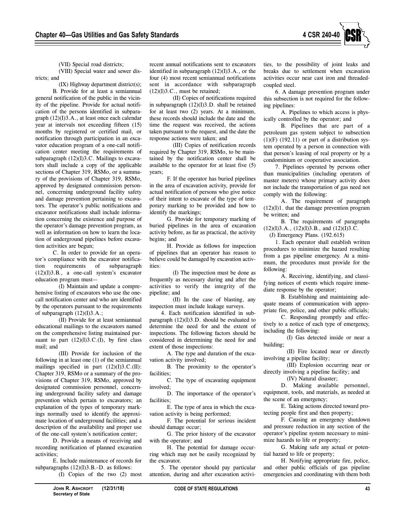

(VII) Special road districts;

(VIII) Special water and sewer districts; and

(IX) Highway department district(s); B. Provide for at least a semiannual general notification of the public in the vicinity of the pipeline. Provide for actual notification of the persons identified in subparagraph (12)(I)3.A., at least once each calendar year at intervals not exceeding fifteen (15) months by registered or certified mail, or notification through participation in an excavator education program of a one-call notification center meeting the requirements of subparagraph (12)(I)3.C. Mailings to excavators shall include a copy of the applicable sections of Chapter 319, RSMo, or a summary of the provisions of Chapter 319, RSMo, approved by designated commission personnel, concerning underground facility safety and damage prevention pertaining to excavators. The operator's public notifications and excavator notifications shall include information concerning the existence and purpose of the operator's damage prevention program, as well as information on how to learn the location of underground pipelines before excavation activities are begun;

C. In order to provide for an operator's compliance with the excavator notification requirements of subparagraph (12)(I)3.B., a one-call system's excavator education program must—

(I) Maintain and update a comprehensive listing of excavators who use the onecall notification center and who are identified by the operators pursuant to the requirements of subparagraph  $(12)(I)3.A.;$ 

(II) Provide for at least semiannual educational mailings to the excavators named on the comprehensive listing maintained pursuant to part  $(12)(I)3.C.(I)$ , by first class mail; and

(III) Provide for inclusion of the following in at least one (1) of the semiannual mailings specified in part  $(12)(I)3.C.(II)$ : Chapter 319, RSMo or a summary of the provisions of Chapter 319, RSMo, approved by designated commission personnel, concerning underground facility safety and damage prevention which pertain to excavators; an explanation of the types of temporary markings normally used to identify the approximate location of underground facilities; and a description of the availability and proper use of the one-call system's notification center;

D. Provide a means of receiving and recording notification of planned excavation activities;

E. Include maintenance of records for subparagraphs  $(12)(I)3.B.-D$ . as follows: (I) Copies of the two (2) most

recent annual notifications sent to excavators identified in subparagraph (12)(I)3.A., or the four (4) most recent semiannual notifications sent in accordance with subparagraph  $(12)(I)3.C.,$  must be retained;

(II) Copies of notifications required in subparagraph (12)(I)3.D. shall be retained for at least two (2) years. At a minimum, these records should include the date and the time the request was received, the actions taken pursuant to the request, and the date the response actions were taken; and

(III) Copies of notification records required by Chapter 319, RSMo, to be maintained by the notification center shall be available to the operator for at least five (5) years;

F. If the operator has buried pipelines in the area of excavation activity, provide for actual notification of persons who give notice of their intent to excavate of the type of temporary marking to be provided and how to identify the markings;

G. Provide for temporary marking of buried pipelines in the area of excavation activity before, as far as practical, the activity begins; and

H. Provide as follows for inspection of pipelines that an operator has reason to believe could be damaged by excavation activities:

(I) The inspection must be done as frequently as necessary during and after the activities to verify the integrity of the pipeline; and

(II) In the case of blasting, any inspection must include leakage surveys.

4. Each notification identified in subparagraph (12)(I)3.D. should be evaluated to determine the need for and the extent of inspections. The following factors should be considered in determining the need for and extent of those inspections:

A. The type and duration of the excavation activity involved;

B. The proximity to the operator's facilities:

C. The type of excavating equipment involved;

D. The importance of the operator's facilities;

E. The type of area in which the excavation activity is being performed;

F. The potential for serious incident should damage occur;

G. The prior history of the excavator with the operator; and

H. The potential for damage occurring which may not be easily recognized by the excavator.

5. The operator should pay particular attention, during and after excavation activities, to the possibility of joint leaks and breaks due to settlement when excavation activities occur near cast iron and threadedcoupled steel.

6. A damage prevention program under this subsection is not required for the following pipelines:

A. Pipelines to which access is physically controlled by the operator; and

B. Pipelines that are part of a petroleum gas system subject to subsection  $(1)(F)$   $(192.11)$  or part of a distribution system operated by a person in connection with that person's leasing of real property or by a condominium or cooperative association.

7. Pipelines operated by persons other than municipalities (including operators of master meters) whose primary activity does not include the transportation of gas need not comply with the following:

A. The requirement of paragraph  $(12)(I)1$ . that the damage prevention program be written; and

B. The requirements of paragraphs  $(12)(I)3.A., (12)(I)3.B., and (12)(I)3.C.$ 

(J) Emergency Plans. (192.615)

1. Each operator shall establish written procedures to minimize the hazard resulting from a gas pipeline emergency. At a minimum, the procedures must provide for the following:

A. Receiving, identifying, and classifying notices of events which require immediate response by the operator;

B. Establishing and maintaining adequate means of communication with appropriate fire, police, and other public officials;

C. Responding promptly and effectively to a notice of each type of emergency, including the following:

(I) Gas detected inside or near a building;

(II) Fire located near or directly involving a pipeline facility;

(III) Explosion occurring near or directly involving a pipeline facility; and

(IV) Natural disaster;

D. Making available personnel, equipment, tools, and materials, as needed at the scene of an emergency;

E. Taking actions directed toward protecting people first and then property;

F. Causing an emergency shutdown and pressure reduction in any section of the operator's pipeline system necessary to minimize hazards to life or property;

G. Making safe any actual or potential hazard to life or property;

H. Notifying appropriate fire, police, and other public officials of gas pipeline emergencies and coordinating with them both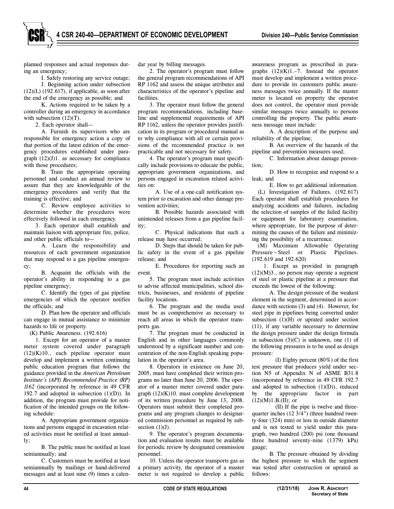planned responses and actual responses during an emergency;

I. Safely restoring any service outage; J. Beginning action under subsection  $(12)(L)$  (192.617), if applicable, as soon after the end of the emergency as possible; and

K. Actions required to be taken by a controller during an emergency in accordance with subsection  $(12)(T)$ .

2. Each operator shall—

A. Furnish its supervisors who are responsible for emergency action a copy of that portion of the latest edition of the emergency procedures established under paragraph (12)(J)1. as necessary for compliance with those procedures;

B. Train the appropriate operating personnel and conduct an annual review to assure that they are knowledgeable of the emergency procedures and verify that the training is effective; and

C. Review employee activities to determine whether the procedures were effectively followed in each emergency.

3. Each operator shall establish and maintain liaison with appropriate fire, police, and other public officials to—

A. Learn the responsibility and resources of each government organization that may respond to a gas pipeline emergency;

B. Acquaint the officials with the operator's ability in responding to a gas pipeline emergency;

C. Identify the types of gas pipeline emergencies of which the operator notifies the officials; and

D. Plan how the operator and officials can engage in mutual assistance to minimize hazards to life or property.

(K) Public Awareness. (192.616)

1. Except for an operator of a master meter system covered under paragraph (12)(K)10., each pipeline operator must develop and implement a written continuing public education program that follows the guidance provided in the *American Petroleum Institute's (API) Recommended Practice (RP) 1162* (incorporated by reference in 49 CFR 192.7 and adopted in subsection  $(1)(D)$ ). In addition, the program must provide for notification of the intended groups on the following schedule:

A. Appropriate government organizations and persons engaged in excavation related activities must be notified at least annually;

B. The public must be notified at least semiannually; and

C. Customers must be notified at least semiannually by mailings or hand-delivered messages and at least nine (9) times a calendar year by billing messages.

2. The operator's program must follow the general program recommendations of API RP 1162 and assess the unique attributes and characteristics of the operator's pipeline and facilities.

3. The operator must follow the general program recommendations, including baseline and supplemental requirements of API RP 1162, unless the operator provides justification in its program or procedural manual as to why compliance with all or certain provisions of the recommended practice is not practicable and not necessary for safety.

4. The operator's program must specifically include provisions to educate the public, appropriate government organizations, and persons engaged in excavation related activities on:

A. Use of a one-call notification system prior to excavation and other damage prevention activities;

B. Possible hazards associated with unintended releases from a gas pipeline facility;

C. Physical indications that such a release may have occurred;

D. Steps that should be taken for public safety in the event of a gas pipeline release; and

E. Procedures for reporting such an event.

5. The program must include activities to advise affected municipalities, school districts, businesses, and residents of pipeline facility locations.

6. The program and the media used must be as comprehensive as necessary to reach all areas in which the operator transports gas.

7. The program must be conducted in English and in other languages commonly understood by a significant number and concentration of the non-English speaking population in the operator's area.

8. Operators in existence on June 20, 2005, must have completed their written programs no later than June 20, 2006. The operator of a master meter covered under paragraph (12)(K)10. must complete development of its written procedure by June 13, 2008. Operators must submit their completed programs and any program changes to designated commission personnel as required by subsection  $(1)(J)$ .

9. The operator's program documentation and evaluation results must be available for periodic review by designated commission personnel.

10. Unless the operator transports gas as a primary activity, the operator of a master meter is not required to develop a public

awareness program as prescribed in paragraphs  $(12)(K)1$ .–7. Instead the operator must develop and implement a written procedure to provide its customers public awareness messages twice annually. If the master meter is located on property the operator does not control, the operator must provide similar messages twice annually to persons controlling the property. The public awareness message must include:

A. A description of the purpose and reliability of the pipeline;

B. An overview of the hazards of the pipeline and prevention measures used;

C. Information about damage prevention;

D. How to recognize and respond to a leak; and

E. How to get additional information.

(L) Investigation of Failures. (192.617) Each operator shall establish procedures for analyzing accidents and failures, including the selection of samples of the failed facility or equipment for laboratory examination, where appropriate, for the purpose of determining the causes of the failure and minimizing the possibility of a recurrence.

(M) Maximum Allowable Operating Pressure−Steel or Plastic Pipelines. (192.619 and 192.620)

1. Except as provided in paragraph  $(12)(M)3$ ., no person may operate a segment of steel or plastic pipeline at a pressure that exceeds the lowest of the following:

A. The design pressure of the weakest element in the segment, determined in accordance with sections (3) and (4). However, for steel pipe in pipelines being converted under subsection  $(1)(H)$  or uprated under section (11), if any variable necessary to determine the design pressure under the design formula in subsection  $(3)(C)$  is unknown, one  $(1)$  of the following pressures is to be used as design pressure:

(I) Eighty percent (80%) of the first test pressure that produces yield under section N5 of Appendix N of ASME B31.8 (incorporated by reference in 49 CFR 192.7 and adopted in subsection  $(1)(D)$ , reduced by the appropriate factor in part  $(12)(M)1.B.(II);$  or

(II) If the pipe is twelve and threequarter inches (12 3/4") (three hundred twenty-four (324) mm) or less in outside diameter and is not tested to yield under this paragraph, two hundred (200) psi (one thousand three hundred seventy-nine (1379) kPa) gauge;

B. The pressure obtained by dividing the highest pressure to which the segment was tested after construction or uprated as follows: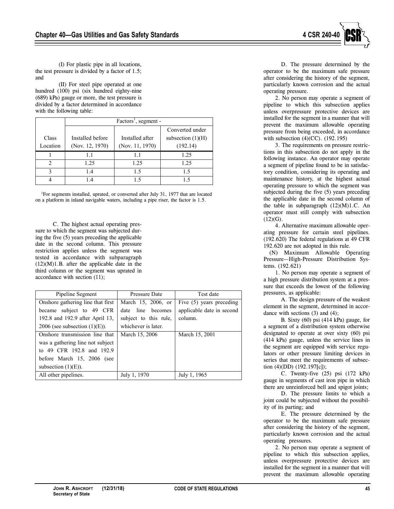

(I) For plastic pipe in all locations, the test pressure is divided by a factor of 1.5; and

(II) For steel pipe operated at one hundred (100) psi (six hundred eighty-nine (689) kPa) gauge or more, the test pressure is divided by a factor determined in accordance with the following table:

|               | Factors <sup>1</sup> , segment - |                 |                     |
|---------------|----------------------------------|-----------------|---------------------|
|               |                                  |                 | Converted under     |
| Class         | Installed before                 | Installed after | subsection $(1)(H)$ |
| Location      | (Nov. 12, 1970)                  | (Nov. 11, 1970) | (192.14)            |
|               |                                  |                 | 1.25                |
| $\mathcal{D}$ | 1.25                             | 1.25            | 1.25                |
| 3             | 1.4                              | 1.5             | 1.5                 |
|               |                                  |                 |                     |

<sup>1</sup>For segments installed, uprated, or converted after July 31, 1977 that are located on a platform in inland navigable waters, including a pipe riser, the factor is 1.5.

C. The highest actual operating pressure to which the segment was subjected during the five (5) years preceding the applicable date in the second column. This pressure restriction applies unless the segment was tested in accordance with subparagraph  $(12)(M)1.B.$  after the applicable date in the third column or the segment was uprated in accordance with section (11);

| Pipeline Segment                  | <b>Pressure Date</b>  | Test date                 |
|-----------------------------------|-----------------------|---------------------------|
| Onshore gathering line that first | March 15, 2006, or    | Five (5) years preceding  |
| became subject to 49 CFR          | date line becomes     | applicable date in second |
| 192.8 and 192.9 after April 13,   | subject to this rule, | column.                   |
| 2006 (see subsection $(1)(E)$ ).  | whichever is later.   |                           |
| Onshore transmission line that    | March 15, 2006        | March 15, 2001            |
| was a gathering line not subject  |                       |                           |
| to 49 CFR 192.8 and 192.9         |                       |                           |
| before March 15, 2006 (see        |                       |                           |
| subsection $(1)(E)$ ).            |                       |                           |
| All other pipelines.              | July 1, 1970          | July 1, 1965              |

D. The pressure determined by the operator to be the maximum safe pressure after considering the history of the segment, particularly known corrosion and the actual operating pressure.

2. No person may operate a segment of pipeline to which this subsection applies unless overpressure protective devices are installed for the segment in a manner that will prevent the maximum allowable operating pressure from being exceeded, in accordance with subsection (4)(CC). (192.195)

3. The requirements on pressure restrictions in this subsection do not apply in the following instance. An operator may operate a segment of pipeline found to be in satisfactory condition, considering its operating and maintenance history, at the highest actual operating pressure to which the segment was subjected during the five (5) years preceding the applicable date in the second column of the table in subparagraph  $(12)(M)1.C.$  An operator must still comply with subsection  $(12)(G)$ .

4. Alternative maximum allowable operating pressure for certain steel pipelines. (192.620) The federal regulations at 49 CFR 192.620 are not adopted in this rule.

(N) Maximum Allowable Operating Pressure—High-Pressure Distribution Systems. (192.621)

1. No person may operate a segment of a high pressure distribution system at a pressure that exceeds the lowest of the following pressures, as applicable:

A. The design pressure of the weakest element in the segment, determined in accordance with sections  $(3)$  and  $(4)$ ;

B. Sixty (60) psi (414 kPa) gauge, for a segment of a distribution system otherwise designated to operate at over sixty (60) psi (414 kPa) gauge, unless the service lines in the segment are equipped with service regulators or other pressure limiting devices in series that meet the requirements of subsection (4)(DD) (192.197[c]);

C. Twenty-five (25) psi (172 kPa) gauge in segments of cast iron pipe in which there are unreinforced bell and spigot joints;

D. The pressure limits to which a joint could be subjected without the possibility of its parting; and

E. The pressure determined by the operator to be the maximum safe pressure after considering the history of the segment, particularly known corrosion and the actual operating pressures.

2. No person may operate a segment of pipeline to which this subsection applies, unless overpressure protective devices are installed for the segment in a manner that will prevent the maximum allowable operating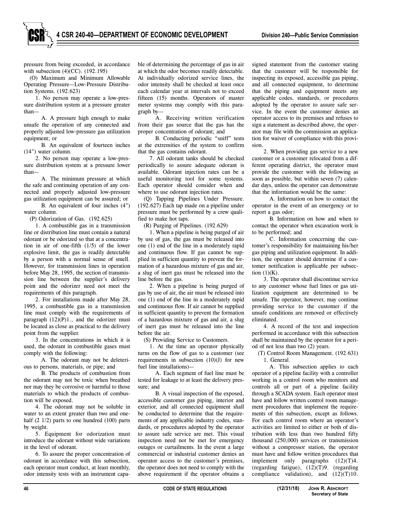pressure from being exceeded, in accordance with subsection (4)(CC). (192.195)

(O) Maximum and Minimum Allowable Operating Pressure—Low-Pressure Distribution Systems. (192.623)

1. No person may operate a low-pressure distribution system at a pressure greater than—

A. A pressure high enough to make unsafe the operation of any connected and properly adjusted low-pressure gas utilization equipment; or

B. An equivalent of fourteen inches (14") water column.

2. No person may operate a low-pressure distribution system at a pressure lower than—

A. The minimum pressure at which the safe and continuing operation of any connected and properly adjusted low-pressure gas utilization equipment can be assured; or

B. An equivalent of four inches (4") water column.

(P) Odorization of Gas. (192.625)

1. A combustible gas in a transmission line or distribution line must contain a natural odorant or be odorized so that at a concentration in air of one-fifth (1/5) of the lower explosive limit, the gas is readily detectable by a person with a normal sense of smell. However, for transmission lines in operation before May 28, 1995, the section of transmission line between the supplier's delivery point and the odorizer need not meet the requirements of this paragraph.

2. For installations made after May 28, 1995, a combustible gas in a transmission line must comply with the requirements of paragraph (12)(P)1., and the odorizer must be located as close as practical to the delivery point from the supplier.

3. In the concentrations in which it is used, the odorant in combustible gases must comply with the following:

A. The odorant may not be deleterious to persons, materials, or pipe; and

B. The products of combustion from the odorant may not be toxic when breathed nor may they be corrosive or harmful to those materials to which the products of combustion will be exposed.

4. The odorant may not be soluble in water to an extent greater than two and onehalf (2 1/2) parts to one hundred (100) parts by weight.

5. Equipment for odorization must introduce the odorant without wide variations in the level of odorant.

6. To assure the proper concentration of odorant in accordance with this subsection, each operator must conduct, at least monthly, odor intensity tests with an instrument capable of determining the percentage of gas in air at which the odor becomes readily detectable. At individually odorized service lines, the odor intensity shall be checked at least once each calendar year at intervals not to exceed fifteen (15) months. Operators of master meter systems may comply with this paragraph by—

A. Receiving written verification from their gas source that the gas has the proper concentration of odorant; and

B. Conducting periodic "sniff" tests at the extremities of the system to confirm that the gas contains odorant.

7. All odorant tanks should be checked periodically to assure adequate odorant is available. Odorant injection rates can be a useful monitoring tool for some systems. Each operator should consider when and where to use odorant injection rates.

(Q) Tapping Pipelines Under Pressure. (192.627) Each tap made on a pipeline under pressure must be performed by a crew qualified to make hot taps.

(R) Purging of Pipelines. (192.629)

1. When a pipeline is being purged of air by use of gas, the gas must be released into one (1) end of the line in a moderately rapid and continuous flow. If gas cannot be supplied in sufficient quantity to prevent the formation of a hazardous mixture of gas and air, a slug of inert gas must be released into the line before the gas.

2. When a pipeline is being purged of gas by use of air, the air must be released into one (1) end of the line in a moderately rapid and continuous flow. If air cannot be supplied in sufficient quantity to prevent the formation of a hazardous mixture of gas and air, a slug of inert gas must be released into the line before the air.

(S) Providing Service to Customers.

1. At the time an operator physically turns on the flow of gas to a customer (see requirements in subsection  $(10)(J)$  for new fuel line installations)—

A. Each segment of fuel line must be tested for leakage to at least the delivery pressure; and

B. A visual inspection of the exposed, accessible customer gas piping, interior and exterior, and all connected equipment shall be conducted to determine that the requirements of any applicable industry codes, standards, or procedures adopted by the operator to assure safe service are met. This visual inspection need not be met for emergency outages or curtailments. In the event a large commercial or industrial customer denies an operator access to the customer's premises, the operator does not need to comply with the above requirement if the operator obtains a

signed statement from the customer stating that the customer will be responsible for inspecting its exposed, accessible gas piping, and all connected equipment, to determine that the piping and equipment meets any applicable codes, standards, or procedures adopted by the operator to assure safe service. In the event the customer denies an operator access to its premises and refuses to sign a statement as described above, the operator may file with the commission an application for waiver of compliance with this provision.

2. When providing gas service to a new customer or a customer relocated from a different operating district, the operator must provide the customer with the following as soon as possible, but within seven (7) calendar days, unless the operator can demonstrate that the information would be the same:

A. Information on how to contact the operator in the event of an emergency or to report a gas odor;

B. Information on how and when to contact the operator when excavation work is to be performed; and

C. Information concerning the customer's responsibility for maintaining his/her gas piping and utilization equipment. In addition, the operator should determine if a customer notification is applicable per subsection  $(1)(K)$ .

3. The operator shall discontinue service to any customer whose fuel lines or gas utilization equipment are determined to be unsafe. The operator, however, may continue providing service to the customer if the unsafe conditions are removed or effectively eliminated.

4. A record of the test and inspection performed in accordance with this subsection shall be maintained by the operator for a period of not less than two (2) years.

(T) Control Room Management. (192.631) 1. General.

A. This subsection applies to each operator of a pipeline facility with a controller working in a control room who monitors and controls all or part of a pipeline facility through a SCADA system. Each operator must have and follow written control room management procedures that implement the requirements of this subsection, except as follows. For each control room where an operator's activities are limited to either or both of distribution with less than two hundred fifty thousand (250,000) services or transmission without a compressor station, the operator must have and follow written procedures that implement only paragraphs (12)(T)4. (regarding fatigue), (12)(T)9. (regarding compliance validation), and  $(12)(T)10$ .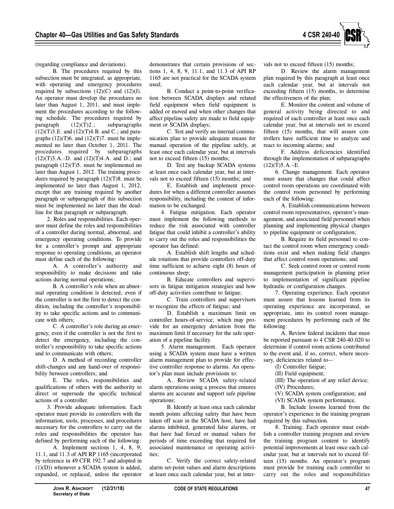

(regarding compliance and deviations).

B. The procedures required by this subsection must be integrated, as appropriate, with operating and emergency procedures required by subsections  $(12)(C)$  and  $(12)(J)$ . An operator must develop the procedures no later than August 1, 2011, and must implement the procedures according to the following schedule. The procedures required by paragraph  $(12)(T)2$ .; subparagraphs  $(12)(T)$ 3.E. and  $(12)(T)$ 4.B. and C.; and paragraphs  $(12)(T)$ 6. and  $(12)(T)$ 7. must be implemented no later than October 1, 2011. The procedures required by subparagraphs (12)(T)3.A.–D. and (12)(T)4.A. and D.; and paragraph (12)(T)5. must be implemented no later than August 1, 2012. The training procedures required by paragraph  $(12)(T)8$ . must be implemented no later than August 1, 2012, except that any training required by another paragraph or subparagraph of this subsection must be implemented no later than the deadline for that paragraph or subparagraph.

2. Roles and responsibilities. Each operator must define the roles and responsibilities of a controller during normal, abnormal, and emergency operating conditions. To provide for a controller's prompt and appropriate response to operating conditions, an operator must define each of the following:

A. A controller's authority and responsibility to make decisions and take actions during normal operations;

B. A controller's role when an abnormal operating condition is detected, even if the controller is not the first to detect the condition, including the controller's responsibility to take specific actions and to communicate with others;

C. A controller's role during an emergency, even if the controller is not the first to detect the emergency, including the controller's responsibility to take specific actions and to communicate with others;

D. A method of recording controller shift-changes and any hand-over of responsibility between controllers; and

E. The roles, responsibilities and qualifications of others with the authority to direct or supersede the specific technical actions of a controller.

3. Provide adequate information. Each operator must provide its controllers with the information, tools, processes, and procedures necessary for the controllers to carry out the roles and responsibilities the operator has defined by performing each of the following:

A. Implement sections 1, 4, 8, 9, 11.1, and 11.3 of API RP 1165 (incorporated by reference in 49 CFR 192.7 and adopted in  $(1)(D)$ ) whenever a SCADA system is added, expanded, or replaced, unless the operator

demonstrates that certain provisions of sections 1, 4, 8, 9, 11.1, and 11.3 of API RP 1165 are not practical for the SCADA system used;

B. Conduct a point-to-point verification between SCADA displays and related field equipment when field equipment is added or moved and when other changes that affect pipeline safety are made to field equipment or SCADA displays;

C. Test and verify an internal communication plan to provide adequate means for manual operation of the pipeline safely, at least once each calendar year, but at intervals not to exceed fifteen (15) months;

D. Test any backup SCADA systems at least once each calendar year, but at intervals not to exceed fifteen (15) months; and

E. Establish and implement procedures for when a different controller assumes responsibility, including the content of information to be exchanged.

4. Fatigue mitigation. Each operator must implement the following methods to reduce the risk associated with controller fatigue that could inhibit a controller's ability to carry out the roles and responsibilities the operator has defined:

A. Establish shift lengths and schedule rotations that provide controllers off-duty time sufficient to achieve eight (8) hours of continuous sleep;

B. Educate controllers and supervisors in fatigue mitigation strategies and how off-duty activities contribute to fatigue;

C. Train controllers and supervisors to recognize the effects of fatigue; and

D. Establish a maximum limit on controller hours-of-service, which may provide for an emergency deviation from the maximum limit if necessary for the safe operation of a pipeline facility.

5. Alarm management. Each operator using a SCADA system must have a written alarm management plan to provide for effective controller response to alarms. An operator's plan must include provisions to:

A. Review SCADA safety-related alarm operations using a process that ensures alarms are accurate and support safe pipeline operations;

B. Identify at least once each calendar month points affecting safety that have been taken off scan in the SCADA host, have had alarms inhibited, generated false alarms, or that have had forced or manual values for periods of time exceeding that required for associated maintenance or operating activities;

C. Verify the correct safety-related alarm set-point values and alarm descriptions at least once each calendar year, but at intervals not to exceed fifteen (15) months;

D. Review the alarm management plan required by this paragraph at least once each calendar year, but at intervals not exceeding fifteen (15) months, to determine the effectiveness of the plan;

E. Monitor the content and volume of general activity being directed to and required of each controller at least once each calendar year, but at intervals not to exceed fifteen (15) months, that will assure controllers have sufficient time to analyze and react to incoming alarms; and

F. Address deficiencies identified through the implementation of subparagraphs  $(12)(T)5.A.-E.$ 

6. Change management. Each operator must assure that changes that could affect control room operations are coordinated with the control room personnel by performing each of the following:

A. Establish communications between control room representatives, operator's management, and associated field personnel when planning and implementing physical changes to pipeline equipment or configuration;

B. Require its field personnel to contact the control room when emergency conditions exist and when making field changes that affect control room operations; and

C. Seek control room or control room management participation in planning prior to implementation of significant pipeline hydraulic or configuration changes.

7. Operating experience. Each operator must assure that lessons learned from its operating experience are incorporated, as appropriate, into its control room management procedures by performing each of the following:

A. Review federal incidents that must be reported pursuant to 4 CSR 240-40.020 to determine if control room actions contributed to the event and, if so, correct, where necessary, deficiencies related to—

(I) Controller fatigue;

(II) Field equipment;

(III) The operation of any relief device;

(IV) Procedures;

(V) SCADA system configuration; and

(VI) SCADA system performance.

B. Include lessons learned from the operator's experience in the training program required by this subsection.

8. Training. Each operator must establish a controller training program and review the training program content to identify potential improvements at least once each calendar year, but at intervals not to exceed fifteen (15) months. An operator's program must provide for training each controller to carry out the roles and responsibilities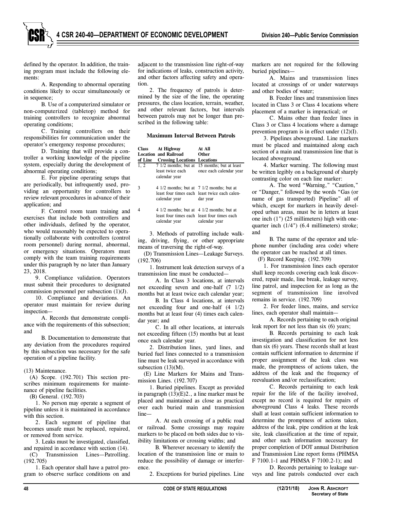defined by the operator. In addition, the training program must include the following elements:

A. Responding to abnormal operating conditions likely to occur simultaneously or in sequence;

B. Use of a computerized simulator or non-computerized (tabletop) method for training controllers to recognize abnormal operating conditions;

C. Training controllers on their responsibilities for communication under the operator's emergency response procedures;

D. Training that will provide a controller a working knowledge of the pipeline system, especially during the development of abnormal operating conditions;

E. For pipeline operating setups that are periodically, but infrequently used, providing an opportunity for controllers to review relevant procedures in advance of their application; and

F. Control room team training and exercises that include both controllers and other individuals, defined by the operator, who would reasonably be expected to operationally collaborate with controllers (control room personnel) during normal, abnormal, or emergency situations. Operators must comply with the team training requirements under this paragraph by no later than January 23, 2018.

9. Compliance validation. Operators must submit their procedures to designated commission personnel per subsection (1)(J).

10. Compliance and deviations. An operator must maintain for review during inspection—

A. Records that demonstrate compliance with the requirements of this subsection; and

B. Documentation to demonstrate that any deviation from the procedures required by this subsection was necessary for the safe operation of a pipeline facility.

(13) Maintenance.

(A) Scope. (192.701) This section prescribes minimum requirements for maintenance of pipeline facilities.

(B) General. (192.703)

1. No person may operate a segment of pipeline unless it is maintained in accordance with this section.

2. Each segment of pipeline that becomes unsafe must be replaced, repaired, or removed from service.

3. Leaks must be investigated, classified, and repaired in accordance with section (14).

(C) Transmission Lines—Patrolling. (192.705)

1. Each operator shall have a patrol program to observe surface conditions on and adjacent to the transmission line right-of-way for indications of leaks, construction activity, and other factors affecting safety and operation.

2. The frequency of patrols is determined by the size of the line, the operating pressures, the class location, terrain, weather, and other relevant factors, but intervals between patrols may not be longer than prescribed in the following table:

#### **Maximum Interval Between Patrols**

| Class<br>of Line | At Highway<br><b>Location and Railroad</b><br><b>Crossing Locations Locations</b>                           | At All<br><b>Other</b>                                                  |
|------------------|-------------------------------------------------------------------------------------------------------------|-------------------------------------------------------------------------|
| 1, 2             | least twice each<br>calendar year                                                                           | 7 1/2 months; but at 15 months; but at least<br>once each calendar year |
| 3                | 4 $1/2$ months; but at 7 $1/2$ months; but at<br>calendar year                                              | least four times each least twice each calen-<br>dar year               |
| 4                | $41/2$ months; but at $41/2$ months; but at<br>least four times each least four times each<br>calendar year | calendar year                                                           |

3. Methods of patrolling include walking, driving, flying, or other appropriate means of traversing the right-of-way.

(D) Transmission Lines—Leakage Surveys. (192.706)

1. Instrument leak detection surveys of a transmission line must be conducted—

A. In Class 3 locations, at intervals not exceeding seven and one-half (7 1/2) months but at least twice each calendar year;

B. In Class 4 locations, at intervals not exceeding four and one-half (4 1/2) months but at least four (4) times each calendar year; and

C. In all other locations, at intervals not exceeding fifteen (15) months but at least once each calendar year.

2. Distribution lines, yard lines, and buried fuel lines connected to a transmission line must be leak surveyed in accordance with subsection  $(13)(M)$ .

(E) Line Markers for Mains and Transmission Lines. (192.707)

1. Buried pipelines. Except as provided in paragraph (13)(E)2., a line marker must be placed and maintained as close as practical over each buried main and transmission line—

A. At each crossing of a public road or railroad. Some crossings may require markers to be placed on both sides due to visibility limitations or crossing widths; and

B. Wherever necessary to identify the location of the transmission line or main to reduce the possibility of damage or interference.

2. Exceptions for buried pipelines. Line

markers are not required for the following buried pipelines—

A. Mains and transmission lines located at crossings of or under waterways and other bodies of water;

B. Feeder lines and transmission lines located in Class 3 or Class 4 locations where placement of a marker is impractical; or

C. Mains other than feeder lines in Class 3 or Class 4 locations where a damage prevention program is in effect under (12)(I).

3. Pipelines aboveground. Line markers must be placed and maintained along each section of a main and transmission line that is located aboveground.

4. Marker warning. The following must be written legibly on a background of sharply contrasting color on each line marker:

A. The word "Warning," "Caution," or "Danger," followed by the words "Gas (or name of gas transported) Pipeline" all of which, except for markers in heavily developed urban areas, must be in letters at least one inch (1") (25 millimeters) high with onequarter inch (1/4") (6.4 millimeters) stroke; and

B. The name of the operator and telephone number (including area code) where the operator can be reached at all times.

(F) Record Keeping. (192.709)

1. For transmission lines each operator shall keep records covering each leak discovered, repair made, line break, leakage survey, line patrol, and inspection for as long as the segment of transmission line involved remains in service. (192.709)

2. For feeder lines, mains, and service lines, each operator shall maintain—

A. Records pertaining to each original leak report for not less than six (6) years;

B. Records pertaining to each leak investigation and classification for not less than six (6) years. These records shall at least contain sufficient information to determine if proper assignment of the leak class was made, the promptness of actions taken, the address of the leak and the frequency of reevaluation and/or reclassification;

C. Records pertaining to each leak repair for the life of the facility involved, except no record is required for repairs of aboveground Class 4 leaks. These records shall at least contain sufficient information to determine the promptness of actions taken, address of the leak, pipe condition at the leak site, leak classification at the time of repair, and other such information necessary for proper completion of DOT annual Distribution and Transmission Line report forms (PHMSA F 7100.1-1 and PHMSA F 7100.2-1); and

D. Records pertaining to leakage surveys and line patrols conducted over each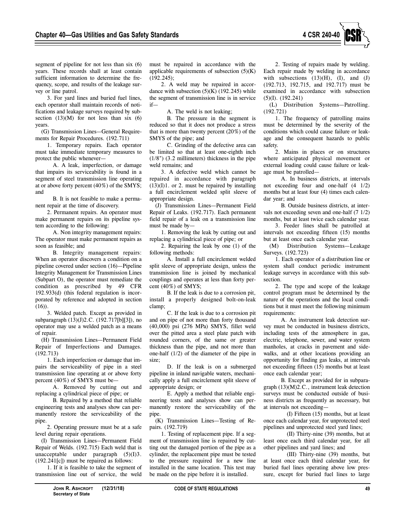

segment of pipeline for not less than six (6) years. These records shall at least contain sufficient information to determine the frequency, scope, and results of the leakage survey or line patrol.

3. For yard lines and buried fuel lines, each operator shall maintain records of notifications and leakage surveys required by subsection  $(13)(M)$  for not less than six  $(6)$ years.

(G) Transmission Lines—General Requirements for Repair Procedures. (192.711)

1. Temporary repairs. Each operator must take immediate temporary measures to protect the public whenever—

A. A leak, imperfection, or damage that impairs its serviceability is found in a segment of steel transmission line operating at or above forty percent (40%) of the SMYS; and

B. It is not feasible to make a permanent repair at the time of discovery.

2. Permanent repairs. An operator must make permanent repairs on its pipeline system according to the following:

A. Non integrity management repairs: The operator must make permanent repairs as soon as feasible; and

B. Integrity management repairs: When an operator discovers a condition on a pipeline covered under section (16)—Pipeline Integrity Management for Transmission Lines (Subpart O), the operator must remediate the condition as prescribed by 49 CFR 192.933(d) (this federal regulation is incorporated by reference and adopted in section  $(16)$ .

3. Welded patch. Except as provided in subparagraph (13)(J)2.C. (192.717[b][3]), no operator may use a welded patch as a means of repair.

(H) Transmission Lines—Permanent Field Repair of Imperfections and Damages. (192.713)

1. Each imperfection or damage that impairs the serviceability of pipe in a steel transmission line operating at or above forty percent (40%) of SMYS must be—

A. Removed by cutting out and replacing a cylindrical piece of pipe; or

B. Repaired by a method that reliable engineering tests and analyses show can permanently restore the serviceability of the pipe.

2. Operating pressure must be at a safe level during repair operations.

(I) Transmission Lines—Permanent Field Repair of Welds. (192.715) Each weld that is unacceptable under paragraph  $(5)(I)3$ . (192.241[c]) must be repaired as follows:

1. If it is feasible to take the segment of transmission line out of service, the weld must be repaired in accordance with the applicable requirements of subsection  $(5)(K)$ (192.245);

2. A weld may be repaired in accordance with subsection  $(5)(K)$  (192.245) while the segment of transmission line is in service if—

A. The weld is not leaking;

B. The pressure in the segment is reduced so that it does not produce a stress that is more than twenty percent (20%) of the SMYS of the pipe; and

C. Grinding of the defective area can be limited so that at least one-eighth inch (1/8") (3.2 millimeters) thickness in the pipe weld remains; and

3. A defective weld which cannot be repaired in accordance with paragraph  $(13)(I)1$ . or 2. must be repaired by installing a full encirclement welded split sleeve of appropriate design.

(J) Transmission Lines—Permanent Field Repair of Leaks. (192.717). Each permanent field repair of a leak on a transmission line must be made by—

1. Removing the leak by cutting out and replacing a cylindrical piece of pipe; or

2. Repairing the leak by one (1) of the following methods:

A. Install a full encirclement welded split sleeve of appropriate design, unless the transmission line is joined by mechanical couplings and operates at less than forty percent (40%) of SMYS;

B. If the leak is due to a corrosion pit, install a properly designed bolt-on-leak clamp;

C. If the leak is due to a corrosion pit and on pipe of not more than forty thousand (40,000) psi (276 MPa) SMYS, fillet weld over the pitted area a steel plate patch with rounded corners, of the same or greater thickness than the pipe, and not more than one-half (1/2) of the diameter of the pipe in size;

D. If the leak is on a submerged pipeline in inland navigable waters, mechanically apply a full encirclement split sleeve of appropriate design; or

E. Apply a method that reliable engineering tests and analyses show can permanently restore the serviceability of the pipe.

(K) Transmission Lines—Testing of Repairs. (192.719)

1. Testing of replacement pipe. If a segment of transmission line is repaired by cutting out the damaged portion of the pipe as a cylinder, the replacement pipe must be tested to the pressure required for a new line installed in the same location. This test may be made on the pipe before it is installed.

2. Testing of repairs made by welding. Each repair made by welding in accordance with subsections  $(13)(H)$ ,  $(I)$ , and  $(J)$ (192.713, 192.715, and 192.717) must be examined in accordance with subsection (5)(I). (192.241)

(L) Distribution Systems—Patrolling. (192.721)

1. The frequency of patrolling mains must be determined by the severity of the conditions which could cause failure or leakage and the consequent hazards to public safety.

2. Mains in places or on structures where anticipated physical movement or external loading could cause failure or leakage must be patrolled—

A. In business districts, at intervals not exceeding four and one-half (4 1/2) months but at least four (4) times each calendar year; and

B. Outside business districts, at intervals not exceeding seven and one-half (7 1/2) months, but at least twice each calendar year.

3. Feeder lines shall be patrolled at intervals not exceeding fifteen (15) months but at least once each calendar year.

(M) Distribution Systems—Leakage Surveys. (192.723)

1. Each operator of a distribution line or system shall conduct periodic instrument leakage surveys in accordance with this subsection.

2. The type and scope of the leakage control program must be determined by the nature of the operations and the local conditions but it must meet the following minimum requirements:

A. An instrument leak detection survey must be conducted in business districts, including tests of the atmosphere in gas, electric, telephone, sewer, and water system manholes, at cracks in pavement and sidewalks, and at other locations providing an opportunity for finding gas leaks, at intervals not exceeding fifteen (15) months but at least once each calendar year;

B. Except as provided for in subparagraph (13)(M)2.C., instrument leak detection surveys must be conducted outside of business districts as frequently as necessary, but at intervals not exceeding—

(I) Fifteen (15) months, but at least once each calendar year, for unprotected steel pipelines and unprotected steel yard lines;

(II) Thirty-nine (39) months, but at least once each third calendar year, for all other pipelines and yard lines; and

(III) Thirty-nine (39) months, but at least once each third calendar year, for buried fuel lines operating above low pressure, except for buried fuel lines to large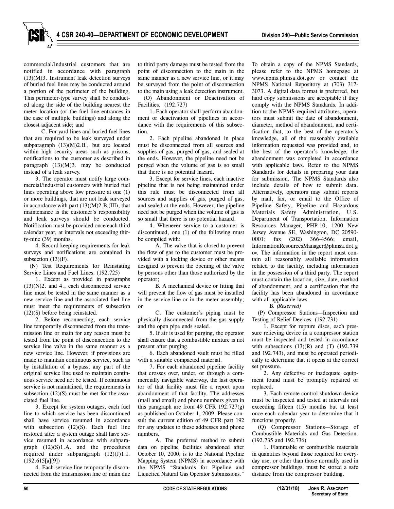commercial/industrial customers that are notified in accordance with paragraph (13)(M)3. Instrument leak detection surveys of buried fuel lines may be conducted around a portion of the perimeter of the building. This perimeter-type survey shall be conducted along the side of the building nearest the meter location (or the fuel line entrances in the case of multiple buildings) and along the closest adjacent side; and

C. For yard lines and buried fuel lines that are required to be leak surveyed under subparagraph (13)(M)2.B., but are located within high security areas such as prisons, notifications to the customer as described in paragraph (13)(M)3. may be conducted instead of a leak survey.

3. The operator must notify large commercial/industrial customers with buried fuel lines operating above low pressure at one (1) or more buildings, that are not leak surveyed in accordance with part (13)(M)2.B.(III), that maintenance is the customer's responsibility and leak surveys should be conducted. Notification must be provided once each third calendar year, at intervals not exceeding thirty-nine (39) months.

4. Record keeping requirements for leak surveys and notifications are contained in subsection (13)(F).

(N) Test Requirements for Reinstating Service Lines and Fuel Lines. (192.725)

1. Except as provided in paragraphs (13)(N)2. and 4., each disconnected service line must be tested in the same manner as a new service line and the associated fuel line must meet the requirements of subsection (12)(S) before being reinstated.

2. Before reconnecting, each service line temporarily disconnected from the transmission line or main for any reason must be tested from the point of disconnection to the service line valve in the same manner as a new service line. However, if provisions are made to maintain continuous service, such as by installation of a bypass, any part of the original service line used to maintain continuous service need not be tested. If continuous service is not maintained, the requirements in subsection (12)(S) must be met for the associated fuel line.

3. Except for system outages, each fuel line to which service has been discontinued shall have service resumed in accordance with subsection (12)(S). Each fuel line restored after a system outage shall have service resumed in accordance with subparagraph  $(12)(S)1.A.$  and the procedures required under subparagraph  $(12)(J)1.I.$ (192.615[a][9])

4. Each service line temporarily disconnected from the transmission line or main due to third party damage must be tested from the point of disconnection to the main in the same manner as a new service line, or it may be surveyed from the point of disconnection to the main using a leak detection instrument.

(O) Abandonment or Deactivation of Facilities. (192.727)

1. Each operator shall perform abandonment or deactivation of pipelines in accordance with the requirements of this subsection.

2. Each pipeline abandoned in place must be disconnected from all sources and supplies of gas, purged of gas, and sealed at the ends. However, the pipeline need not be purged when the volume of gas is so small that there is no potential hazard.

3. Except for service lines, each inactive pipeline that is not being maintained under this rule must be disconnected from all sources and supplies of gas, purged of gas, and sealed at the ends. However, the pipeline need not be purged when the volume of gas is so small that there is no potential hazard.

4. Whenever service to a customer is discontinued, one (1) of the following must be complied with:

A. The valve that is closed to prevent the flow of gas to the customer must be provided with a locking device or other means designed to prevent the opening of the valve by persons other than those authorized by the operator;

B. A mechanical device or fitting that will prevent the flow of gas must be installed in the service line or in the meter assembly; or

C. The customer's piping must be physically disconnected from the gas supply and the open pipe ends sealed.

5. If air is used for purging, the operator shall ensure that a combustible mixture is not present after purging.

6. Each abandoned vault must be filled with a suitable compacted material.

7. For each abandoned pipeline facility that crosses over, under, or through a commercially navigable waterway, the last operator of that facility must file a report upon abandonment of that facility. The addresses (mail and email) and phone numbers given in this paragraph are from 49 CFR  $192.727(g)$ as published on October 1, 2009. Please consult the current edition of 49 CFR part 192 for any updates to these addresses and phone numbers.

A. The preferred method to submit data on pipeline facilities abandoned after October 10, 2000, is to the National Pipeline Mapping System (NPMS) in accordance with the NPMS "Standards for Pipeline and Liquefied Natural Gas Operator Submissions."

To obtain a copy of the NPMS Standards, please refer to the NPMS homepage at www.npms.phmsa.dot.gov or contact the NPMS National Repository at (703) 317- 3073. A digital data format is preferred, but hard copy submissions are acceptable if they comply with the NPMS Standards. In addition to the NPMS-required attributes, operators must submit the date of abandonment, diameter, method of abandonment, and certification that, to the best of the operator's knowledge, all of the reasonably available information requested was provided and, to the best of the operator's knowledge, the abandonment was completed in accordance with applicable laws. Refer to the NPMS Standards for details in preparing your data for submission. The NPMS Standards also include details of how to submit data. Alternatively, operators may submit reports by mail, fax, or email to the Office of Pipeline Safety, Pipeline and Hazardous Materials Safety Administration, U.S. Department of Transportation, Information Resources Manager, PHP-10, 1200 New Jersey Avenue SE, Washington, DC 20590- 0001; fax (202) 366-4566; email, InformationResourcesManager@phmsa.dot.g ov. The information in the report must contain all reasonably available information related to the facility, including information in the possession of a third party. The report must contain the location, size, date, method of abandonment, and a certification that the facility has been abandoned in accordance with all applicable laws.

B. *(Reserved)*

(P) Compressor Stations—Inspection and Testing of Relief Devices. (192.731)

1. Except for rupture discs, each pressure relieving device in a compressor station must be inspected and tested in accordance with subsections  $(13)(R)$  and  $(T)$   $(192.739)$ and 192.743), and must be operated periodically to determine that it opens at the correct set pressure.

2. Any defective or inadequate equipment found must be promptly repaired or replaced.

3. Each remote control shutdown device must be inspected and tested at intervals not exceeding fifteen (15) months but at least once each calendar year to determine that it functions properly.

(Q) Compressor Stations—Storage of Combustible Materials and Gas Detection. (192.735 and 192.736)

1. Flammable or combustible materials in quantities beyond those required for everyday use, or other than those normally used in compressor buildings, must be stored a safe distance from the compressor building.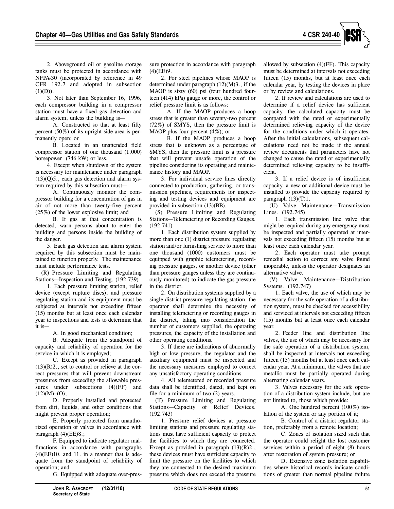

2. Aboveground oil or gasoline storage tanks must be protected in accordance with NFPA-30 (incorporated by reference in 49 CFR 192.7 and adopted in subsection  $(1)(D)$ ).

3. Not later than September 16, 1996, each compressor building in a compressor station must have a fixed gas detection and alarm system, unless the building is—

A. Constructed so that at least fifty percent (50%) of its upright side area is permanently open; or

B. Located in an unattended field compressor station of one thousand (1,000) horsepower (746 kW) or less.

4. Except when shutdown of the system is necessary for maintenance under paragraph (13)(Q)5., each gas detection and alarm system required by this subsection must—

A. Continuously monitor the compressor building for a concentration of gas in air of not more than twenty-five percent (25%) of the lower explosive limit; and

B. If gas at that concentration is detected, warn persons about to enter the building and persons inside the building of the danger.

5. Each gas detection and alarm system required by this subsection must be maintained to function properly. The maintenance must include performance tests.

(R) Pressure Limiting and Regulating Stations—Inspection and Testing. (192.739)

1. Each pressure limiting station, relief device (except rupture discs), and pressure regulating station and its equipment must be subjected at intervals not exceeding fifteen (15) months but at least once each calendar year to inspections and tests to determine that it is—

A. In good mechanical condition;

B. Adequate from the standpoint of capacity and reliability of operation for the service in which it is employed;

C. Except as provided in paragraph  $(13)(R)2$ ., set to control or relieve at the correct pressures that will prevent downstream pressures from exceeding the allowable pressures under subsections  $(4)(FF)$  and  $(12)(M)-(O)$ ;

D. Properly installed and protected from dirt, liquids, and other conditions that might prevent proper operation;

E. Properly protected from unauthorized operation of valves in accordance with paragraph  $(4)$ (EE)8.;

F. Equipped to indicate regulator malfunctions in accordance with paragraphs  $(4)$ (EE)10. and 11. in a manner that is adequate from the standpoint of reliability of operation; and

G. Equipped with adequate over-pres-

sure protection in accordance with paragraph (4)(EE)9.

2. For steel pipelines whose MAOP is determined under paragraph (12)(M)3., if the MAOP is sixty (60) psi (four hundred fourteen (414) kPa) gauge or more, the control or relief pressure limit is as follows:

A. If the MAOP produces a hoop stress that is greater than seventy-two percent (72%) of SMYS, then the pressure limit is MAOP plus four percent  $(4\%)$ ; or

B. If the MAOP produces a hoop stress that is unknown as a percentage of SMYS, then the pressure limit is a pressure that will prevent unsafe operation of the pipeline considering its operating and maintenance history and MAOP.

3. For individual service lines directly connected to production, gathering, or transmission pipelines, requirements for inspecting and testing devices and equipment are provided in subsection (13)(BB).

(S) Pressure Limiting and Regulating Stations—Telemetering or Recording Gauges. (192.741)

1. Each distribution system supplied by more than one (1) district pressure regulating station and/or furnishing service to more than one thousand (1000) customers must be equipped with graphic telemetering, recording pressure gauges, or another device (other than pressure gauges unless they are continuously monitored) to indicate the gas pressure in the district.

2. On distribution systems supplied by a single district pressure regulating station, the operator shall determine the necessity of installing telemetering or recording gauges in the district, taking into consideration the number of customers supplied, the operating pressures, the capacity of the installation and other operating conditions.

3. If there are indications of abnormally high or low pressure, the regulator and the auxiliary equipment must be inspected and the necessary measures employed to correct any unsatisfactory operating conditions.

4. All telemetered or recorded pressure data shall be identified, dated, and kept on file for a minimum of two (2) years.

(T) Pressure Limiting and Regulating Stations—Capacity of Relief Devices. (192.743)

1. Pressure relief devices at pressure limiting stations and pressure regulating stations must have sufficient capacity to protect the facilities to which they are connected. Except as provided in paragraph  $(13)(R)2$ . these devices must have sufficient capacity to limit the pressure on the facilities to which they are connected to the desired maximum pressure which does not exceed the pressure allowed by subsection (4)(FF). This capacity must be determined at intervals not exceeding fifteen (15) months, but at least once each calendar year, by testing the devices in place or by review and calculations.

2. If review and calculations are used to determine if a relief device has sufficient capacity, the calculated capacity must be compared with the rated or experimentally determined relieving capacity of the device for the conditions under which it operates. After the initial calculations, subsequent calculations need not be made if the annual review documents that parameters have not changed to cause the rated or experimentally determined relieving capacity to be insufficient.

3. If a relief device is of insufficient capacity, a new or additional device must be installed to provide the capacity required by paragraph  $(13)(T)1$ .

(U) Valve Maintenance—Transmission Lines. (192.745)

1. Each transmission line valve that might be required during any emergency must be inspected and partially operated at intervals not exceeding fifteen (15) months but at least once each calendar year.

2. Each operator must take prompt remedial action to correct any valve found inoperable, unless the operator designates an alternative valve.

(V) Valve Maintenance—Distribution Systems. (192.747)

1. Each valve, the use of which may be necessary for the safe operation of a distribution system, must be checked for accessibility and serviced at intervals not exceeding fifteen (15) months but at least once each calendar year.

2. Feeder line and distribution line valves, the use of which may be necessary for the safe operation of a distribution system, shall be inspected at intervals not exceeding fifteen (15) months but at least once each calendar year. At a minimum, the valves that are metallic must be partially operated during alternating calendar years.

3. Valves necessary for the safe operation of a distribution system include, but are not limited to, those which provide:

A. One hundred percent (100%) isolation of the system or any portion of it;

B. Control of a district regulator station, preferably from a remote location;

C. Zones of isolation sized such that the operator could relight the lost customer services within a period of eight (8) hours after restoration of system pressure; or

D. Extensive zone isolation capabilities where historical records indicate conditions of greater than normal pipeline failure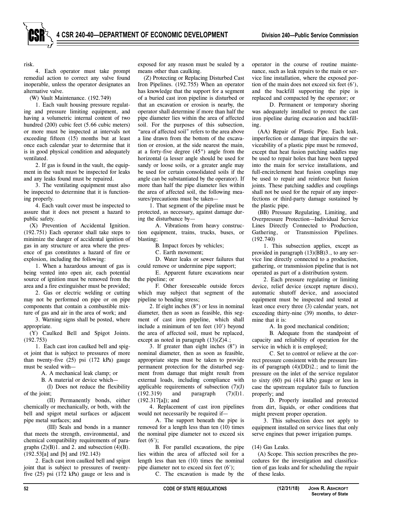risk.

4. Each operator must take prompt remedial action to correct any valve found inoperable, unless the operator designates an alternative valve.

(W) Vault Maintenance. (192.749)

1. Each vault housing pressure regulating and pressure limiting equipment, and having a volumetric internal content of two hundred (200) cubic feet (5.66 cubic meters) or more must be inspected at intervals not exceeding fifteen (15) months but at least once each calendar year to determine that it is in good physical condition and adequately ventilated.

2. If gas is found in the vault, the equipment in the vault must be inspected for leaks and any leaks found must be repaired.

3. The ventilating equipment must also be inspected to determine that it is functioning properly.

4. Each vault cover must be inspected to assure that it does not present a hazard to public safety.

(X) Prevention of Accidental Ignition. (192.751) Each operator shall take steps to minimize the danger of accidental ignition of gas in any structure or area where the presence of gas constitutes a hazard of fire or explosion, including the following:

1. When a hazardous amount of gas is being vented into open air, each potential source of ignition must be removed from the area and a fire extinguisher must be provided;

2. Gas or electric welding or cutting may not be performed on pipe or on pipe components that contain a combustible mixture of gas and air in the area of work; and

3. Warning signs shall be posted, where appropriate.

(Y) Caulked Bell and Spigot Joints. (192.753)

1. Each cast iron caulked bell and spigot joint that is subject to pressures of more than twenty-five (25) psi (172 kPa) gauge must be sealed with—

A. A mechanical leak clamp; or

B. A material or device which—

(I) Does not reduce the flexibility of the joint;

(II) Permanently bonds, either chemically or mechanically, or both, with the bell and spigot metal surfaces or adjacent pipe metal surfaces; and

(III) Seals and bonds in a manner that meets the strength, environmental, and chemical compatibility requirements of paragraphs (2)(B)1. and 2. and subsection (4)(B). (192.53[a] and [b] and 192.143)

2. Each cast iron caulked bell and spigot joint that is subject to pressures of twentyfive (25) psi (172 kPa) gauge or less and is

exposed for any reason must be sealed by a means other than caulking.

(Z) Protecting or Replacing Disturbed Cast Iron Pipelines. (192.755) When an operator has knowledge that the support for a segment of a buried cast iron pipeline is disturbed or that an excavation or erosion is nearby, the operator shall determine if more than half the pipe diameter lies within the area of affected soil. For the purposes of this subsection, "area of affected soil" refers to the area above a line drawn from the bottom of the excavation or erosion, at the side nearest the main, at a forty-five degree (45°) angle from the horizontal (a lesser angle should be used for sandy or loose soils, or a greater angle may be used for certain consolidated soils if the angle can be substantiated by the operator). If more than half the pipe diameter lies within the area of affected soil, the following measures/precautions must be taken—

1. That segment of the pipeline must be protected, as necessary, against damage during the disturbance by—

A. Vibrations from heavy construction equipment, trains, trucks, buses, or blasting;

B. Impact forces by vehicles;

C. Earth movement;

D. Water leaks or sewer failures that could remove or undermine pipe support;

E. Apparent future excavations near the pipeline; or

F. Other foreseeable outside forces which may subject that segment of the pipeline to bending stress;

2. If eight inches (8") or less in nominal diameter, then as soon as feasible, this segment of cast iron pipeline, which shall include a minimum of ten feet (10') beyond the area of affected soil, must be replaced, except as noted in paragraph  $(13)(Z)4$ .;

3. If greater than eight inches (8") in nominal diameter, then as soon as feasible, appropriate steps must be taken to provide permanent protection for the disturbed segment from damage that might result from external loads, including compliance with applicable requirements of subsection  $(7)(J)$  $(192.319)$  and paragraph  $(7)(I)1$ . (192.317[a]); and

4. Replacement of cast iron pipelines would not necessarily be required if—

A. The support beneath the pipe is removed for a length less than ten (10) times the nominal pipe diameter not to exceed six feet (6');

B. For parallel excavations, the pipe lies within the area of affected soil for a length less than ten (10) times the nominal pipe diameter not to exceed six feet (6');

C. The excavation is made by the

operator in the course of routine maintenance, such as leak repairs to the main or service line installation, where the exposed portion of the main does not exceed six feet (6'), and the backfill supporting the pipe is replaced and compacted by the operator; or

D. Permanent or temporary shoring was adequately installed to protect the cast iron pipeline during excavation and backfilling.

(AA) Repair of Plastic Pipe. Each leak, imperfection or damage that impairs the serviceability of a plastic pipe must be removed, except that heat fusion patching saddles may be used to repair holes that have been tapped into the main for service installations, and full-encirclement heat fusion couplings may be used to repair and reinforce butt fusion joints. These patching saddles and couplings shall not be used for the repair of any imperfections or third-party damage sustained by the plastic pipe.

(BB) Pressure Regulating, Limiting, and Overpressure Protection—Individual Service Lines Directly Connected to Production, Gathering, or Transmission Pipelines. (192.740)

1. This subsection applies, except as provided in paragraph (13)(BB)3., to any service line directly connected to a production, gathering, or transmission pipeline that is not operated as part of a distribution system.

2. Each pressure regulating or limiting device, relief device (except rupture discs), automatic shutoff device, and associated equipment must be inspected and tested at least once every three (3) calendar years, not exceeding thirty-nine (39) months, to determine that it is:

A. In good mechanical condition;

B. Adequate from the standpoint of capacity and reliability of operation for the service in which it is employed;

C. Set to control or relieve at the correct pressure consistent with the pressure limits of paragraph (4)(DD)2.; and to limit the pressure on the inlet of the service regulator to sixty (60) psi (414 kPa) gauge or less in case the upstream regulator fails to function properly; and

D. Properly installed and protected from dirt, liquids, or other conditions that might prevent proper operation.

3. This subsection does not apply to equipment installed on service lines that only serve engines that power irrigation pumps.

#### (14) Gas Leaks.

(A) Scope. This section prescribes the procedures for the investigation and classification of gas leaks and for scheduling the repair of these leaks.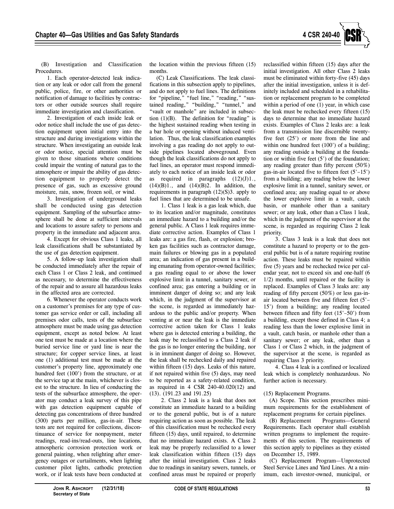

(B) Investigation and Classification Procedures.

1. Each operator-detected leak indication or any leak or odor call from the general public, police, fire, or other authorities or notification of damage to facilities by contractors or other outside sources shall require immediate investigation and classification.

2. Investigation of each inside leak or odor notice shall include the use of gas detection equipment upon initial entry into the structure and during investigations within the structure. When investigating an outside leak or odor notice, special attention must be given to those situations where conditions could impair the venting of natural gas to the atmosphere or impair the ability of gas detection equipment to properly detect the presence of gas, such as excessive ground moisture, rain, snow, frozen soil, or wind.

3. Investigation of underground leaks shall be conducted using gas detection equipment. Sampling of the subsurface atmosphere shall be done at sufficient intervals and locations to assure safety to persons and property in the immediate and adjacent area.

4. Except for obvious Class 1 leaks, all leak classifications shall be substantiated by the use of gas detection equipment.

5. A follow-up leak investigation shall be conducted immediately after the repair of each Class 1 or Class 2 leak, and continued as necessary, to determine the effectiveness of the repair and to assure all hazardous leaks in the affected area are corrected.

6. Whenever the operator conducts work on a customer's premises for any type of customer gas service order or call, including all premises odor calls, tests of the subsurface atmosphere must be made using gas detection equipment, except as noted below. At least one test must be made at a location where the buried service line or yard line is near the structure; for copper service lines, at least one (1) additional test must be made at the customer's property line, approximately one hundred feet (100') from the structure, or at the service tap at the main, whichever is closest to the structure. In lieu of conducting the tests of the subsurface atmosphere, the operator may conduct a leak survey of this pipe with gas detection equipment capable of detecting gas concentrations of three hundred (300) parts per million, gas-in-air. These tests are not required for collections, discontinuance of service for nonpayment, meter readings, read-ins/read-outs, line locations, atmospheric corrosion protection work or general painting, when relighting after emergency outages or curtailments, when lighting customer pilot lights, cathodic protection work, or if leak tests have been conducted at the location within the previous fifteen (15) months.

(C) Leak Classifications. The leak classifications in this subsection apply to pipelines, and do not apply to fuel lines. The definitions for "pipeline," "fuel line," "reading," "sustained reading," "building," "tunnel," and "vault or manhole" are included in subsection  $(1)(B)$ . The definition for "reading" is the highest sustained reading when testing in a bar hole or opening without induced ventilation. Thus, the leak classification examples involving a gas reading do not apply to outside pipelines located aboveground. Even though the leak classifications do not apply to fuel lines, an operator must respond immediately to each notice of an inside leak or odor as required in paragraphs  $(12)(J)1$ .,  $(14)(B)1$ ., and  $(14)(B)2$ . In addition, the requirements in paragraph  $(12)(S)$ 3. apply to fuel lines that are determined to be unsafe.

1. Class 1 leak is a gas leak which, due to its location and/or magnitude, constitutes an immediate hazard to a building and/or the general public. A Class 1 leak requires immediate corrective action. Examples of Class 1 leaks are: a gas fire, flash, or explosion; broken gas facilities such as contractor damage, main failures or blowing gas in a populated area; an indication of gas present in a building emanating from operator-owned facilities; a gas reading equal to or above the lower explosive limit in a tunnel, sanitary sewer, or confined area; gas entering a building or in imminent danger of doing so; and any leak which, in the judgment of the supervisor at the scene, is regarded as immediately hazardous to the public and/or property. When venting at or near the leak is the immediate corrective action taken for Class 1 leaks where gas is detected entering a building, the leak may be reclassified to a Class 2 leak if the gas is no longer entering the building, nor is in imminent danger of doing so. However, the leak shall be rechecked daily and repaired within fifteen (15) days. Leaks of this nature, if not repaired within five (5) days, may need to be reported as a safety-related condition, as required in 4 CSR 240-40.020(12) and (13). (191.23 and 191.25)

2. Class 2 leak is a leak that does not constitute an immediate hazard to a building or to the general public, but is of a nature requiring action as soon as possible. The leak of this classification must be rechecked every fifteen (15) days, until repaired, to determine that no immediate hazard exists. A Class 2 leak may be properly reclassified to a lower leak classification within fifteen (15) days after the initial investigation. Class 2 leaks due to readings in sanitary sewers, tunnels, or confined areas must be repaired or properly reclassified within fifteen (15) days after the initial investigation. All other Class 2 leaks must be eliminated within forty-five (45) days after the initial investigation, unless it is definitely included and scheduled in a rehabilitation or replacement program to be completed within a period of one (1) year, in which case the leak must be rechecked every fifteen (15) days to determine that no immediate hazard exists. Examples of Class 2 leaks are: a leak from a transmission line discernible twentyfive feet (25') or more from the line and within one hundred feet (100') of a building; any reading outside a building at the foundation or within five feet (5') of the foundation; any reading greater than fifty percent (50%) gas-in-air located five to fifteen feet (5'–15') from a building; any reading below the lower explosive limit in a tunnel, sanitary sewer, or confined area; any reading equal to or above the lower explosive limit in a vault, catch basin, or manhole other than a sanitary sewer; or any leak, other than a Class 1 leak, which in the judgment of the supervisor at the scene, is regarded as requiring Class 2 leak priority.

3. Class 3 leak is a leak that does not constitute a hazard to property or to the general public but is of a nature requiring routine action. These leaks must be repaired within five (5) years and be rechecked twice per calendar year, not to exceed six and one-half (6 1/2) months, until repaired or the facility is replaced. Examples of Class 3 leaks are: any reading of fifty percent (50%) or less gas-inair located between five and fifteen feet (5'– 15') from a building; any reading located between fifteen and fifty feet (15'–50') from a building, except those defined in Class 4; a reading less than the lower explosive limit in a vault, catch basin, or manhole other than a sanitary sewer; or any leak, other than a Class 1 or Class 2 which, in the judgment of the supervisor at the scene, is regarded as requiring Class 3 priority.

4. Class 4 leak is a confined or localized leak which is completely nonhazardous. No further action is necessary.

# (15) Replacement Programs.

(A) Scope. This section prescribes minimum requirements for the establishment of replacement programs for certain pipelines.

(B) Replacement Programs—General Requirements. Each operator shall establish written programs to implement the requirements of this section. The requirements of this section apply to pipelines as they existed on December 15, 1989.

(C) Replacement Program—Unprotected Steel Service Lines and Yard Lines. At a minimum, each investor-owned, municipal, or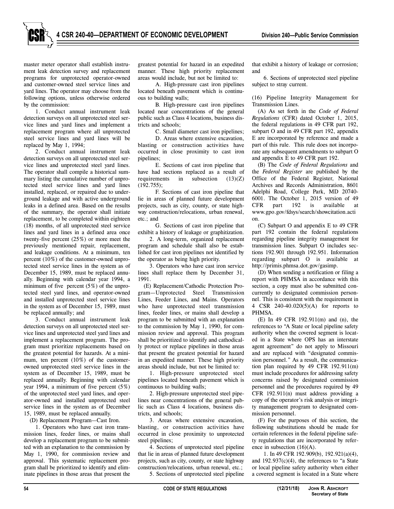master meter operator shall establish instrument leak detection survey and replacement programs for unprotected operator-owned and customer-owned steel service lines and yard lines. The operator may choose from the following options, unless otherwise ordered by the commission:

1. Conduct annual instrument leak detection surveys on all unprotected steel service lines and yard lines and implement a replacement program where all unprotected steel service lines and yard lines will be replaced by May 1, 1994;

2. Conduct annual instrument leak detection surveys on all unprotected steel service lines and unprotected steel yard lines. The operator shall compile a historical summary listing the cumulative number of unprotected steel service lines and yard lines installed, replaced, or repaired due to underground leakage and with active underground leaks in a defined area. Based on the results of the summary, the operator shall initiate replacement, to be completed within eighteen (18) months, of all unprotected steel service lines and yard lines in a defined area once twenty-five percent (25%) or more meet the previously mentioned repair, replacement, and leakage conditions. At a minimum, ten percent (10%) of the customer-owned unprotected steel service lines in the system as of December 15, 1989, must be replaced annually. Beginning with calendar year 1994, a minimum of five percent (5%) of the unprotected steel yard lines, and operator-owned and installed unprotected steel service lines in the system as of December 15, 1989, must be replaced annually; and

3. Conduct annual instrument leak detection surveys on all unprotected steel service lines and unprotected steel yard lines and implement a replacement program. The program must prioritize replacements based on the greatest potential for hazards. At a minimum, ten percent (10%) of the customerowned unprotected steel service lines in the system as of December 15, 1989, must be replaced annually. Beginning with calendar year 1994, a minimum of five percent (5%) of the unprotected steel yard lines, and operator-owned and installed unprotected steel service lines in the system as of December 15, 1989, must be replaced annually.

(D) Replacement Program—Cast Iron.

1. Operators who have cast iron transmission lines, feeder lines, or mains shall develop a replacement program to be submitted with an explanation to the commission by May 1, 1990, for commission review and approval. This systematic replacement program shall be prioritized to identify and eliminate pipelines in those areas that present the

greatest potential for hazard in an expedited manner. These high priority replacement areas would include, but not be limited to:

A. High-pressure cast iron pipelines located beneath pavement which is continuous to building walls;

B. High-pressure cast iron pipelines located near concentrations of the general public such as Class 4 locations, business districts and schools;

C. Small diameter cast iron pipelines;

D. Areas where extensive excavation, blasting or construction activities have occurred in close proximity to cast iron pipelines;

E. Sections of cast iron pipeline that have had sections replaced as a result of requirements in subsection  $(13)(Z)$ (192.755);

F. Sections of cast iron pipeline that lie in areas of planned future development projects, such as city, county, or state highway construction/relocations, urban renewal, etc.; and

G. Sections of cast iron pipeline that exhibit a history of leakage or graphitization.

2. A long-term, organized replacement program and schedule shall also be established for cast iron pipelines not identified by the operator as being high priority.

3. Operators who have cast iron service lines shall replace them by December 31, 1991.

(E) Replacement/Cathodic Protection Program—Unprotected Steel Transmission Lines, Feeder Lines, and Mains. Operators who have unprotected steel transmission lines, feeder lines, or mains shall develop a program to be submitted with an explanation to the commission by May 1, 1990, for commission review and approval. This program shall be prioritized to identify and cathodically protect or replace pipelines in those areas that present the greatest potential for hazard in an expedited manner. These high priority areas should include, but not be limited to:

1. High-pressure unprotected steel pipelines located beneath pavement which is continuous to building walls;

2. High-pressure unprotected steel pipelines near concentrations of the general public such as Class 4 locations, business districts, and schools;

3. Areas where extensive excavation, blasting, or construction activities have occurred in close proximity to unprotected steel pipelines;

4. Sections of unprotected steel pipeline that lie in areas of planned future development projects, such as city, county, or state highway construction/relocations, urban renewal, etc.;

5. Sections of unprotected steel pipeline

that exhibit a history of leakage or corrosion; and

6. Sections of unprotected steel pipeline subject to stray current.

(16) Pipeline Integrity Management for Transmission Lines.

(A) As set forth in the *Code of Federal Regulations* (CFR) dated October 1, 2015, the federal regulations in 49 CFR part 192, subpart O and in 49 CFR part 192, appendix E are incorporated by reference and made a part of this rule. This rule does not incorporate any subsequent amendments to subpart O and appendix E to 49 CFR part 192.

(B) The *Code of Federal Regulations* and the *Federal Register* are published by the Office of the Federal Register, National Archives and Records Administration, 8601 Adelphi Road, College Park, MD 20740- 6001. The October 1, 2015 version of 49 CFR part 192 is available at www.gpo.gov/fdsys/search/showcitation.acti on.

(C) Subpart O and appendix E to 49 CFR part 192 contain the federal regulations regarding pipeline integrity management for transmission lines. Subpart O includes sections 192.901 through 192.951. Information regarding subpart O is available at http://primis.phmsa.dot.gov/gasimp.

(D) When sending a notification or filing a report with PHMSA in accordance with this section, a copy must also be submitted concurrently to designated commission personnel. This is consistent with the requirement in 4 CSR 240-40.020(5)(A) for reports to PHMSA.

(E) In 49 CFR 192.911(m) and (n), the references to "A State or local pipeline safety authority when the covered segment is located in a State where OPS has an interstate agent agreement" do not apply to Missouri and are replaced with "designated commission personnel." As a result, the communication plan required by 49 CFR 192.911(m) must include procedures for addressing safety concerns raised by designated commission personnel and the procedures required by 49 CFR 192.911(n) must address providing a copy of the operator's risk analysis or integrity management program to designated commission personnel.

(F) For the purposes of this section, the following substitutions should be made for certain references in the federal pipeline safety regulations that are incorporated by reference in subsection (16)(A).

1. In 49 CFR 192.909(b), 192.921(a)(4), and  $192.937(c)(4)$ , the references to "a State" or local pipeline safety authority when either a covered segment is located in a State where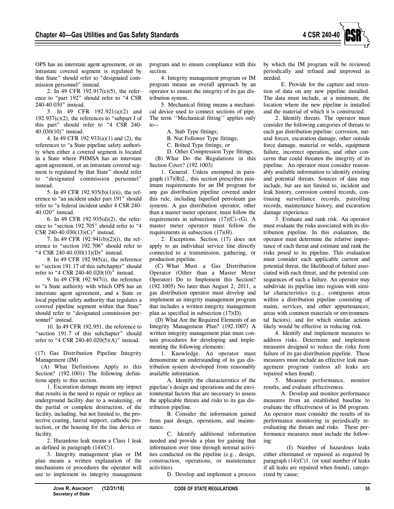

OPS has an interstate agent agreement, or an intrastate covered segment is regulated by that State" should refer to "designated commission personnel" instead.

2. In 49 CFR 192.917(e)(5), the reference to "part 192" should refer to "4 CSR 240-40.030" instead.

3. In 49 CFR 192.921(a)(2) and  $192.937(c)(2)$ , the references to "subpart J of this part" should refer to "4 CSR 240- 40.030(10)" instead.

4. In 49 CFR 192.933(a)(1) and (2), the references to "a State pipeline safety authority when either a covered segment is located in a State where PHMSA has an interstate agent agreement, or an intrastate covered segment is regulated by that State" should refer to "designated commission personnel" instead.

5. In 49 CFR 192.935(b)(1)(ii), the reference to "an incident under part 191" should refer to "a federal incident under 4 CSR 240- 40.020" instead.

6. In 49 CFR 192.935(d)(2), the reference to "section 192.705" should refer to "4 CSR 240-40.030(13)(C)" instead.

7. In 49 CFR 192.941(b)(2)(i), the reference to "section 192.706" should refer to "4 CSR 240-40.030(13)(D)" instead.

8. In 49 CFR 192.945(a), the reference to "section 191.17 of this subchapter" should refer to "4 CSR 240-40.020(10)" instead.

9. In 49 CFR 192.947(i), the reference to "a State authority with which OPS has an interstate agent agreement, and a State or local pipeline safety authority that regulates a covered pipeline segment within that State" should refer to "designated commission personnel" instead.

10. In 49 CFR 192.951, the reference to "section 191.7 of this subchapter" should refer to "4 CSR 240-40.020(5)(A)" instead.

(17) Gas Distribution Pipeline Integrity Management (IM)

(A) What Definitions Apply to this Section? (192.1001) The following definitions apply to this section.

1. Excavation damage means any impact that results in the need to repair or replace an underground facility due to a weakening, or the partial or complete destruction, of the facility, including, but not limited to, the protective coating, lateral support, cathodic protection, or the housing for the line device or facility.

2. Hazardous leak means a Class 1 leak as defined in paragraph  $(14)(C)1$ .

3. Integrity management plan or IM plan means a written explanation of the mechanisms or procedures the operator will use to implement its integrity management program and to ensure compliance with this section.

4. Integrity management program or IM program means an overall approach by an operator to ensure the integrity of its gas distribution system.

5. Mechanical fitting means a mechanical device used to connect sections of pipe. The term ''Mechanical fitting'' applies only to—

A. Stab Type fittings;

B. Nut Follower Type fittings;

C. Bolted Type fittings; or

D. Other Compression Type fittings.

(B) What Do the Regulations in this Section Cover? (192.1003)

1. General. Unless exempted in paragraph (17)(B)2., this section prescribes minimum requirements for an IM program for any gas distribution pipeline covered under this rule, including liquefied petroleum gas systems. A gas distribution operator, other than a master meter operator, must follow the requirements in subsections  $(17)(C)$ – $(G)$ . A master meter operator must follow the requirements in subsection (17)(H).

2. Exceptions. Section (17) does not apply to an individual service line directly connected to a transmission, gathering, or production pipeline.

(C) What Must a Gas Distribution Operator (Other than a Master Meter Operator) Do to Implement this Section? (192.1005) No later than August 2, 2011, a gas distribution operator must develop and implement an integrity management program that includes a written integrity management plan as specified in subsection (17)(D).

(D) What Are the Required Elements of an Integrity Management Plan? (192.1007) A written integrity management plan must contain procedures for developing and implementing the following elements:

1. Knowledge. An operator must demonstrate an understanding of its gas distribution system developed from reasonably available information.

A. Identify the characteristics of the pipeline's design and operations and the environmental factors that are necessary to assess the applicable threats and risks to its gas distribution pipeline.

B. Consider the information gained from past design, operations, and maintenance.

C. Identify additional information needed and provide a plan for gaining that information over time through normal activities conducted on the pipeline (e.g., design, construction, operations, or maintenance activities).

D. Develop and implement a process

by which the IM program will be reviewed periodically and refined and improved as needed.

E. Provide for the capture and retention of data on any new pipeline installed. The data must include, at a minimum, the location where the new pipeline is installed and the material of which it is constructed.

2. Identify threats. The operator must consider the following categories of threats to each gas distribution pipeline: corrosion, natural forces, excavation damage, other outside force damage, material or welds, equipment failure, incorrect operation, and other concerns that could threaten the integrity of its pipeline. An operator must consider reasonably available information to identify existing and potential threats. Sources of data may include, but are not limited to, incident and leak history, corrosion control records, continuing surveillance records, patrolling records, maintenance history, and excavation damage experience.

3. Evaluate and rank risk. An operator must evaluate the risks associated with its distribution pipeline. In this evaluation, the operator must determine the relative importance of each threat and estimate and rank the risks posed to its pipeline. This evaluation must consider each applicable current and potential threat, the likelihood of failure associated with each threat, and the potential consequences of such a failure. An operator may subdivide its pipeline into regions with similar characteristics (e.g., contiguous areas within a distribution pipeline consisting of mains, services, and other appurtenances; areas with common materials or environmental factors), and for which similar actions likely would be effective in reducing risk.

4. Identify and implement measures to address risks. Determine and implement measures designed to reduce the risks from failure of its gas distribution pipeline. These measures must include an effective leak management program (unless all leaks are repaired when found).

5. Measure performance, monitor results, and evaluate effectiveness.

A. Develop and monitor performance measures from an established baseline to evaluate the effectiveness of its IM program. An operator must consider the results of its performance monitoring in periodically reevaluating the threats and risks. These performance measures must include the following:

(I) Number of hazardous leaks either eliminated or repaired as required by paragraph  $(14)(C)1$ . (or total number of leaks if all leaks are repaired when found), categorized by cause;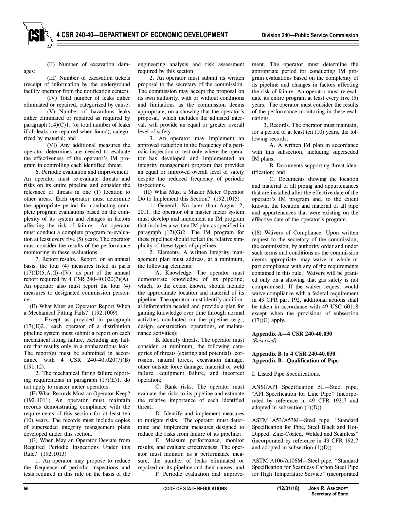ages;

(II) Number of excavation dam-

(III) Number of excavation tickets (receipt of information by the underground facility operator from the notification center);

(IV) Total number of leaks either eliminated or repaired, categorized by cause;

(V) Number of hazardous leaks either eliminated or repaired as required by paragraph  $(14)(C)1$ . (or total number of leaks if all leaks are repaired when found), categorized by material; and

(VI) Any additional measures the operator determines are needed to evaluate the effectiveness of the operator's IM program in controlling each identified threat.

6. Periodic evaluation and improvement. An operator must re-evaluate threats and risks on its entire pipeline and consider the relevance of threats in one (1) location to other areas. Each operator must determine the appropriate period for conducting complete program evaluations based on the complexity of its system and changes in factors affecting the risk of failure. An operator must conduct a complete program re-evaluation at least every five (5) years. The operator must consider the results of the performance monitoring in these evaluations.

7. Report results. Report, on an annual basis, the four (4) measures listed in parts  $(17)(D)5.A.(I)–(IV)$ , as part of the annual report required by 4 CSR 240-40.020(7)(A). An operator also must report the four (4) measures to designated commission personnel.

(E) What Must an Operator Report When a Mechanical Fitting Fails? (192.1009)

1. Except as provided in paragraph (17)(E)2., each operator of a distribution pipeline system must submit a report on each mechanical fitting failure, excluding any failure that results only in a nonhazardous leak. The report(s) must be submitted in accordance with 4 CSR 240-40.020(7)(B) (191.12).

2. The mechanical fitting failure reporting requirements in paragraph (17)(E)1. do not apply to master meter operators.

(F) What Records Must an Operator Keep? (192.1011) An operator must maintain records demonstrating compliance with the requirements of this section for at least ten (10) years. The records must include copies of superseded integrity management plans developed under this section.

(G) When May an Operator Deviate from Required Periodic Inspections Under this Rule? (192.1013)

1. An operator may propose to reduce the frequency of periodic inspections and tests required in this rule on the basis of the engineering analysis and risk assessment required by this section.

2. An operator must submit its written proposal to the secretary of the commission. The commission may accept the proposal on its own authority, with or without conditions and limitations as the commission deems appropriate, on a showing that the operator's proposal, which includes the adjusted interval, will provide an equal or greater overall level of safety.

3. An operator may implement an approved reduction in the frequency of a periodic inspection or test only where the operator has developed and implemented an integrity management program that provides an equal or improved overall level of safety despite the reduced frequency of periodic inspections.

(H) What Must a Master Meter Operator Do to Implement this Section? (192.1015)

1. General. No later than August 2, 2011, the operator of a master meter system must develop and implement an IM program that includes a written IM plan as specified in paragraph  $(17)(G)2$ . The IM program for these pipelines should reflect the relative simplicity of these types of pipelines.

2. Elements. A written integrity management plan must address, at a minimum, the following elements:

A. Knowledge. The operator must demonstrate knowledge of its pipeline, which, to the extent known, should include the approximate location and material of its pipeline. The operator must identify additional information needed and provide a plan for gaining knowledge over time through normal activities conducted on the pipeline (e.g., design, construction, operations, or maintenance activities);

B. Identify threats. The operator must consider, at minimum, the following categories of threats (existing and potential): corrosion, natural forces, excavation damage, other outside force damage, material or weld failure, equipment failure, and incorrect operation;

C. Rank risks. The operator must evaluate the risks to its pipeline and estimate the relative importance of each identified threat;

D. Identify and implement measures to mitigate risks. The operator must determine and implement measures designed to reduce the risks from failure of its pipeline;

E. Measure performance, monitor results, and evaluate effectiveness. The operator must monitor, as a performance measure, the number of leaks eliminated or repaired on its pipeline and their causes; and F. Periodic evaluation and improvement. The operator must determine the appropriate period for conducting IM program evaluations based on the complexity of its pipeline and changes in factors affecting the risk of failure. An operator must re-evaluate its entire program at least every five (5) years. The operator must consider the results of the performance monitoring in these evaluations.

3. Records. The operator must maintain, for a period of at least ten (10) years, the following records:

A. A written IM plan in accordance with this subsection, including superseded IM plans;

B. Documents supporting threat identification; and

C. Documents showing the location and material of all piping and appurtenances that are installed after the effective date of the operator's IM program and, to the extent known, the location and material of all pipe and appurtenances that were existing on the effective date of the operator's program.

(18) Waivers of Compliance. Upon written request to the secretary of the commission, the commission, by authority order and under such terms and conditions as the commission deems appropriate, may waive in whole or part compliance with any of the requirements contained in this rule. Waivers will be granted only on a showing that gas safety is not compromised. If the waiver request would waive compliance with a federal requirement in 49 CFR part 192, additional actions shall be taken in accordance with 49 USC 60118 except when the provisions of subsection  $(17)(G)$  apply.

**Appendix A—4 CSR 240-40.030** *(Reserved)*

# **Appendix B to 4 CSR 240-40.030 Appendix B—Qualification of Pipe**

I. Listed Pipe Specifications.

ANSI/API Specification 5L—Steel pipe, "API Specification for Line Pipe" (incorporated by reference in 49 CFR 192.7 and adopted in subsection  $(1)(D)$ ).

ASTM A53/A53M—Steel pipe, "Standard Specification for Pipe, Steel Black and Hot-Dipped, Zinc-Coated, Welded and Seamless" (incorporated by reference in 49 CFR 192.7 and adopted in subsection  $(1)(D)$ ).

ASTM A106/A106M—Steel pipe, "Standard Specification for Seamless Carbon Steel Pipe for High Temperature Service" (incorporated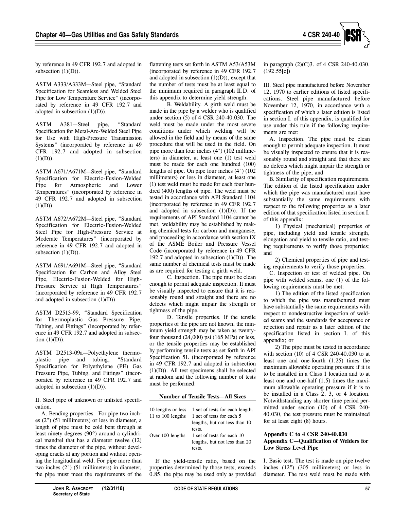

by reference in 49 CFR 192.7 and adopted in subsection  $(1)(D)$ ).

ASTM A333/A333M—Steel pipe, "Standard Specification for Seamless and Welded Steel Pipe for Low Temperature Service" (incorporated by reference in 49 CFR 192.7 and adopted in subsection  $(1)(D)$ ).

ASTM A381—Steel pipe, "Standard Specification for Metal-Arc-Welded Steel Pipe for Use with High-Pressure Transmission Systems" (incorporated by reference in 49 CFR 192.7 and adopted in subsection  $(1)(D)).$ 

ASTM A671/A671M—Steel pipe, "Standard Specification for Electric-Fusion-Welded Pipe for Atmospheric and Lower Temperatures" (incorporated by reference in 49 CFR 192.7 and adopted in subsection  $(1)(D)).$ 

ASTM A672/A672M—Steel pipe, "Standard Specification for Electric-Fusion-Welded Steel Pipe for High-Pressure Service at Moderate Temperatures" (incorporated by reference in 49 CFR 192.7 and adopted in subsection  $(1)(D)$ ).

ASTM A691/A691M—Steel pipe, "Standard Specification for Carbon and Alloy Steel Pipe, Electric-Fusion-Welded for High-Pressure Service at High Temperatures" (incorporated by reference in 49 CFR 192.7 and adopted in subsection  $(1)(D)$ ).

ASTM D2513-99, "Standard Specification for Thermoplastic Gas Pressure Pipe, Tubing, and Fittings" (incorporated by reference in 49 CFR 192.7 and adopted in subsection  $(1)(D)$ ).

ASTM D2513-09a—Polyethylene thermoplastic pipe and tubing, "Standard Specification for Polyethylene (PE) Gas Pressure Pipe, Tubing, and Fittings" (incorporated by reference in 49 CFR 192.7 and adopted in subsection  $(1)(D)$ ).

II. Steel pipe of unknown or unlisted specification.

A. Bending properties. For pipe two inches (2") (51 millimeters) or less in diameter, a length of pipe must be cold bent through at least ninety degrees (90º) around a cylindrical mandrel that has a diameter twelve (12) times the diameter of the pipe, without developing cracks at any portion and without opening the longitudinal weld. For pipe more than two inches (2") (51 millimeters) in diameter, the pipe must meet the requirements of the

B. Weldability. A girth weld must be made in the pipe by a welder who is qualified under section (5) of 4 CSR 240-40.030. The weld must be made under the most severe conditions under which welding will be allowed in the field and by means of the same procedure that will be used in the field. On pipe more than four inches (4") (102 millimeters) in diameter, at least one (1) test weld must be made for each one hundred (100) lengths of pipe. On pipe four inches (4") (102 millimeters) or less in diameter, at least one (1) test weld must be made for each four hundred (400) lengths of pipe. The weld must be tested in accordance with API Standard 1104 (incorporated by reference in 49 CFR 192.7 and adopted in subsection  $(1)(D)$ ). If the requirements of API Standard 1104 cannot be met, weldability may be established by making chemical tests for carbon and manganese, and proceeding in accordance with section IX of the ASME Boiler and Pressure Vessel Code (incorporated by reference in 49 CFR 192.7 and adopted in subsection  $(1)(D)$ ). The same number of chemical tests must be made as are required for testing a girth weld.

C. Inspection. The pipe must be clean enough to permit adequate inspection. It must be visually inspected to ensure that it is reasonably round and straight and there are no defects which might impair the strength or tightness of the pipe.

D. Tensile properties. If the tensile properties of the pipe are not known, the minimum yield strength may be taken as twentyfour thousand (24,000) psi (165 MPa) or less, or the tensile properties may be established by performing tensile tests as set forth in API Specification 5L (incorporated by reference in 49 CFR 192.7 and adopted in subsection (1)(D)). All test specimens shall be selected at random and the following number of tests must be performed:

#### **Number of Tensile Tests—All Sizes**

| 11 to 100 lengths | 10 lengths or less 1 set of tests for each length.<br>1 set of tests for each 5 |
|-------------------|---------------------------------------------------------------------------------|
|                   | lengths, but not less than 10<br>tests.                                         |
| Over 100 lengths  | 1 set of tests for each 10<br>lengths, but not less than 20                     |
|                   | tests.                                                                          |

If the yield-tensile ratio, based on the properties determined by those tests, exceeds 0.85, the pipe may be used only as provided

in paragraph (2)(C)3. of 4 CSR 240-40.030. (192.55[c])

III. Steel pipe manufactured before November 12, 1970 to earlier editions of listed specifications. Steel pipe manufactured before November 12, 1970, in accordance with a specification of which a later edition is listed in section I. of this appendix, is qualified for use under this rule if the following requirements are met:

A. Inspection. The pipe must be clean enough to permit adequate inspection. It must be visually inspected to ensure that it is reasonably round and straight and that there are no defects which might impair the strength or tightness of the pipe; and

B. Similarity of specification requirements. The edition of the listed specification under which the pipe was manufactured must have substantially the same requirements with respect to the following properties as a later edition of that specification listed in section I. of this appendix:

1) Physical (mechanical) properties of pipe, including yield and tensile strength, elongation and yield to tensile ratio, and testing requirements to verify those properties; and

2) Chemical properties of pipe and testing requirements to verify those properties.

C. Inspection or test of welded pipe. On pipe with welded seams, one (1) of the following requirements must be met:

1) The edition of the listed specification to which the pipe was manufactured must have substantially the same requirements with respect to nondestructive inspection of welded seams and the standards for acceptance or rejection and repair as a later edition of the specification listed in section I. of this appendix; or

2) The pipe must be tested in accordance with section (10) of 4 CSR 240-40.030 to at least one and one-fourth (1.25) times the maximum allowable operating pressure if it is to be installed in a Class 1 location and to at least one and one-half (1.5) times the maximum allowable operating pressure if it is to be installed in a Class 2, 3, or 4 location. Notwithstanding any shorter time period permitted under section (10) of 4 CSR 240- 40.030, the test pressure must be maintained for at least eight (8) hours.

# **Appendix C to 4 CSR 240-40.030 Appendix C—Qualification of Welders for Low Stress Level Pipe**

I. Basic test. The test is made on pipe twelve inches (12") (305 millimeters) or less in diameter. The test weld must be made with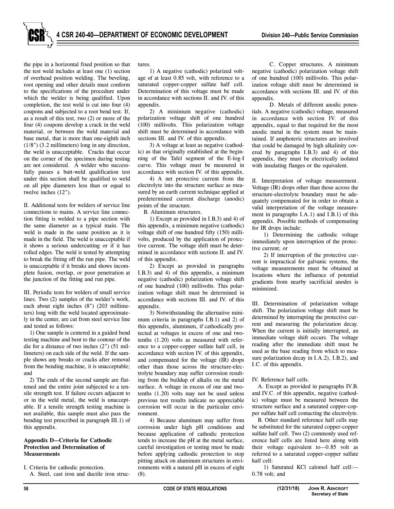the pipe in a horizontal fixed position so that the test weld includes at least one (1) section of overhead position welding. The beveling, root opening and other details must conform to the specifications of the procedure under which the welder is being qualified. Upon completion, the test weld is cut into four (4) coupons and subjected to a root bend test. If, as a result of this test, two (2) or more of the four (4) coupons develop a crack in the weld material, or between the weld material and base metal, that is more than one-eighth inch (1/8") (3.2 millimeters) long in any direction, the weld is unacceptable. Cracks that occur on the corner of the specimen during testing are not considered. A welder who successfully passes a butt-weld qualification test under this section shall be qualified to weld on all pipe diameters less than or equal to twelve inches (12").

II. Additional tests for welders of service line connections to mains. A service line connection fitting is welded to a pipe section with the same diameter as a typical main. The weld is made in the same position as it is made in the field. The weld is unacceptable if it shows a serious undercutting or if it has rolled edges. The weld is tested by attempting to break the fitting off the run pipe. The weld is unacceptable if it breaks and shows incomplete fusion, overlap, or poor penetration at the junction of the fitting and run pipe.

III. Periodic tests for welders of small service lines. Two (2) samples of the welder's work, each about eight inches (8") (203 millimeters) long with the weld located approximately in the center, are cut from steel service line and tested as follows:

1) One sample is centered in a guided bend testing machine and bent to the contour of the die for a distance of two inches (2") (51 millimeters) on each side of the weld. If the sample shows any breaks or cracks after removal from the bending machine, it is unacceptable; and

2) The ends of the second sample are flattened and the entire joint subjected to a tensile strength test. If failure occurs adjacent to or in the weld metal, the weld is unacceptable. If a tensile strength testing machine is not available, this sample must also pass the bending test prescribed in paragraph III.1) of this appendix.

#### **Appendix D—Criteria for Cathodic Protection and Determination of Measurements**

I. Criteria for cathodic protection. A. Steel, cast iron and ductile iron structures.

1) A negative (cathodic) polarized voltage of at least 0.85 volt, with reference to a saturated copper-copper sulfate half cell. Determination of this voltage must be made in accordance with sections II. and IV. of this appendix.

2) A minimum negative (cathodic) polarization voltage shift of one hundred (100) millivolts. This polarization voltage shift must be determined in accordance with sections III. and IV. of this appendix.

3) A voltage at least as negative (cathodic) as that originally established at the beginning of the Tafel segment of the E-log-I curve. This voltage must be measured in accordance with section IV. of this appendix.

4) A net protective current from the electrolyte into the structure surface as measured by an earth current technique applied at predetermined current discharge (anodic) points of the structure.

B. Aluminum structures.

1) Except as provided in I.B.3) and 4) of this appendix, a minimum negative (cathodic) voltage shift of one hundred fifty (150) millivolts, produced by the application of protective current. The voltage shift must be determined in accordance with sections II. and IV. of this appendix.

2) Except as provided in paragraphs I.B.3) and 4) of this appendix, a minimum negative (cathodic) polarization voltage shift of one hundred (100) millivolts. This polarization voltage shift must be determined in accordance with sections III. and IV. of this appendix.

3) Notwithstanding the alternative minimum criteria in paragraphs I.B.1) and 2) of this appendix, aluminum, if cathodically protected at voltages in excess of one and twotenths (1.20) volts as measured with reference to a copper-copper sulfate half cell, in accordance with section IV. of this appendix, and compensated for the voltage (IR) drops other than those across the structure-electrolyte boundary may suffer corrosion resulting from the buildup of alkalis on the metal surface. A voltage in excess of one and twotenths (1.20) volts may not be used unless previous test results indicate no appreciable corrosion will occur in the particular environment.

4) Because aluminum may suffer from corrosion under high pH conditions and because application of cathodic protection tends to increase the pH at the metal surface, careful investigation or testing must be made before applying cathodic protection to stop pitting attack on aluminum structures in environments with a natural pH in excess of eight (8).

C. Copper structures. A minimum negative (cathodic) polarization voltage shift of one hundred (100) millivolts. This polarization voltage shift must be determined in accordance with sections III. and IV. of this appendix.

D. Metals of different anodic potentials. A negative (cathodic) voltage, measured in accordance with section IV. of this appendix, equal to that required for the most anodic metal in the system must be maintained. If amphoteric structures are involved that could be damaged by high alkalinity covered by paragraphs I.B.3) and 4) of this appendix, they must be electrically isolated with insulating flanges or the equivalent.

II. Interpretation of voltage measurement. Voltage (IR) drops other than those across the structure-electrolyte boundary must be adequately compensated for in order to obtain a valid interpretation of the voltage measurement in paragraphs I.A.1) and I.B.1) of this appendix. Possible methods of compensating for IR drops include:

1) Determining the cathodic voltage immediately upon interruption of the protective current; or

2) If interruption of the protective current is impractical for galvanic systems, the voltage measurements must be obtained at locations where the influence of potential gradients from nearby sacrificial anodes is minimized.

III. Determination of polarization voltage shift. The polarization voltage shift must be determined by interrupting the protective current and measuring the polarization decay. When the current is initially interrupted, an immediate voltage shift occurs. The voltage reading after the immediate shift must be used as the base reading from which to measure polarization decay in I.A.2), I.B.2), and I.C. of this appendix.

IV. Reference half cells.

A. Except as provided in paragraphs IV.B. and IV.C. of this appendix, negative (cathodic) voltage must be measured between the structure surface and a saturated copper-copper sulfate half cell contacting the electrolyte.

B. Other standard reference half cells may be substituted for the saturated copper-copper sulfate half cell. Two (2) commonly used reference half cells are listed here along with their voltage equivalent to—0.85 volt as referred to a saturated copper-copper sulfate half cell:

1) Saturated KCl calomel half cell:— 0.78 volt; and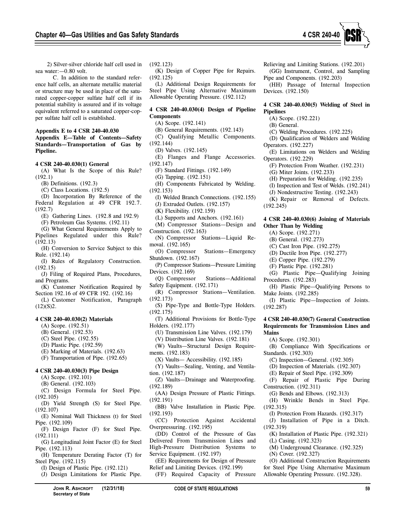

2) Silver-silver chloride half cell used in sea water:—0.80 volt.

C. In addition to the standard reference half cells, an alternate metallic material or structure may be used in place of the saturated copper-copper sulfate half cell if its potential stability is assured and if its voltage equivalent referred to a saturated copper-copper sulfate half cell is established.

#### **Appendix E to 4 CSR 240-40.030 Appendix E—Table of Contents—Safety Standards—Transportation of Gas by Pipeline.**

#### **4 CSR 240-40.030(1) General**

(A) What Is the Scope of this Rule? (192.1)

- (B) Definitions. (192.3)
- (C) Class Locations. (192.5)
- (D) Incorporation By Reference of the Federal Regulation at 49 CFR 192.7. (192.7)
	- (E) Gathering Lines. (192.8 and 192.9)
	- (F) Petroleum Gas Systems. (192.11)
- (G) What General Requirements Apply to Pipelines Regulated under this Rule? (192.13)
- (H) Conversion to Service Subject to this Rule. (192.14)
- (I) Rules of Regulatory Construction. (192.15)
- (J) Filing of Required Plans, Procedures, and Programs.
- (K) Customer Notification Required by Section 192.16 of 49 CFR 192. (192.16)
- (L) Customer Notification, Paragraph  $(12)(S)2.$

# **4 CSR 240-40.030(2) Materials**

- (A) Scope. (192.51)
- (B) General. (192.53)
- (C) Steel Pipe. (192.55)
- (D) Plastic Pipe. (192.59)
- (E) Marking of Materials. (192.63)
- (F) Transportation of Pipe. (192.65)

# **4 CSR 240-40.030(3) Pipe Design**

- (A) Scope. (192.101)
- (B) General. (192.103)
- (C) Design Formula for Steel Pipe. (192.105)
- (D) Yield Strength (S) for Steel Pipe. (192.107)
- (E) Nominal Wall Thickness (t) for Steel Pipe. (192.109)
- (F) Design Factor (F) for Steel Pipe. (192.111)
- (G) Longitudinal Joint Factor (E) for Steel Pipe. (192.113)
- (H) Temperature Derating Factor (T) for Steel Pipe. (192.115)
	- (I) Design of Plastic Pipe. (192.121)

**Secretary of State**

(J) Design Limitations for Plastic Pipe.

(192.123)

(192.125) (L) Additional Design Requirements for Steel Pipe Using Alternative Maximum Allowable Operating Pressure. (192.112)

# **4 CSR 240-40.030(4) Design of Pipeline Components**

- (A) Scope. (192.141)
- (B) General Requirements. (192.143)
- (C) Qualifying Metallic Components.
- (192.144)
	- (D) Valves. (192.145)
- (E) Flanges and Flange Accessories. (192.147)
	- (F) Standard Fittings. (192.149)
	- (G) Tapping. (192.151)
- (H) Components Fabricated by Welding. (192.153)
- (I) Welded Branch Connections. (192.155)
- (J) Extruded Outlets. (192.157)
- (K) Flexibility. (192.159)
- (L) Supports and Anchors. (192.161)
- (M) Compressor Stations—Design and
- Construction.  $(192.163)$ (N) Compressor Stations—Liquid Re moval. (192.165)
- (O) Compressor Stations—Emergency Shutdown. (192.167)
- (P) Compressor Stations—Pressure Limiting
- Devices. (192.169)<br>(Q) Compressor Stations—Additional Safety Equipment. (192.171)
- (R) Compressor Stations—Ventilation. (192.173)
- (S) Pipe-Type and Bottle-Type Holders. (192.175)
- (T) Additional Provisions for Bottle-Type Holders. (192.177)
	- (U) Transmission Line Valves. (192.179)
	- (V) Distribution Line Valves. (192.181)
- (W) Vaults—Structural Design Requirements. (192.183)
	- (X) Vaults— Accessibility. (192.185)
- (Y) Vaults—Sealing, Venting, and Ventilation. (192.187)
- (Z) Vaults—Drainage and Waterproofing. (192.189)
- (AA) Design Pressure of Plastic Fittings. (192.191)
- (BB) Valve Installation in Plastic Pipe. (192.193)
- (CC) Protection Against Accidental Overpressuring. (192.195)

(DD) Control of the Pressure of Gas Delivered From Transmission Lines and High-Pressure Distribution Systems to Service Equipment. (192.197)

(EE) Requirements for Design of Pressure Relief and Limiting Devices. (192.199)

(FF) Required Capacity of Pressure

**JOHN R. ASHCROFT (12/31/18) CODE OF STATE REGULATIONS 59**

Relieving and Limiting Stations. (192.201)

(GG) Instrument, Control, and Sampling Pipe and Components. (192.203)

(HH) Passage of Internal Inspection Devices. (192.150)

#### **4 CSR 240-40.030(5) Welding of Steel in Pipelines**

(A) Scope. (192.221)

- (B) General.
- (C) Welding Procedures. (192.225)
- (D) Qualification of Welders and Welding Operators. (192.227)
- (E) Limitations on Welders and Welding Operators. (192.229)
	- (F) Protection From Weather. (192.231)
	- (G) Miter Joints. (192.233)
	- (H) Preparation for Welding. (192.235)
	- (I) Inspection and Test of Welds. (192.241)
	- (J) Nondestructive Testing. (192.243)
- (K) Repair or Removal of Defects. (192.245)

#### **4 CSR 240-40.030(6) Joining of Materials Other Than by Welding**

- (A) Scope. (192.271)
- (B) General. (192.273)
- (C) Cast Iron Pipe. (192.275)
- (D) Ductile Iron Pipe. (192.277)
- (E) Copper Pipe. (192.279)
- (F) Plastic Pipe. (192.281)
- (G) Plastic Pipe—Qualifying Joining Procedures. (192.283)
- (H) Plastic Pipe—Qualifying Persons to Make Joints. (192.285)

(I) Plastic Pipe—Inspection of Joints. (192.287)

#### **4 CSR 240-40.030(7) General Construction Requirements for Transmission Lines and Mains**

(B) Compliance With Specifications or

(C) Inspection—General. (192.305) (D) Inspection of Materials. (192.307) (E) Repair of Steel Pipe. (192.309) (F) Repair of Plastic Pipe During

(G) Bends and Elbows. (192.313) (H) Wrinkle Bends in Steel Pipe.

(I) Protection From Hazards. (192.317) (J) Installation of Pipe in a Ditch.

(K) Installation of Plastic Pipe. (192.321)

(M) Underground Clearance. (192.325)

(O) Additional Construction Requirements for Steel Pipe Using Alternative Maximum

(A) Scope. (192.301)

Standards. (192.303)

Construction. (192.311)

(L) Casing. (192.323)

(N) Cover. (192.327)

(192.315)

(192.319)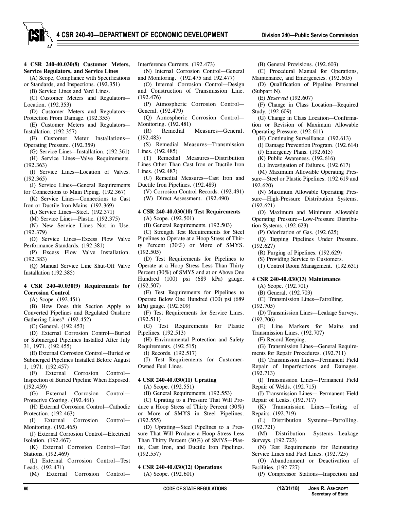**4 CSR 240-40.030(8) Customer Meters, Service Regulators, and Service Lines**

(A) Scope, Compliance with Specifications or Standards, and Inspections. (192.351)

(B) Service Lines and Yard Lines. (C) Customer Meters and Regulators—

Location. (192.353)

(D) Customer Meters and Regulators— Protection From Damage. (192.355)

(E) Customer Meters and Regulators— Installation. (192.357)

- (F) Customer Meter Installations— Operating Pressure. (192.359)
- (G) Service Lines—Installation. (192.361) (H) Service Lines—Valve Requirements.

(192.363)

(I) Service Lines—Location of Valves. (192.365)

- (J) Service Lines—General Requirements for Connections to Main Piping. (192.367)
- (K) Service Lines—Connections to Cast Iron or Ductile Iron Mains. (192.369)

(L) Service Lines—Steel. (192.371)

(M) Service Lines—Plastic. (192.375)

- (N) New Service Lines Not in Use. (192.379)
- (O) Service Lines—Excess Flow Valve Performance Standards. (192.381)

(P) Excess Flow Valve Installation. (192.383)

(Q) Manual Service Line Shut-Off Valve Installation (192.385)

#### **4 CSR 240-40.030(9) Requirements for Corrosion Control**

(A) Scope. (192.451)

(B) How Does this Section Apply to Converted Pipelines and Regulated Onshore Gathering Lines? (192.452)

(C) General. (192.453)

(D) External Corrosion Control—Buried or Submerged Pipelines Installed After July 31, 1971. (192.455)

(E) External Corrosion Control—Buried or Submerged Pipelines Installed Before August 1, 1971. (192.457)

(F) External Corrosion Control— Inspection of Buried Pipeline When Exposed. (192.459)

(G) External Corrosion Control— Protective Coating. (192.461)

(H) External Corrosion Control—Cathodic Protection. (192.463)

(I) External Corrosion Control— Monitoring. (192.465)

(J) External Corrosion Control—Electrical Isolation. (192.467)

(K) External Corrosion Control—Test Stations. (192.469)

(L) External Corrosion Control—Test Leads. (192.471)

(M) External Corrosion Control—

Interference Currents. (192.473)

(N) Internal Corrosion Control—General and Monitoring. (192.475 and 192.477)

(O) Internal Corrosion Control—Design and Construction of Transmission Line.

(192.476) (P) Atmospheric Corrosion Control— General. (192.479)

(Q) Atmospheric Corrosion Control— Monitoring. (192.481)

(R) Remedial Measures—General. (192.483)

(S) Remedial Measures—Transmission Lines. (192.485)

(T) Remedial Measures—Distribution Lines Other Than Cast Iron or Ductile Iron Lines. (192.487)

(U) Remedial Measures—Cast Iron and Ductile Iron Pipelines. (192.489)

(V) Corrosion Control Records. (192.491)

(W) Direct Assessment. (192.490)

#### **4 CSR 240-40.030(10) Test Requirements**  (A) Scope. (192.501)

(B) General Requirements. (192.503)

(C) Strength Test Requirements for Steel Pipelines to Operate at a Hoop Stress of Thirty Percent (30%) or More of SMYS. (192.505)

(D) Test Requirements for Pipelines to Operate at a Hoop Stress Less Than Thirty Percent (30%) of SMYS and at or Above One Hundred (100) psi (689 kPa) gauge. (192.507)

(E) Test Requirements for Pipelines to Operate Below One Hundred (100) psi (689 kPa) gauge. (192.509)

(F) Test Requirements for Service Lines. (192.511)

(G) Test Requirements for Plastic Pipelines. (192.513)

(H) Environmental Protection and Safety Requirements. (192.515)

(I) Records. (192.517)

(J) Test Requirements for Customer-Owned Fuel Lines.

#### **4 CSR 240-40.030(11) Uprating**

(A) Scope. (192.551)

(B) General Requirements. (192.553)

(C) Uprating to a Pressure That Will Produce a Hoop Stress of Thirty Percent (30%) or More of SMYS in Steel Pipelines. (192.555)

(D) Uprating—Steel Pipelines to a Pressure That Will Produce a Hoop Stress Less Than Thirty Percent (30%) of SMYS—Plastic, Cast Iron, and Ductile Iron Pipelines. (192.557)

**4 CSR 240-40.030(12) Operations** (A) Scope. (192.601)

(B) General Provisions. (192.603)

- (C) Procedural Manual for Operations, Maintenance, and Emergencies. (192.605)
- (D) Qualification of Pipeline Personnel (Subpart N).

(E) *Reserved* (192.607)

(F) Change in Class Location—Required Study. (192.609)

(G) Change in Class Location—Confirmation or Revision of Maximum Allowable Operating Pressure. (192.611)

(H) Continuing Surveillance. (192.613)

(I) Damage Prevention Program. (192.614)

(J) Emergency Plans. (192.615)

(K) Public Awareness. (192.616)

(L) Investigation of Failures. (192.617)

- (M) Maximum Allowable Operating Pressure—Steel or Plastic Pipelines. (192.619 and 192.620)
- (N) Maximum Allowable Operating Pressure—High-Pressure Distribution Systems. (192.621)

(O) Maximum and Minimum Allowable Operating Pressure—Low-Pressure Distribution Systems. (192.623)

(P) Odorization of Gas. (192.625)

(Q) Tapping Pipelines Under Pressure. (192.627)

(R) Purging of Pipelines. (192.629)

(S) Providing Service to Customers.

(T) Control Room Management. (192.631)

#### **4 CSR 240-40.030(13) Maintenance**

(A) Scope. (192.701)

(B) General. (192.703)

(C) Transmission Lines—Patrolling.

(192.705)

(D) Transmission Lines—Leakage Surveys. (192.706)

(E) Line Markers for Mains and Transmission Lines. (192.707)

(F) Record Keeping.

(G) Transmission Lines—General Requirements for Repair Procedures. (192.711)

(H) Transmission Lines—Permanent Field Repair of Imperfections and Damages. (192.713)

(I) Transmission Lines—Permanent Field Repair of Welds. (192.715)

(J) Transmission Lines— Permanent Field Repair of Leaks. (192.717)

(K) Transmission Lines—Testing of Repairs. (192.719)

(L) Distribution Systems—Patrolling. (192.721)

(M) Distribution Systems—Leakage Surveys. (192.723)

(N) Test Requirements for Reinstating Service Lines and Fuel Lines. (192.725)

(O) Abandonment or Deactivation of Facilities. (192.727)

(P) Compressor Stations—Inspection and

**Secretary of State**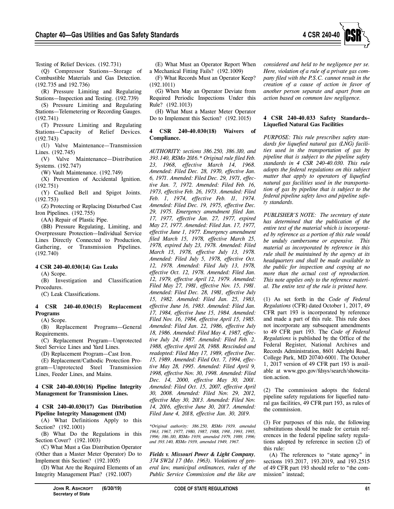

Testing of Relief Devices. (192.731)

(Q) Compressor Stations—Storage of Combustible Materials and Gas Detection. (192.735 and 192.736)

(R) Pressure Limiting and Regulating Stations—Inspection and Testing. (192.739)

(S) Pressure Limiting and Regulating Stations—Telemetering or Recording Gauges. (192.741)

(T) Pressure Limiting and Regulating Stations—Capacity of Relief Devices. (192.743)

(U) Valve Maintenance—Transmission Lines. (192.745)

(V) Valve Maintenance—Distribution Systems. (192.747)

(W) Vault Maintenance. (192.749)

(X) Prevention of Accidental Ignition. (192.751)

(Y) Caulked Bell and Spigot Joints. (192.753)

(Z) Protecting or Replacing Disturbed Cast Iron Pipelines. (192.755)

(AA) Repair of Plastic Pipe.

(BB) Pressure Regulating, Limiting, and Overpressure Protection—Individual Service Lines Directly Connected to Production, Gathering, or Transmission Pipelines. (192.740)

# **4 CSR 240-40.030(14) Gas Leaks**

(A) Scope.

(B) Investigation and Classification Procedures.

(C) Leak Classifications.

#### **4 CSR 240-40.030(15) Replacement Programs**

(A) Scope.

(B) Replacement Programs—General Requirements.

(C) Replacement Program—Unprotected Steel Service Lines and Yard Lines.

(D) Replacement Program—Cast Iron.

(E) Replacement/Cathodic Protection Program—Unprotected Steel Transmission Lines, Feeder Lines, and Mains.

**4 CSR 240-40.030(16) Pipeline Integrity Management for Transmission Lines.**

### **4 CSR 240-40.030(17) Gas Distribution Pipeline Integrity Management (IM)**

(A) What Definitions Apply to this Section? (192.1001)

(B) What Do the Regulations in this Section Cover? (192.1003)

(C) What Must a Gas Distribution Operator (Other than a Master Meter Operator) Do to Implement this Section? (192.1005)

(D) What Are the Required Elements of an Integrity Management Plan? (192.1007)

(E) What Must an Operator Report When a Mechanical Fitting Fails? (192.1009)

(F) What Records Must an Operator Keep? (192.1011)

(G) When May an Operator Deviate from Required Periodic Inspections Under this Rule? (192.1013)

(H) What Must a Master Meter Operator Do to Implement this Section? (192.1015)

# **4 CSR 240-40.030(18) Waivers of Compliance.**

*AUTHORITY: sections 386.250, 386.310, and 393.140, RSMo 2016.\* Original rule filed Feb. 23, 1968, effective March 14, 1968. Amended: Filed Dec. 28, 1970, effective Jan. 6, 1971. Amended: Filed Dec. 29, 1971, effective Jan. 7, 1972. Amended: Filed Feb. 16, 1973, effective Feb. 26, 1973. Amended: Filed Feb. 1, 1974, effective Feb. 11, 1974. Amended: Filed Dec. 19, 1975, effective Dec. 29, 1975. Emergency amendment filed Jan. 17, 1977, effective Jan. 27, 1977, expired May 27, 1977. Amended: Filed Jan. 17, 1977, effective June 1, 1977. Emergency amendment filed March 15, 1978, effective March 25, 1978, expired July 23, 1978. Amended: Filed March 15, 1978, effective July 13, 1978. Amended: Filed July 5, 1978, effective Oct. 12, 1978. Amended: Filed July 13, 1978, effective Oct. 12, 1978. Amended: Filed Jan. 12, 1979, effective April 12, 1979. Amended: Filed May 27, 1981, effective Nov. 15, 1981. Amended: Filed Dec. 28, 1981, effective July 15, 1982. Amended: Filed Jan. 25, 1983, effective June 16, 1983. Amended: Filed Jan. 17, 1984, effective June 15, 1984. Amended: Filed Nov. 16, 1984, effective April 15, 1985. Amended: Filed Jan. 22, 1986, effective July 18, 1986. Amended: Filed May 4, 1987, effective July 24, 1987. Amended: Filed Feb. 2, 1988, effective April 28, 1988. Rescinded and readopted: Filed May 17, 1989, effective Dec. 15, 1989. Amended: Filed Oct. 7, 1994, effective May 28, 1995. Amended: Filed April 9, 1998, effective Nov. 30, 1998. Amended: Filed Dec. 14, 2000, effective May 30, 2001. Amended: Filed Oct. 15, 2007, effective April 30, 2008. Amended: Filed Nov. 29, 2012, effective May 30, 2013. Amended: Filed Nov. 14, 2016, effective June 30, 2017. Amended: Filed June 4, 2018, effective Jan. 30, 2019.*

*\*Original authority: 386.250, RSMo 1939, amended 1963, 1967, 1977, 1980, 1987, 1988, 1991, 1993, 1995, 1996; 386.310, RSMo 1939, amended 1979, 1989, 1996; and 393.140, RSMo 1939, amended 1949, 1967.*

*Fields v. Missouri Power & Light Company, 374 SW2d 17 (Mo. 1963). Violations of general law, municipal ordinances, rules of the Public Service Commission and the like are* *considered and held to be negligence per se. Here, violation of a rule of a private gas company filed with the P.S.C. cannot result in the creation of a cause of action in favor of another person separate and apart from an action based on common law negligence.*

#### **4 CSR 240-40.033 Safety Standards– Liquefied Natural Gas Facilities**

*PURPOSE: This rule prescribes safety standards for liquefied natural gas (LNG) facilities used in the transportation of gas by pipeline that is subject to the pipeline safety standards in 4 CSR 240-40.030. This rule adopts the federal regulations on this subject matter that apply to operators of liquefied natural gas facilities used in the transportation of gas by pipeline that is subject to the federal pipeline safety laws and pipeline safety standards.*

*PUBLISHER'S NOTE: The secretary of state has determined that the publication of the entire text of the material which is incorporated by reference as a portion of this rule would be unduly cumbersome or expensive. This material as incorporated by reference in this rule shall be maintained by the agency at its headquarters and shall be made available to the public for inspection and copying at no more than the actual cost of reproduction. This note applies only to the reference material. The entire text of the rule is printed here.*

(1) As set forth in the *Code of Federal Regulations* (CFR) dated October 1, 2017, 49 CFR part 193 is incorporated by reference and made a part of this rule. This rule does not incorporate any subsequent amendments to 49 CFR part 193. The *Code of Federal Regulations* is published by the Office of the Federal Register, National Archives and Records Administration, 8601 Adelphi Road, College Park, MD 20740-6001. The October 1, 2017 version of 49 CFR part 193 is available at www.gpo.gov/fdsys/search/showcitation.action.

(2) The commission adopts the federal pipeline safety regulations for liquefied natural gas facilities, 49 CFR part 193, as rules of the commission.

(3) For purposes of this rule, the following substitutions should be made for certain references in the federal pipeline safety regulations adopted by reference in section (2) of this rule:

(A) The references to "state agency" in sections 193.2017, 193.2019, and 193.2515 of 49 CFR part 193 should refer to "the commission" instead;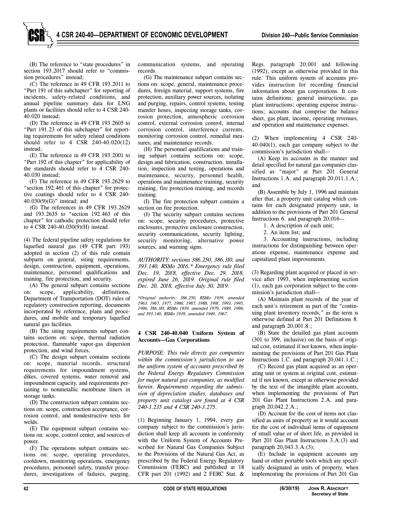(B) The reference to "state procedures" in section 193.2017 should refer to "commission procedures" instead;

(C) The reference in 49 CFR 193.2011 to "Part 191 of this subchapter" for reporting of incidents, safety-related conditions, and annual pipeline summary data for LNG plants or facilities should refer to 4 CSR 240- 40.020 instead;

(D) The reference in 49 CFR 193.2605 to "Part 191.23 of this subchapter" for reporting requirements for safety related conditions should refer to 4 CSR 240-40.020(12) instead;

(E) The reference in 49 CFR 193.2001 to "Part 192 of this chapter" for applicability of the standards should refer to 4 CSR 240- 40.030 instead;

(F) The reference in 49 CFR 193.2629 to "section 192.461 of this chapter" for protective coatings should refer to 4 CSR 240- 40.030(9)(G)" instead; and

(G) The references in 49 CFR 193.2629 and 193.2635 to "section 192.463 of this chapter" for cathodic protection should refer to 4 CSR 240-40.030(9)(H) instead.

(4) The federal pipeline safety regulations for liquefied natural gas (49 CFR part 193) adopted in section (2) of this rule contain subparts on general, siting requirements, design, construction, equipment, operations, maintenance, personnel qualifications and training, fire protection, and security.

(A) The general subpart contains sections on: scope, applicability, definitions, Department of Transportation (DOT) rules of regulatory construction reporting, documents incorporated by reference, plans and procedures, and mobile and temporary liquefied natural gas facilities.

(B) The siting requirements subpart contains sections on: scope, thermal radiation protection, flammable vapor-gas dispersion protection, and wind forces.

(C) The design subpart contains sections on: scope, material records, structural requirements for impoundment systems, dikes, covered systems, water removal and impoundment capacity, and requirements pertaining to nonmetallic membrane liners in storage tanks.

(D) The construction subpart contains sections on: scope, construction acceptance, corrosion control, and nondestructive tests for welds.

(E) The equipment subpart contains sections on: scope, control center, and sources of power.

(F) The operations subpart contains sections on: scope, operating procedures, cooldown, monitoring operations, emergency procedures, personnel safety, transfer procedures, investigations of failures, purging,

communication systems, and operating records.

(G) The maintenance subpart contains sections on: scope, general, maintenance procedures, foreign material, support systems, fire protection, auxiliary power sources, isolating and purging, repairs, control systems, testing transfer hoses, inspecting storage tanks, corrosion protection, atmospheric corrosion control, external corrosion control, internal corrosion control, interference currents, monitoring corrosion control, remedial measures, and maintenance records.

(H) The personnel qualifications and training subpart contains sections on: scope, design and fabrication, construction, installation, inspection and testing, operations and maintenance, security, personnel health, operations and maintenance training, security training, fire protection training, and records training.

(I) The fire protection subpart contains a section on fire protection.

(J) The security subpart contains sections on: scope, security procedures, protective enclosures, protective enclosure construction, security communications, security lighting, security monitoring, alternative power sources, and warning signs.

*AUTHORITY: sections 386.250, 386.310, and 393.140, RSMo 2016.\* Emergency rule filed Dec. 19, 2018, effective Dec. 29, 2018, expired June 26, 2019. Original rule filed Dec. 20, 2018, effective July 30, 2019.* 

*\*Original authority: 386.250, RSMo 1939, amended 1963, 1967, 1977, 1980, 1987, 1988, 1991, 1993, 1995, 1996; 386.310, RSMo 1939, amended 1979, 1989, 1996; and 393.140, RSMo 1939, amended 1949, 1967.*

#### **4 CSR 240-40.040 Uniform System of Accounts—Gas Corporations**

*PURPOSE: This rule directs gas companies within the commission's jurisdiction to use the uniform system of accounts prescribed by the Federal Energy Regulatory Commission for major natural gas companies, as modified herein. Requirements regarding the submission of depreciation studies, databases and property unit catalogs are found at 4 CSR 240-3.235 and 4 CSR 240-3.275.*

(1) Beginning January 1, 1994, every gas company subject to the commission's jurisdiction shall keep all accounts in conformity with the Uniform System of Accounts Prescribed for Natural Gas Companies Subject to the Provisions of the Natural Gas Act, as prescribed by the Federal Energy Regulatory Commission (FERC) and published at 18 CFR part 201 (1992) and 2 FERC Stat. &

Regs. paragraph 20,001 and following (1992), except as otherwise provided in this rule. This uniform system of accounts provides instruction for recording financial information about gas corporations. It contains definitions; general instructions; gas plant instructions; operating expense instructions; accounts that comprise the balance sheet, gas plant, income, operating revenues, and operation and maintenance expenses.

(2) When implementing 4 CSR 240- 40.040(1), each gas company subject to the commission's jurisdiction shall—

(A) Keep its accounts in the manner and detail specified for natural gas companies classified as "major" at Part 201 General Instructions 1.A. and paragraph 20,011.1.A.; and

(B) Assemble by July 1, 1996 and maintain after that, a property unit catalog which contains for each designated property unit, in addition to the provisions of Part 201 General Instructions 6. and paragraph 20,016—

1. A description of each unit;

2. An item list; and

3. Accounting instructions, including instructions for distinguishing between operations expense, maintenance expense and capitalized plant improvements.

(3) Regarding plant acquired or placed in service after 1993, when implementing section (1), each gas corporation subject to the commission's jurisdiction shall—

(A) Maintain plant records of the year of each unit's retirement as part of the "continuing plant inventory records," as the term is otherwise defined at Part 201 Definitions 8. and paragraph 20,001.8.;

(B) State the detailed gas plant accounts (301 to 399, inclusive) on the basis of original cost, estimated if not known, when implementing the provisions of Part 201 Gas Plant Instructions 1.C. and paragraph 20,041.1.C.;

(C) Record gas plant acquired as an operating unit or system at original cost, estimated if not known, except as otherwise provided by the text of the intangible plant accounts, when implementing the provisions of Part 201 Gas Plant Instructions 2.A. and paragraph 20,042.2.A.;

(D) Account for the cost of items not classified as units of property as it would account for the cost of individual items of equipment of small value or of short life, as provided in Part 201 Gas Plant Instructions 3.A.(3) and paragraph 20,043.3.A.(3);

(E) Include in equipment accounts any hand or other portable tools which are specifically designated as units of property, when implementing the provisions of Part 201 Gas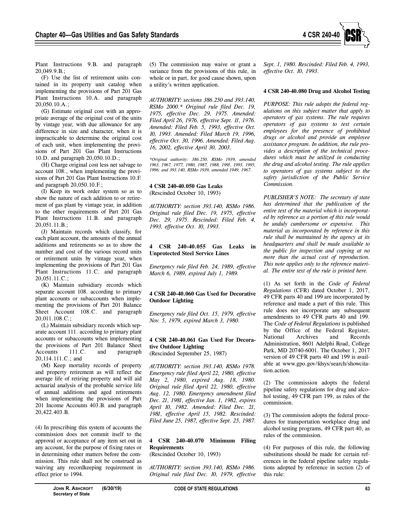

Plant Instructions 9.B. and paragraph 20,049.9.B.;

(F) Use the list of retirement units contained in its property unit catalog when implementing the provisions of Part 201 Gas Plant Instructions 10.A. and paragraph 20,050.10.A.;

(G) Estimate original cost with an appropriate average of the original cost of the units by vintage year, with due allowance for any difference in size and character, when it is impracticable to determine the original cost of each unit, when implementing the provisions of Part 201 Gas Plant Instructions 10.D. and paragraph 20,050.10.D.;

(H) Charge original cost less net salvage to account 108., when implementing the provisions of Part 201 Gas Plant Instructions 10.F. and paragraph 20,050.10.F.;

(I) Keep its work order system so as to show the nature of each addition to or retirement of gas plant by vintage year, in addition to the other requirements of Part 201 Gas Plant Instructions 11.B. and paragraph 20,051.11.B.;

(J) Maintain records which classify, for each plant account, the amounts of the annual additions and retirements so as to show the number and cost of the various record units or retirement units by vintage year, when implementing the provisions of Part 201 Gas Plant Instructions 11.C. and paragraph 20,051.11.C.;

(K) Maintain subsidiary records which separate account 108. according to primary plant accounts or subaccounts when implementing the provisions of Part 201 Balance Sheet Account 108.C. and paragraph 20,011.108.C.;

(L) Maintain subsidiary records which separate account 111. according to primary plant accounts or subaccounts when implementing the provisions of Part 201 Balance Sheet Accounts 111.C. and paragraph 20,114.111.C.; and

(M) Keep mortality records of property and property retirement as will reflect the average life of retiring property and will aid actuarial analysis of the probable service life of annual additions and aged retirements when implementing the provisions of Part 201 Income Accounts 403.B. and paragraph 20,422.403.B.

(4) In prescribing this system of accounts the commission does not commit itself to the approval or acceptance of any item set out in any account, for the purpose of fixing rates or in determining other matters before the commission. This rule shall not be construed as waiving any recordkeeping requirement in effect prior to 1994.

(5) The commission may waive or grant a variance from the provisions of this rule, in whole or in part, for good cause shown, upon a utility's written application.

*AUTHORITY: sections 386.250 and 393.140, RSMo 2000.\* Original rule filed Dec. 19, 1975, effective Dec. 29, 1975. Amended: Filed April 26, 1976, effective Sept. 11, 1976. Amended: Filed Feb. 5, 1993, effective Oct. 10, 1993. Amended: Filed March 19, 1996, effective Oct. 30, 1996. Amended: Filed Aug. 16, 2002, effective April 30, 2003.*

*\*Original authority: 386.250, RSMo 1939, amended 1963, 1967, 1977, 1980, 1987, 1988, 1991, 1993, 1995, 1996; and 393.140, RSMo 1939, amended 1949, 1967.*

#### **4 CSR 240-40.050 Gas Leaks**

(Rescinded October 10, 1993)

*AUTHORITY: section 393.140, RSMo 1986. Original rule filed Dec. 19, 1975, effective Dec. 29, 1975. Rescinded: Filed Feb. 4, 1993, effective Oct. 10, 1993.*

#### **4 CSR 240-40.055 Gas Leaks in Unprotected Steel Service Lines**

*Emergency rule filed Feb. 24, 1989, effective March 6, 1989, expired July 1, 1989.*

# **4 CSR 240-40.060 Gas Used for Decorative Outdoor Lighting**

*Emergency rule filed Oct. 15, 1979, effective Nov. 5, 1979, expired March 3, 1980.*

#### **4 CSR 240-40.061 Gas Used For Decorative Outdoor Lighting** (Rescinded September 25, 1987)

*AUTHORITY: section 393.140, RSMo 1978. Emergency rule filed April 22, 1980, effective May 2, 1980, expired Aug. 18, 1980. Original rule filed April 22, 1980, effective Aug. 12, 1980. Emergency amendment filed Dec. 21, 1981, effective Jan. 1, 1982, expires April 10, 1982. Amended: Filed Dec. 21, 1981, effective April 15, 1982. Rescinded: Filed June 25, 1987, effective Sept. 25, 1987.*

# **4 CSR 240-40.070 Minimum Filing Requirements**

(Rescinded October 10, 1993)

*AUTHORITY: section 393.140, RSMo 1986. Original rule filed Dec. 10, 1979, effective* *Sept. 1, 1980. Rescinded: Filed Feb. 4, 1993, effective Oct. 10, 1993.*

### **4 CSR 240-40.080 Drug and Alcohol Testing**

*PURPOSE: This rule adopts the federal regulations on this subject matter that apply to operators of gas systems. The rule requires operators of gas systems to test certain employees for the presence of prohibited drugs or alcohol and provide an employee assistance program. In addition, the rule provides a description of the technical procedures which must be utilized in conducting the drug and alcohol testing. The rule applies to operators of gas systems subject to the safety jurisdiction of the Public Service Commission.*

*PUBLISHER'S NOTE: The secretary of state has determined that the publication of the entire text of the material which is incorporated by reference as a portion of this rule would be unduly cumbersome or expensive. This material as incorporated by reference in this rule shall be maintained by the agency at its headquarters and shall be made available to the public for inspection and copying at no more than the actual cost of reproduction. This note applies only to the reference material. The entire text of the rule is printed here.*

(1) As set forth in the *Code of Federal Regulations* (CFR) dated October 1, 2017, 49 CFR parts 40 and 199 are incorporated by reference and made a part of this rule. This rule does not incorporate any subsequent amendments to 49 CFR parts 40 and 199. The *Code of Federal Regulations* is published by the Office of the Federal Register, National Archives and Records Administration, 8601 Adelphi Road, College Park, MD 20740-6001. The October 1, 2017 version of 49 CFR parts 40 and 199 is available at www.gpo.gov/fdsys/search/showcitation.action.

(2) The commission adopts the federal pipeline safety regulations for drug and alcohol testing, 49 CFR part 199, as rules of the commission.

(3) The commission adopts the federal procedures for transportation workplace drug and alcohol testing programs, 49 CFR part 40, as rules of the commission.

(4) For purposes of this rule, the following substitutions should be made for certain references in the federal pipeline safety regulations adopted by reference in section (2) of this rule: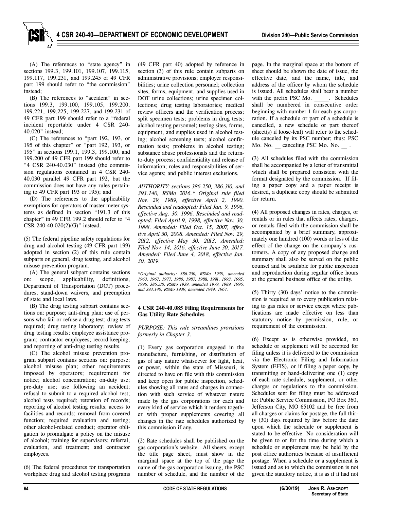(A) The references to "state agency" in sections 199.3, 199.101, 199.107, 199.115, 199.117, 199.231, and 199.245 of 49 CFR part 199 should refer to "the commission" instead;

(B) The references to "accident" in sections 199.3, 199.100, 199.105, 199.200, 199.221, 199.225, 199.227, and 199.231 of 49 CFR part 199 should refer to a "federal incident reportable under 4 CSR 240- 40.020" instead;

(C) The references to "part 192, 193, or 195 of this chapter" or "part 192, 193, or 195" in sections 199.1, 199.3, 199.100, and 199.200 of 49 CFR part 199 should refer to "4 CSR 240-40.030" instead (the commission regulations contained in 4 CSR 240- 40.030 parallel 49 CFR part 192, but the commission does not have any rules pertaining to 49 CFR part 193 or 195); and

(D) The references to the applicability exemptions for operators of master meter systems as defined in section "191.3 of this chapter" in 49 CFR 199.2 should refer to "4 CSR 240-40.020(2)(G)" instead.

(5) The federal pipeline safety regulations for drug and alcohol testing (49 CFR part 199) adopted in section (2) of this rule contain subparts on general, drug testing, and alcohol misuse prevention program.

(A) The general subpart contains sections on: scope, applicability, definitions, Department of Transportation (DOT) procedures, stand-down waivers, and preemption of state and local laws.

(B) The drug testing subpart contains sections on: purpose; anti-drug plan; use of persons who fail or refuse a drug test; drug tests required; drug testing laboratory; review of drug testing results; employee assistance program; contractor employees; record keeping; and reporting of anti-drug testing results.

(C) The alcohol misuse prevention program subpart contains sections on: purpose; alcohol misuse plan; other requirements imposed by operators; requirement for notice; alcohol concentration; on-duty use; pre-duty use; use following an accident; refusal to submit to a required alcohol test; alcohol tests required; retention of records; reporting of alcohol testing results; access to facilities and records; removal from covered function; required evaluation and testing; other alcohol-related conduct; operator obligation to promulgate a policy on the misuse of alcohol; training for supervisors; referral, evaluation, and treatment; and contractor employees.

(6) The federal procedures for transportation workplace drug and alcohol testing programs (49 CFR part 40) adopted by reference in section (3) of this rule contain subparts on administrative provisions; employer responsibilities; urine collection personnel; collection sites, forms, equipment, and supplies used in DOT urine collections; urine specimen collections; drug testing laboratories; medical review officers and the verification process; split specimen tests; problems in drug tests; alcohol testing personnel; testing sites, forms, equipment, and supplies used in alcohol testing; alcohol screening tests; alcohol confirmation tests; problems in alcohol testing; substance abuse professionals and the returnto-duty process; confidentiality and release of information; roles and responsibilities of service agents; and public interest exclusions.

*AUTHORITY: sections 386.250, 386.310, and 393.140, RSMo 2016.\* Original rule filed Nov. 29, 1989, effective April 2, 1990. Rescinded and readopted: Filed Jan. 9, 1996, effective Aug. 30, 1996. Rescinded and readopted: Filed April 9, 1998, effective Nov. 30, 1998. Amended: Filed Oct. 15, 2007, effective April 30, 2008. Amended: Filed Nov. 29, 2012, effective May 30, 2013. Amended: Filed Nov. 14, 2016, effective June 30, 2017. Amended: Filed June 4, 2018, effective Jan. 30, 2019.*

*\*Original authority: 386.250, RSMo 1939, amended 1963, 1967, 1977, 1980, 1987, 1988, 1991, 1993, 1995, 1996; 386.310, RSMo 1939, amended 1979, 1989, 1996; and 393.140, RSMo 1939, amended 1949, 1967.*

#### **4 CSR 240-40.085 Filing Requirements for Gas Utility Rate Schedules**

*PURPOSE: This rule streamlines provisions formerly in Chapter 3.* 

(1) Every gas corporation engaged in the manufacture, furnishing, or distribution of gas of any nature whatsoever for light, heat, or power, within the state of Missouri, is directed to have on file with this commission and keep open for public inspection, schedules showing all rates and charges in connection with such service of whatever nature made by the gas corporations for each and every kind of service which it renders together with proper supplements covering all changes in the rate schedules authorized by this commission if any.

(2) Rate schedules shall be published on the gas corporation's website. All sheets, except the title page sheet, must show in the marginal space at the top of the page the name of the gas corporation issuing, the PSC number of schedule, and the number of the

page. In the marginal space at the bottom of sheet should be shown the date of issue, the effective date, and the name, title, and address of the officer by whom the schedule is issued. All schedules shall bear a number with the prefix PSC Mo. \_\_\_\_\_. Schedules shall be numbered in consecutive order beginning with number 1 for each gas corporation. If a schedule or part of a schedule is cancelled, a new schedule or part thereof (sheet(s) if loose-leaf) will refer to the schedule canceled by its PSC number; thus: PSC Mo. No. \_ canceling PSC Mo. No. \_ .

(3) All schedules filed with the commission shall be accompanied by a letter of transmittal which shall be prepared consistent with the format designated by the commission. If filing a paper copy and a paper receipt is desired, a duplicate copy should be submitted for return.

(4) All proposed changes in rates, charges, or rentals or in rules that affects rates, charges, or rentals filed with the commission shall be accompanied by a brief summary, approximately one hundred (100) words or less of the effect of the change on the company's customers. A copy of any proposed change and summary shall also be served on the public counsel and be available for public inspection and reproduction during regular office hours at the general business office of the utility.

(5) Thirty (30) days' notice to the commission is required as to every publication relating to gas rates or service except where publications are made effective on less than statutory notice by permission, rule, or requirement of the commission.

(6) Except as is otherwise provided, no schedule or supplement will be accepted for filing unless it is delivered to the commission via the Electronic Filing and Information System (EFIS), or if filing a paper copy, by transmiting or hand-delivering one (1) copy of each rate schedule, supplement, or other charges or regulations to the commission. Schedules sent for filing must be addressed to: Public Service Commission, PO Box 360, Jefferson City, MO 65102 and be free from all charges or claims for postage, the full thirty (30) days required by law before the date upon which the schedule or supplement is stated to be effective. No consideration will be given to or for the time during which a schedule or supplement may be held by the post office authorities because of insufficient postage. When a schedule or a supplement is issued and as to which the commission is not given the statutory notice, it is as if it had not